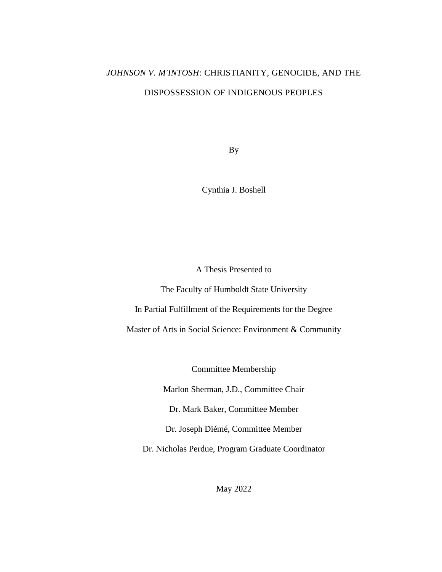# *JOHNSON V. M'INTOSH*: CHRISTIANITY, GENOCIDE, AND THE DISPOSSESSION OF INDIGENOUS PEOPLES

By

Cynthia J. Boshell

A Thesis Presented to

The Faculty of Humboldt State University

In Partial Fulfillment of the Requirements for the Degree

Master of Arts in Social Science: Environment & Community

Committee Membership

Marlon Sherman, J.D., Committee Chair

Dr. Mark Baker, Committee Member

Dr. Joseph Diémé, Committee Member

Dr. Nicholas Perdue, Program Graduate Coordinator

May 2022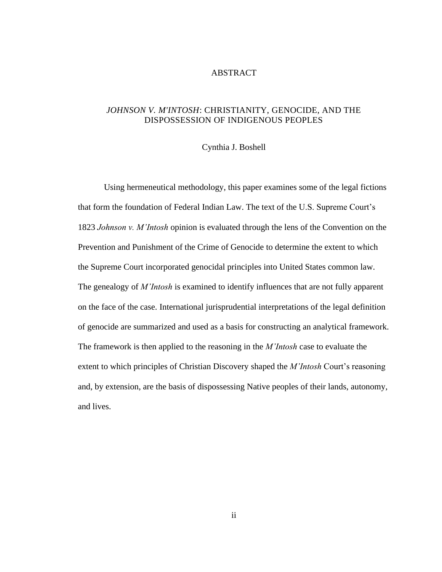## ABSTRACT

# <span id="page-1-0"></span>*JOHNSON V. M'INTOSH*: CHRISTIANITY, GENOCIDE, AND THE DISPOSSESSION OF INDIGENOUS PEOPLES

# Cynthia J. Boshell

Using hermeneutical methodology, this paper examines some of the legal fictions that form the foundation of Federal Indian Law. The text of the U.S. Supreme Court's 1823 *Johnson v. M'Intosh* opinion is evaluated through the lens of the Convention on the Prevention and Punishment of the Crime of Genocide to determine the extent to which the Supreme Court incorporated genocidal principles into United States common law. The genealogy of *M'Intosh* is examined to identify influences that are not fully apparent on the face of the case. International jurisprudential interpretations of the legal definition of genocide are summarized and used as a basis for constructing an analytical framework. The framework is then applied to the reasoning in the *M'Intosh* case to evaluate the extent to which principles of Christian Discovery shaped the *M'Intosh* Court's reasoning and, by extension, are the basis of dispossessing Native peoples of their lands, autonomy, and lives.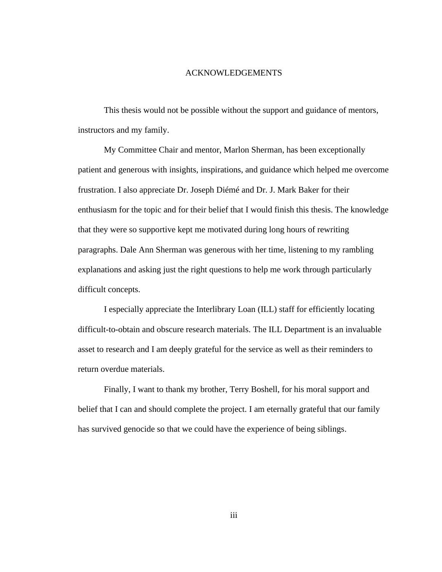#### ACKNOWLEDGEMENTS

<span id="page-2-0"></span>This thesis would not be possible without the support and guidance of mentors, instructors and my family.

My Committee Chair and mentor, Marlon Sherman, has been exceptionally patient and generous with insights, inspirations, and guidance which helped me overcome frustration. I also appreciate Dr. Joseph Diémé and Dr. J. Mark Baker for their enthusiasm for the topic and for their belief that I would finish this thesis. The knowledge that they were so supportive kept me motivated during long hours of rewriting paragraphs. Dale Ann Sherman was generous with her time, listening to my rambling explanations and asking just the right questions to help me work through particularly difficult concepts.

I especially appreciate the Interlibrary Loan (ILL) staff for efficiently locating difficult-to-obtain and obscure research materials. The ILL Department is an invaluable asset to research and I am deeply grateful for the service as well as their reminders to return overdue materials.

Finally, I want to thank my brother, Terry Boshell, for his moral support and belief that I can and should complete the project. I am eternally grateful that our family has survived genocide so that we could have the experience of being siblings.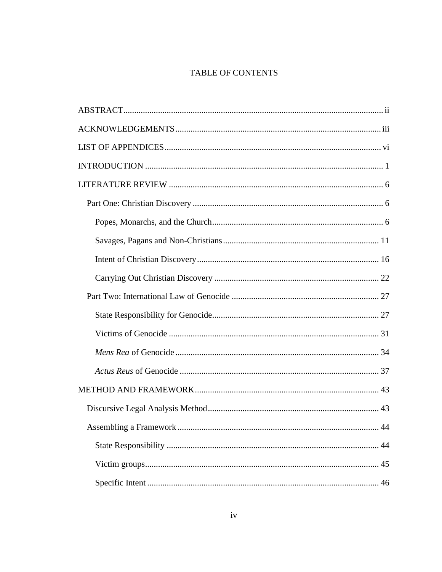# TABLE OF CONTENTS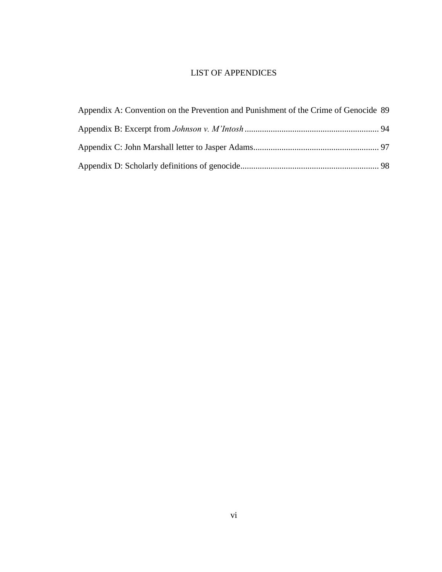# LIST OF APPENDICES

<span id="page-5-0"></span>

| Appendix A: Convention on the Prevention and Punishment of the Crime of Genocide 89 |  |
|-------------------------------------------------------------------------------------|--|
|                                                                                     |  |
|                                                                                     |  |
|                                                                                     |  |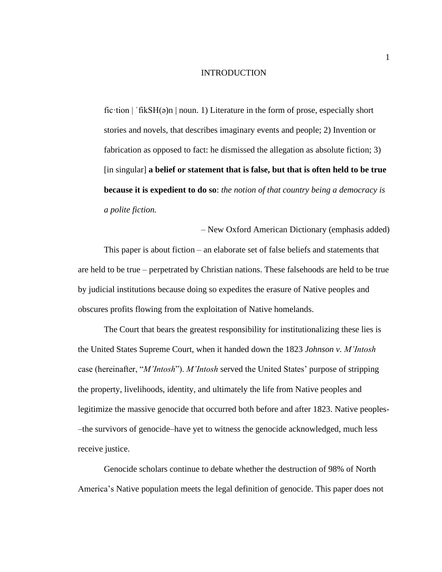#### INTRODUCTION

<span id="page-6-0"></span>fic tion | 'fikSH( $\circ$ )n | noun. 1) Literature in the form of prose, especially short stories and novels, that describes imaginary events and people; 2) Invention or fabrication as opposed to fact: he dismissed the allegation as absolute fiction; 3) [in singular] **a belief or statement that is false, but that is often held to be true because it is expedient to do so**: *the notion of that country being a democracy is a polite fiction.*

– New Oxford American Dictionary (emphasis added)

This paper is about fiction – an elaborate set of false beliefs and statements that are held to be true – perpetrated by Christian nations. These falsehoods are held to be true by judicial institutions because doing so expedites the erasure of Native peoples and obscures profits flowing from the exploitation of Native homelands.

The Court that bears the greatest responsibility for institutionalizing these lies is the United States Supreme Court, when it handed down the 1823 *Johnson v. M'Intosh*  case (hereinafter, "*M'Intosh*"). *M'Intosh* served the United States' purpose of stripping the property, livelihoods, identity, and ultimately the life from Native peoples and legitimize the massive genocide that occurred both before and after 1823. Native peoples- –the survivors of genocide–have yet to witness the genocide acknowledged, much less receive justice.

Genocide scholars continue to debate whether the destruction of 98% of North America's Native population meets the legal definition of genocide. This paper does not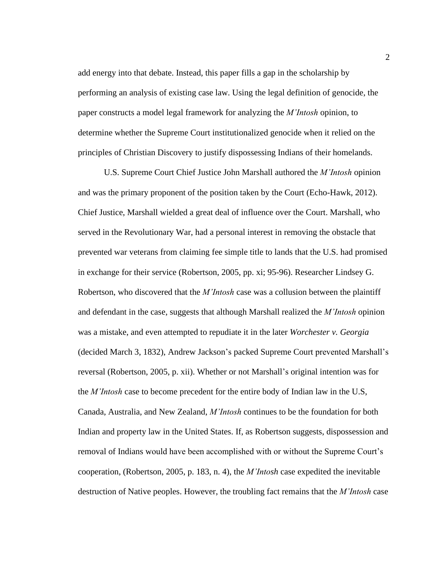add energy into that debate. Instead, this paper fills a gap in the scholarship by performing an analysis of existing case law. Using the legal definition of genocide, the paper constructs a model legal framework for analyzing the *M'Intosh* opinion, to determine whether the Supreme Court institutionalized genocide when it relied on the principles of Christian Discovery to justify dispossessing Indians of their homelands.

U.S. Supreme Court Chief Justice John Marshall authored the *M'Intosh* opinion and was the primary proponent of the position taken by the Court (Echo-Hawk, 2012). Chief Justice, Marshall wielded a great deal of influence over the Court. Marshall, who served in the Revolutionary War, had a personal interest in removing the obstacle that prevented war veterans from claiming fee simple title to lands that the U.S. had promised in exchange for their service (Robertson, 2005, pp. xi; 95-96). Researcher Lindsey G. Robertson, who discovered that the *M'Intosh* case was a collusion between the plaintiff and defendant in the case, suggests that although Marshall realized the *M'Intosh* opinion was a mistake, and even attempted to repudiate it in the later *Worchester v. Georgia* (decided March 3, 1832), Andrew Jackson's packed Supreme Court prevented Marshall's reversal (Robertson, 2005, p. xii). Whether or not Marshall's original intention was for the *M'Intosh* case to become precedent for the entire body of Indian law in the U.S, Canada, Australia, and New Zealand, *M'Intosh* continues to be the foundation for both Indian and property law in the United States. If, as Robertson suggests, dispossession and removal of Indians would have been accomplished with or without the Supreme Court's cooperation, (Robertson, 2005, p. 183, n. 4), the *M'Intosh* case expedited the inevitable destruction of Native peoples. However, the troubling fact remains that the *M'Intosh* case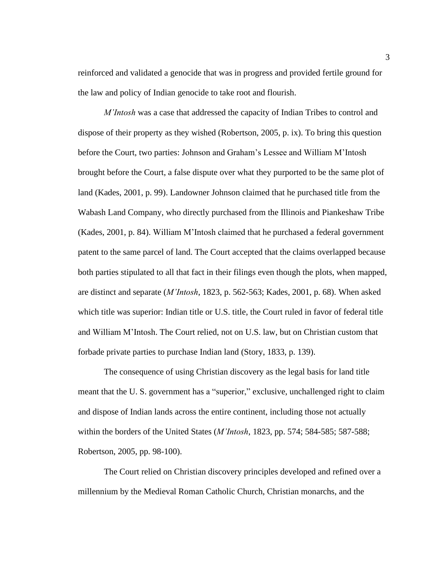reinforced and validated a genocide that was in progress and provided fertile ground for the law and policy of Indian genocide to take root and flourish.

*M'Intosh* was a case that addressed the capacity of Indian Tribes to control and dispose of their property as they wished (Robertson, 2005, p. ix). To bring this question before the Court, two parties: Johnson and Graham's Lessee and William M'Intosh brought before the Court, a false dispute over what they purported to be the same plot of land (Kades, 2001, p. 99). Landowner Johnson claimed that he purchased title from the Wabash Land Company, who directly purchased from the Illinois and Piankeshaw Tribe (Kades, 2001, p. 84). William M'Intosh claimed that he purchased a federal government patent to the same parcel of land. The Court accepted that the claims overlapped because both parties stipulated to all that fact in their filings even though the plots, when mapped, are distinct and separate (*M'Intosh*, 1823, p. 562-563; Kades, 2001, p. 68). When asked which title was superior: Indian title or U.S. title, the Court ruled in favor of federal title and William M'Intosh. The Court relied, not on U.S. law, but on Christian custom that forbade private parties to purchase Indian land (Story, 1833, p. 139).

The consequence of using Christian discovery as the legal basis for land title meant that the U. S. government has a "superior," exclusive, unchallenged right to claim and dispose of Indian lands across the entire continent, including those not actually within the borders of the United States (*M'Intosh*, 1823, pp. 574; 584-585; 587-588; Robertson, 2005, pp. 98-100).

The Court relied on Christian discovery principles developed and refined over a millennium by the Medieval Roman Catholic Church, Christian monarchs, and the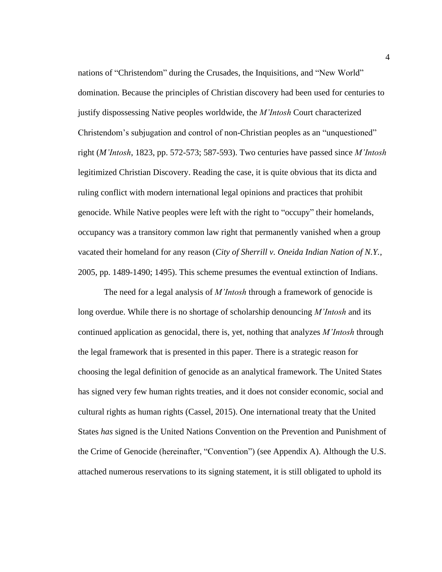nations of "Christendom" during the Crusades, the Inquisitions, and "New World" domination. Because the principles of Christian discovery had been used for centuries to justify dispossessing Native peoples worldwide, the *M'Intosh* Court characterized Christendom's subjugation and control of non-Christian peoples as an "unquestioned" right (*M'Intosh*, 1823, pp. 572-573; 587-593). Two centuries have passed since *M'Intosh* legitimized Christian Discovery. Reading the case, it is quite obvious that its dicta and ruling conflict with modern international legal opinions and practices that prohibit genocide. While Native peoples were left with the right to "occupy" their homelands, occupancy was a transitory common law right that permanently vanished when a group vacated their homeland for any reason (*City of Sherrill v. Oneida Indian Nation of N.Y.*, 2005, pp. 1489-1490; 1495). This scheme presumes the eventual extinction of Indians.

The need for a legal analysis of *M'Intosh* through a framework of genocide is long overdue. While there is no shortage of scholarship denouncing *M'Intosh* and its continued application as genocidal, there is, yet, nothing that analyzes *M'Intosh* through the legal framework that is presented in this paper. There is a strategic reason for choosing the legal definition of genocide as an analytical framework. The United States has signed very few human rights treaties, and it does not consider economic, social and cultural rights as human rights (Cassel, 2015). One international treaty that the United States *has* signed is the United Nations Convention on the Prevention and Punishment of the Crime of Genocide (hereinafter, "Convention") (see Appendix A). Although the U.S. attached numerous reservations to its signing statement, it is still obligated to uphold its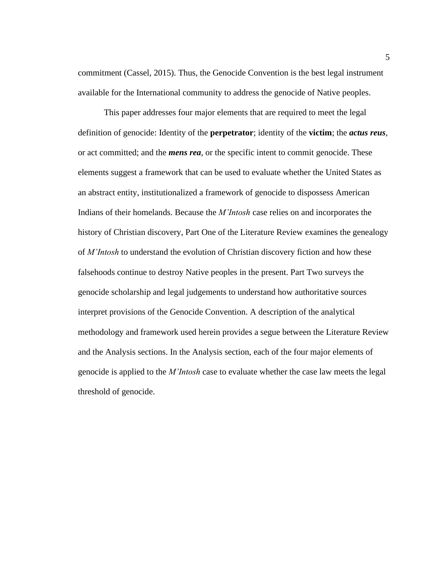commitment (Cassel, 2015). Thus, the Genocide Convention is the best legal instrument available for the International community to address the genocide of Native peoples.

This paper addresses four major elements that are required to meet the legal definition of genocide: Identity of the **perpetrator**; identity of the **victim**; the *actus reus*, or act committed; and the *mens rea*, or the specific intent to commit genocide. These elements suggest a framework that can be used to evaluate whether the United States as an abstract entity, institutionalized a framework of genocide to dispossess American Indians of their homelands. Because the *M'Intosh* case relies on and incorporates the history of Christian discovery, Part One of the Literature Review examines the genealogy of *M'Intosh* to understand the evolution of Christian discovery fiction and how these falsehoods continue to destroy Native peoples in the present. Part Two surveys the genocide scholarship and legal judgements to understand how authoritative sources interpret provisions of the Genocide Convention. A description of the analytical methodology and framework used herein provides a segue between the Literature Review and the Analysis sections. In the Analysis section, each of the four major elements of genocide is applied to the *M'Intosh* case to evaluate whether the case law meets the legal threshold of genocide.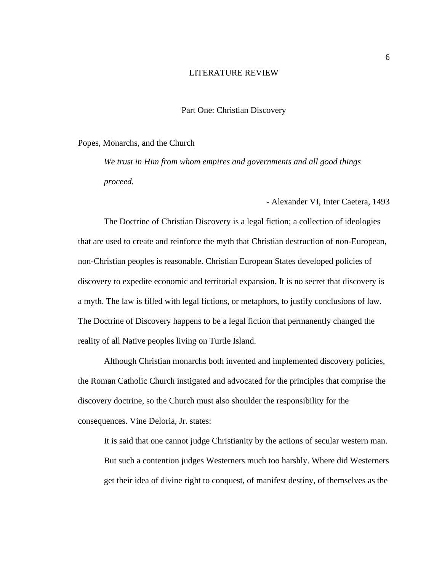#### LITERATURE REVIEW

#### Part One: Christian Discovery

#### <span id="page-11-2"></span><span id="page-11-1"></span><span id="page-11-0"></span>Popes, Monarchs, and the Church

*We trust in Him from whom empires and governments and all good things proceed.* 

- Alexander VI, Inter Caetera, 1493

The Doctrine of Christian Discovery is a legal fiction; a collection of ideologies that are used to create and reinforce the myth that Christian destruction of non-European, non-Christian peoples is reasonable. Christian European States developed policies of discovery to expedite economic and territorial expansion. It is no secret that discovery is a myth. The law is filled with legal fictions, or metaphors, to justify conclusions of law. The Doctrine of Discovery happens to be a legal fiction that permanently changed the reality of all Native peoples living on Turtle Island.

Although Christian monarchs both invented and implemented discovery policies, the Roman Catholic Church instigated and advocated for the principles that comprise the discovery doctrine, so the Church must also shoulder the responsibility for the consequences. Vine Deloria, Jr. states:

It is said that one cannot judge Christianity by the actions of secular western man. But such a contention judges Westerners much too harshly. Where did Westerners get their idea of divine right to conquest, of manifest destiny, of themselves as the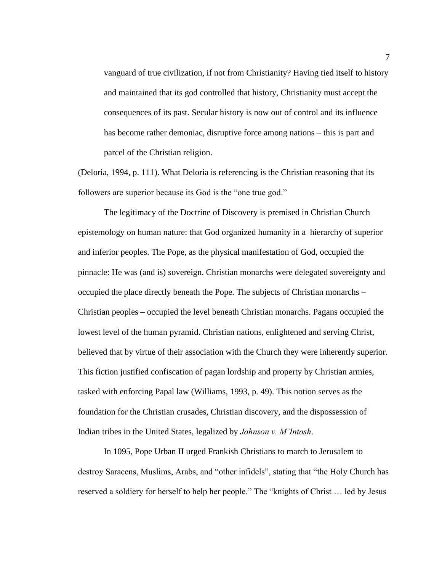vanguard of true civilization, if not from Christianity? Having tied itself to history and maintained that its god controlled that history, Christianity must accept the consequences of its past. Secular history is now out of control and its influence has become rather demoniac, disruptive force among nations – this is part and parcel of the Christian religion.

(Deloria, 1994, p. 111). What Deloria is referencing is the Christian reasoning that its followers are superior because its God is the "one true god."

The legitimacy of the Doctrine of Discovery is premised in Christian Church epistemology on human nature: that God organized humanity in a hierarchy of superior and inferior peoples. The Pope, as the physical manifestation of God, occupied the pinnacle: He was (and is) sovereign. Christian monarchs were delegated sovereignty and occupied the place directly beneath the Pope. The subjects of Christian monarchs – Christian peoples – occupied the level beneath Christian monarchs. Pagans occupied the lowest level of the human pyramid. Christian nations, enlightened and serving Christ, believed that by virtue of their association with the Church they were inherently superior. This fiction justified confiscation of pagan lordship and property by Christian armies, tasked with enforcing Papal law (Williams, 1993, p. 49). This notion serves as the foundation for the Christian crusades, Christian discovery, and the dispossession of Indian tribes in the United States, legalized by *Johnson v. M'Intosh*.

In 1095, Pope Urban II urged Frankish Christians to march to Jerusalem to destroy Saracens, Muslims, Arabs, and "other infidels", stating that "the Holy Church has reserved a soldiery for herself to help her people." The "knights of Christ … led by Jesus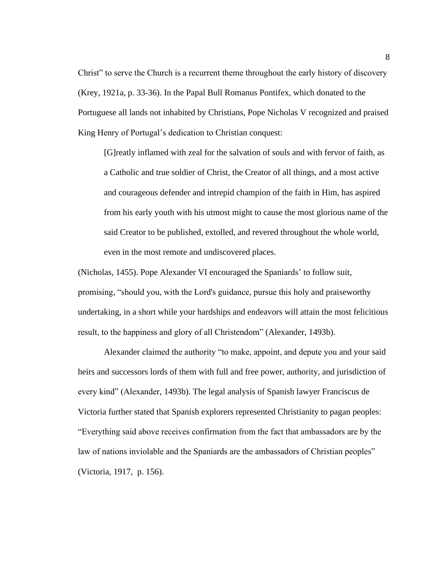Christ" to serve the Church is a recurrent theme throughout the early history of discovery (Krey, 1921a, p. 33-36). In the Papal Bull Romanus Pontifex, which donated to the Portuguese all lands not inhabited by Christians, Pope Nicholas V recognized and praised King Henry of Portugal's dedication to Christian conquest:

[G]reatly inflamed with zeal for the salvation of souls and with fervor of faith, as a Catholic and true soldier of Christ, the Creator of all things, and a most active and courageous defender and intrepid champion of the faith in Him, has aspired from his early youth with his utmost might to cause the most glorious name of the said Creator to be published, extolled, and revered throughout the whole world, even in the most remote and undiscovered places.

(Nicholas, 1455). Pope Alexander VI encouraged the Spaniards' to follow suit, promising, "should you, with the Lord's guidance, pursue this holy and praiseworthy undertaking, in a short while your hardships and endeavors will attain the most felicitious result, to the happiness and glory of all Christendom" (Alexander, 1493b).

Alexander claimed the authority "to make, appoint, and depute you and your said heirs and successors lords of them with full and free power, authority, and jurisdiction of every kind" (Alexander, 1493b). The legal analysis of Spanish lawyer Franciscus de Victoria further stated that Spanish explorers represented Christianity to pagan peoples: "Everything said above receives confirmation from the fact that ambassadors are by the law of nations inviolable and the Spaniards are the ambassadors of Christian peoples" (Victoria, 1917, p. 156).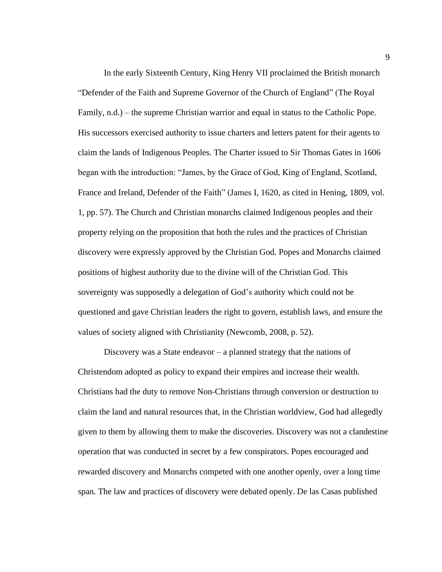In the early Sixteenth Century, King Henry VII proclaimed the British monarch "Defender of the Faith and Supreme Governor of the Church of England" (The Royal Family, n.d.) – the supreme Christian warrior and equal in status to the Catholic Pope. His successors exercised authority to issue charters and letters patent for their agents to claim the lands of Indigenous Peoples. The Charter issued to Sir Thomas Gates in 1606 began with the introduction: "James, by the Grace of God, King of England, Scotland, France and Ireland, Defender of the Faith" (James I, 1620, as cited in Hening, 1809, vol. 1, pp. 57). The Church and Christian monarchs claimed Indigenous peoples and their property relying on the proposition that both the rules and the practices of Christian discovery were expressly approved by the Christian God. Popes and Monarchs claimed positions of highest authority due to the divine will of the Christian God. This sovereignty was supposedly a delegation of God's authority which could not be questioned and gave Christian leaders the right to govern, establish laws, and ensure the values of society aligned with Christianity (Newcomb, 2008, p. 52).

Discovery was a State endeavor – a planned strategy that the nations of Christendom adopted as policy to expand their empires and increase their wealth. Christians had the duty to remove Non-Christians through conversion or destruction to claim the land and natural resources that, in the Christian worldview, God had allegedly given to them by allowing them to make the discoveries. Discovery was not a clandestine operation that was conducted in secret by a few conspirators. Popes encouraged and rewarded discovery and Monarchs competed with one another openly, over a long time span. The law and practices of discovery were debated openly. De las Casas published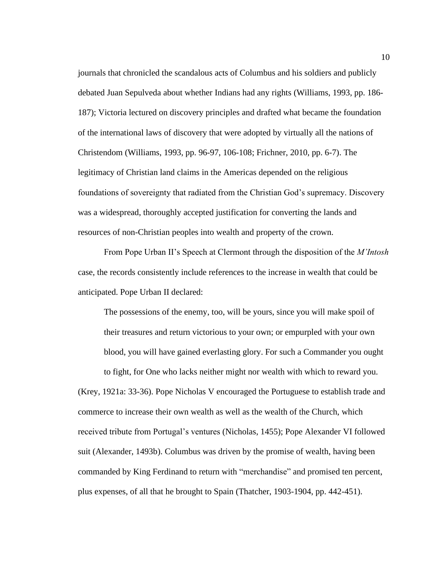journals that chronicled the scandalous acts of Columbus and his soldiers and publicly debated Juan Sepulveda about whether Indians had any rights (Williams, 1993, pp. 186- 187); Victoria lectured on discovery principles and drafted what became the foundation of the international laws of discovery that were adopted by virtually all the nations of Christendom (Williams, 1993, pp. 96-97, 106-108; Frichner, 2010, pp. 6-7). The legitimacy of Christian land claims in the Americas depended on the religious foundations of sovereignty that radiated from the Christian God's supremacy. Discovery was a widespread, thoroughly accepted justification for converting the lands and resources of non-Christian peoples into wealth and property of the crown.

From Pope Urban II's Speech at Clermont through the disposition of the *M'Intosh* case, the records consistently include references to the increase in wealth that could be anticipated. Pope Urban II declared:

The possessions of the enemy, too, will be yours, since you will make spoil of their treasures and return victorious to your own; or empurpled with your own blood, you will have gained everlasting glory. For such a Commander you ought

to fight, for One who lacks neither might nor wealth with which to reward you.

(Krey, 1921a: 33-36). Pope Nicholas V encouraged the Portuguese to establish trade and commerce to increase their own wealth as well as the wealth of the Church, which received tribute from Portugal's ventures (Nicholas, 1455); Pope Alexander VI followed suit (Alexander, 1493b). Columbus was driven by the promise of wealth, having been commanded by King Ferdinand to return with "merchandise" and promised ten percent, plus expenses, of all that he brought to Spain (Thatcher, 1903-1904, pp. 442-451).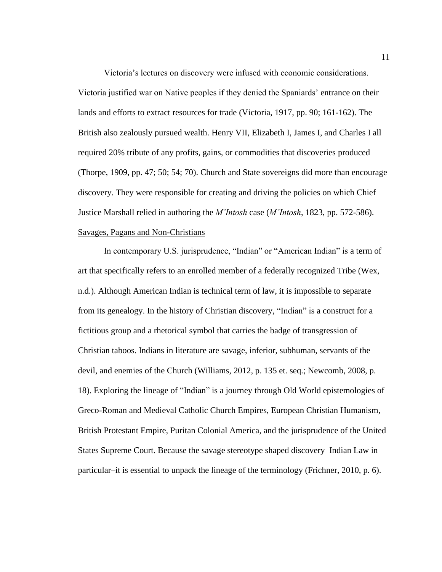Victoria's lectures on discovery were infused with economic considerations. Victoria justified war on Native peoples if they denied the Spaniards' entrance on their lands and efforts to extract resources for trade (Victoria, 1917, pp. 90; 161-162). The British also zealously pursued wealth. Henry VII, Elizabeth I, James I, and Charles I all required 20% tribute of any profits, gains, or commodities that discoveries produced (Thorpe, 1909, pp. 47; 50; 54; 70). Church and State sovereigns did more than encourage discovery. They were responsible for creating and driving the policies on which Chief Justice Marshall relied in authoring the *M'Intosh* case (*M'Intosh*, 1823, pp. 572-586). Savages, Pagans and Non-Christians

<span id="page-16-0"></span>In contemporary U.S. jurisprudence, "Indian" or "American Indian" is a term of art that specifically refers to an enrolled member of a federally recognized Tribe (Wex, n.d.). Although American Indian is technical term of law, it is impossible to separate from its genealogy. In the history of Christian discovery, "Indian" is a construct for a fictitious group and a rhetorical symbol that carries the badge of transgression of Christian taboos. Indians in literature are savage, inferior, subhuman, servants of the devil, and enemies of the Church (Williams, 2012, p. 135 et. seq.; Newcomb, 2008, p. 18). Exploring the lineage of "Indian" is a journey through Old World epistemologies of Greco-Roman and Medieval Catholic Church Empires, European Christian Humanism, British Protestant Empire, Puritan Colonial America, and the jurisprudence of the United States Supreme Court. Because the savage stereotype shaped discovery–Indian Law in particular–it is essential to unpack the lineage of the terminology (Frichner, 2010, p. 6).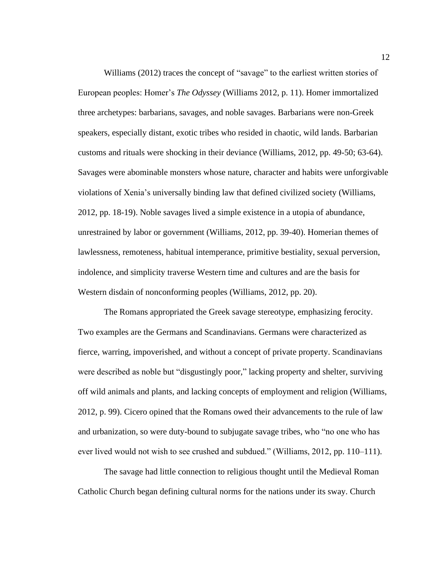Williams (2012) traces the concept of "savage" to the earliest written stories of European peoples: Homer's *The Odyssey* (Williams 2012, p. 11). Homer immortalized three archetypes: barbarians, savages, and noble savages. Barbarians were non-Greek speakers, especially distant, exotic tribes who resided in chaotic, wild lands. Barbarian customs and rituals were shocking in their deviance (Williams, 2012, pp. 49-50; 63-64). Savages were abominable monsters whose nature, character and habits were unforgivable violations of Xenia's universally binding law that defined civilized society (Williams, 2012, pp. 18-19). Noble savages lived a simple existence in a utopia of abundance, unrestrained by labor or government (Williams, 2012, pp. 39-40). Homerian themes of lawlessness, remoteness, habitual intemperance, primitive bestiality, sexual perversion, indolence, and simplicity traverse Western time and cultures and are the basis for Western disdain of nonconforming peoples (Williams, 2012, pp. 20).

The Romans appropriated the Greek savage stereotype, emphasizing ferocity. Two examples are the Germans and Scandinavians. Germans were characterized as fierce, warring, impoverished, and without a concept of private property. Scandinavians were described as noble but "disgustingly poor," lacking property and shelter, surviving off wild animals and plants, and lacking concepts of employment and religion (Williams, 2012, p. 99). Cicero opined that the Romans owed their advancements to the rule of law and urbanization, so were duty-bound to subjugate savage tribes, who "no one who has ever lived would not wish to see crushed and subdued." (Williams, 2012, pp. 110–111).

The savage had little connection to religious thought until the Medieval Roman Catholic Church began defining cultural norms for the nations under its sway. Church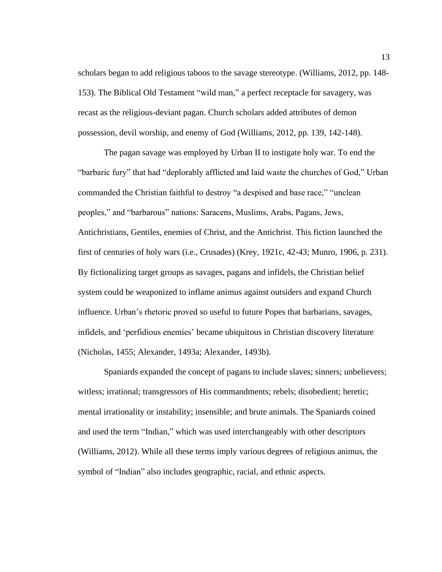scholars began to add religious taboos to the savage stereotype. (Williams, 2012, pp. 148- 153). The Biblical Old Testament "wild man," a perfect receptacle for savagery, was recast as the religious-deviant pagan. Church scholars added attributes of demon possession, devil worship, and enemy of God (Williams, 2012, pp. 139, 142-148).

The pagan savage was employed by Urban II to instigate holy war. To end the "barbaric fury" that had "deplorably afflicted and laid waste the churches of God," Urban commanded the Christian faithful to destroy "a despised and base race," "unclean peoples," and "barbarous" nations: Saracens, Muslims, Arabs, Pagans, Jews, Antichristians, Gentiles, enemies of Christ, and the Antichrist. This fiction launched the first of centuries of holy wars (i.e., Crusades) (Krey, 1921c, 42-43; Munro, 1906, p. 231). By fictionalizing target groups as savages, pagans and infidels, the Christian belief system could be weaponized to inflame animus against outsiders and expand Church influence. Urban's rhetoric proved so useful to future Popes that barbarians, savages, infidels, and 'perfidious enemies' became ubiquitous in Christian discovery literature (Nicholas, 1455; Alexander, 1493a; Alexander, 1493b).

Spaniards expanded the concept of pagans to include slaves; sinners; unbelievers; witless; irrational; transgressors of His commandments; rebels; disobedient; heretic; mental irrationality or instability; insensible; and brute animals. The Spaniards coined and used the term "Indian," which was used interchangeably with other descriptors (Williams, 2012). While all these terms imply various degrees of religious animus, the symbol of "Indian" also includes geographic, racial, and ethnic aspects.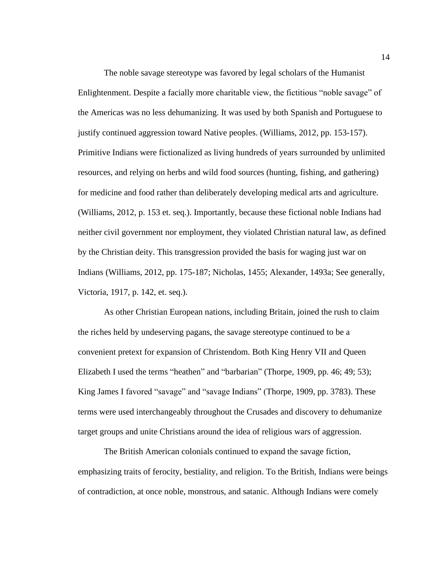The noble savage stereotype was favored by legal scholars of the Humanist Enlightenment. Despite a facially more charitable view, the fictitious "noble savage" of the Americas was no less dehumanizing. It was used by both Spanish and Portuguese to justify continued aggression toward Native peoples. (Williams, 2012, pp. 153-157). Primitive Indians were fictionalized as living hundreds of years surrounded by unlimited resources, and relying on herbs and wild food sources (hunting, fishing, and gathering) for medicine and food rather than deliberately developing medical arts and agriculture. (Williams, 2012, p. 153 et. seq.). Importantly, because these fictional noble Indians had neither civil government nor employment, they violated Christian natural law, as defined by the Christian deity. This transgression provided the basis for waging just war on Indians (Williams, 2012, pp. 175-187; Nicholas, 1455; Alexander, 1493a; See generally, Victoria, 1917, p. 142, et. seq.).

As other Christian European nations, including Britain, joined the rush to claim the riches held by undeserving pagans, the savage stereotype continued to be a convenient pretext for expansion of Christendom. Both King Henry VII and Queen Elizabeth I used the terms "heathen" and "barbarian" (Thorpe, 1909, pp. 46; 49; 53); King James I favored "savage" and "savage Indians" (Thorpe, 1909, pp. 3783). These terms were used interchangeably throughout the Crusades and discovery to dehumanize target groups and unite Christians around the idea of religious wars of aggression.

The British American colonials continued to expand the savage fiction, emphasizing traits of ferocity, bestiality, and religion. To the British, Indians were beings of contradiction, at once noble, monstrous, and satanic. Although Indians were comely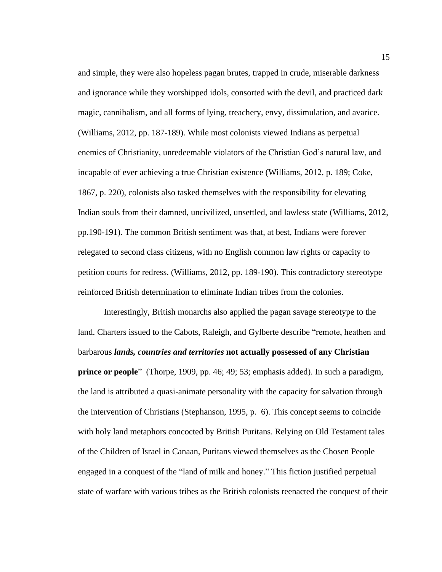and simple, they were also hopeless pagan brutes, trapped in crude, miserable darkness and ignorance while they worshipped idols, consorted with the devil, and practiced dark magic, cannibalism, and all forms of lying, treachery, envy, dissimulation, and avarice. (Williams, 2012, pp. 187-189). While most colonists viewed Indians as perpetual enemies of Christianity, unredeemable violators of the Christian God's natural law, and incapable of ever achieving a true Christian existence (Williams, 2012, p. 189; Coke, 1867, p. 220), colonists also tasked themselves with the responsibility for elevating Indian souls from their damned, uncivilized, unsettled, and lawless state (Williams, 2012, pp.190-191). The common British sentiment was that, at best, Indians were forever relegated to second class citizens, with no English common law rights or capacity to petition courts for redress. (Williams, 2012, pp. 189-190). This contradictory stereotype reinforced British determination to eliminate Indian tribes from the colonies.

Interestingly, British monarchs also applied the pagan savage stereotype to the land. Charters issued to the Cabots, Raleigh, and Gylberte describe "remote, heathen and barbarous *lands, countries and territories* **not actually possessed of any Christian prince or people**" (Thorpe, 1909, pp. 46; 49; 53; emphasis added). In such a paradigm, the land is attributed a quasi-animate personality with the capacity for salvation through the intervention of Christians (Stephanson, 1995, p. 6). This concept seems to coincide with holy land metaphors concocted by British Puritans. Relying on Old Testament tales of the Children of Israel in Canaan, Puritans viewed themselves as the Chosen People engaged in a conquest of the "land of milk and honey." This fiction justified perpetual state of warfare with various tribes as the British colonists reenacted the conquest of their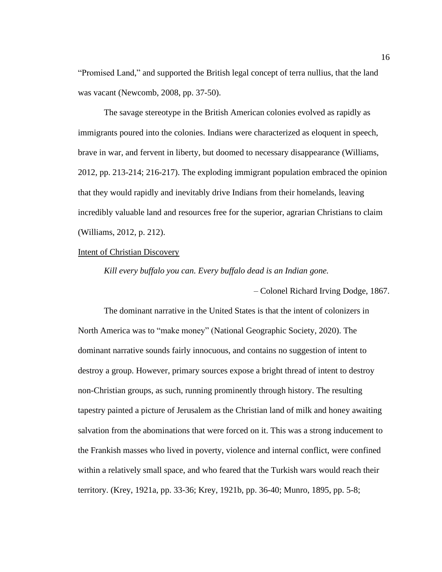"Promised Land," and supported the British legal concept of terra nullius, that the land was vacant (Newcomb, 2008, pp. 37-50).

The savage stereotype in the British American colonies evolved as rapidly as immigrants poured into the colonies. Indians were characterized as eloquent in speech, brave in war, and fervent in liberty, but doomed to necessary disappearance (Williams, 2012, pp. 213-214; 216-217). The exploding immigrant population embraced the opinion that they would rapidly and inevitably drive Indians from their homelands, leaving incredibly valuable land and resources free for the superior, agrarian Christians to claim (Williams, 2012, p. 212).

## <span id="page-21-0"></span>Intent of Christian Discovery

*Kill every buffalo you can. Every buffalo dead is an Indian gone.*

– Colonel Richard Irving Dodge, 1867.

The dominant narrative in the United States is that the intent of colonizers in North America was to "make money" (National Geographic Society, 2020). The dominant narrative sounds fairly innocuous, and contains no suggestion of intent to destroy a group. However, primary sources expose a bright thread of intent to destroy non-Christian groups, as such, running prominently through history. The resulting tapestry painted a picture of Jerusalem as the Christian land of milk and honey awaiting salvation from the abominations that were forced on it. This was a strong inducement to the Frankish masses who lived in poverty, violence and internal conflict, were confined within a relatively small space, and who feared that the Turkish wars would reach their territory. (Krey, 1921a, pp. 33-36; Krey, 1921b, pp. 36-40; Munro, 1895, pp. 5-8;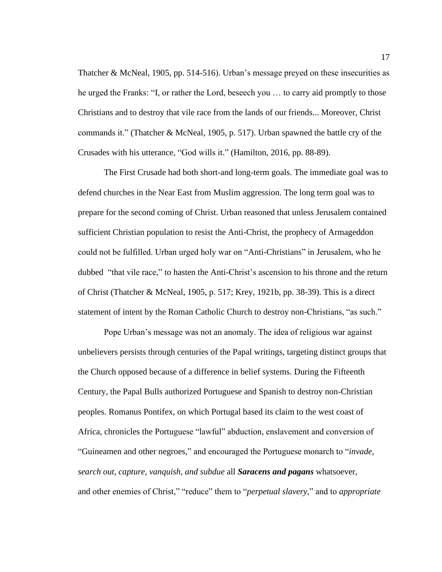Thatcher & McNeal, 1905, pp. 514-516). Urban's message preyed on these insecurities as he urged the Franks: "I, or rather the Lord, beseech you … to carry aid promptly to those Christians and to destroy that vile race from the lands of our friends... Moreover, Christ commands it." (Thatcher & McNeal, 1905, p. 517). Urban spawned the battle cry of the Crusades with his utterance, "God wills it." (Hamilton, 2016, pp. 88-89).

The First Crusade had both short-and long-term goals. The immediate goal was to defend churches in the Near East from Muslim aggression. The long term goal was to prepare for the second coming of Christ. Urban reasoned that unless Jerusalem contained sufficient Christian population to resist the Anti-Christ, the prophecy of Armageddon could not be fulfilled. Urban urged holy war on "Anti-Christians" in Jerusalem, who he dubbed "that vile race," to hasten the Anti-Christ's ascension to his throne and the return of Christ (Thatcher & McNeal, 1905, p. 517; Krey, 1921b, pp. 38-39). This is a direct statement of intent by the Roman Catholic Church to destroy non-Christians, "as such."

Pope Urban's message was not an anomaly. The idea of religious war against unbelievers persists through centuries of the Papal writings, targeting distinct groups that the Church opposed because of a difference in belief systems. During the Fifteenth Century, the Papal Bulls authorized Portuguese and Spanish to destroy non-Christian peoples. Romanus Pontifex, on which Portugal based its claim to the west coast of Africa, chronicles the Portuguese "lawful" abduction, enslavement and conversion of "Guineamen and other negroes," and encouraged the Portuguese monarch to "*invade, search out, capture, vanquish, and subdue* all *Saracens and pagans* whatsoever, and other enemies of Christ," "reduce" them to "*perpetual slavery*," and to *appropriate*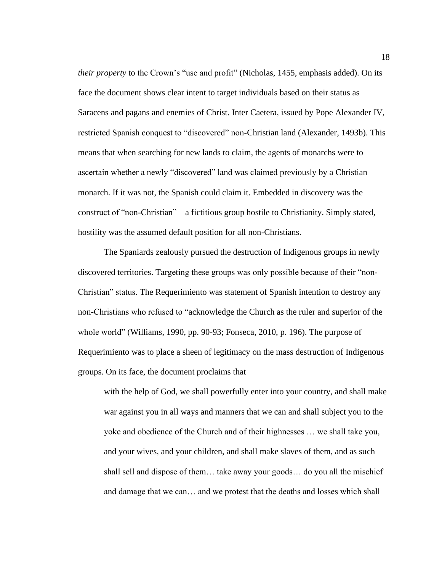*their property* to the Crown's "use and profit" (Nicholas, 1455, emphasis added). On its face the document shows clear intent to target individuals based on their status as Saracens and pagans and enemies of Christ. Inter Caetera, issued by Pope Alexander IV, restricted Spanish conquest to "discovered" non-Christian land (Alexander, 1493b). This means that when searching for new lands to claim, the agents of monarchs were to ascertain whether a newly "discovered" land was claimed previously by a Christian monarch. If it was not, the Spanish could claim it. Embedded in discovery was the construct of "non-Christian" – a fictitious group hostile to Christianity. Simply stated, hostility was the assumed default position for all non-Christians.

The Spaniards zealously pursued the destruction of Indigenous groups in newly discovered territories. Targeting these groups was only possible because of their "non-Christian" status. The Requerimiento was statement of Spanish intention to destroy any non-Christians who refused to "acknowledge the Church as the ruler and superior of the whole world" (Williams, 1990, pp. 90-93; Fonseca, 2010, p. 196). The purpose of Requerimiento was to place a sheen of legitimacy on the mass destruction of Indigenous groups. On its face, the document proclaims that

with the help of God, we shall powerfully enter into your country, and shall make war against you in all ways and manners that we can and shall subject you to the yoke and obedience of the Church and of their highnesses … we shall take you, and your wives, and your children, and shall make slaves of them, and as such shall sell and dispose of them… take away your goods… do you all the mischief and damage that we can… and we protest that the deaths and losses which shall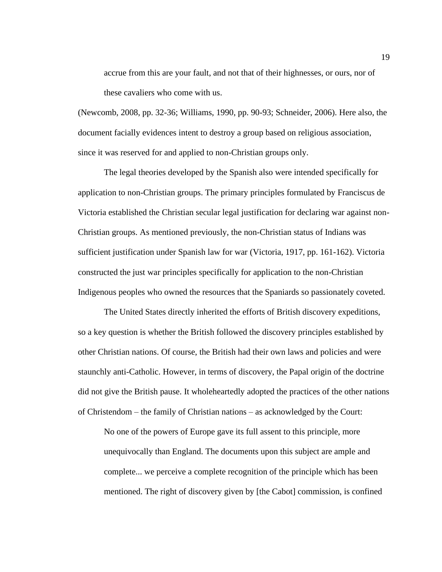accrue from this are your fault, and not that of their highnesses, or ours, nor of these cavaliers who come with us.

(Newcomb, 2008, pp. 32-36; Williams, 1990, pp. 90-93; Schneider, 2006). Here also, the document facially evidences intent to destroy a group based on religious association, since it was reserved for and applied to non-Christian groups only.

The legal theories developed by the Spanish also were intended specifically for application to non-Christian groups. The primary principles formulated by Franciscus de Victoria established the Christian secular legal justification for declaring war against non-Christian groups. As mentioned previously, the non-Christian status of Indians was sufficient justification under Spanish law for war (Victoria, 1917, pp. 161-162). Victoria constructed the just war principles specifically for application to the non-Christian Indigenous peoples who owned the resources that the Spaniards so passionately coveted.

The United States directly inherited the efforts of British discovery expeditions, so a key question is whether the British followed the discovery principles established by other Christian nations. Of course, the British had their own laws and policies and were staunchly anti-Catholic. However, in terms of discovery, the Papal origin of the doctrine did not give the British pause. It wholeheartedly adopted the practices of the other nations of Christendom – the family of Christian nations – as acknowledged by the Court:

No one of the powers of Europe gave its full assent to this principle, more unequivocally than England. The documents upon this subject are ample and complete... we perceive a complete recognition of the principle which has been mentioned. The right of discovery given by [the Cabot] commission, is confined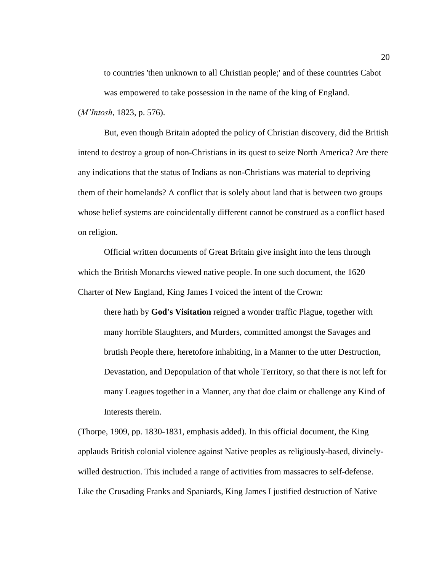to countries 'then unknown to all Christian people;' and of these countries Cabot was empowered to take possession in the name of the king of England.

(*M'Intosh*, 1823, p. 576).

But, even though Britain adopted the policy of Christian discovery, did the British intend to destroy a group of non-Christians in its quest to seize North America? Are there any indications that the status of Indians as non-Christians was material to depriving them of their homelands? A conflict that is solely about land that is between two groups whose belief systems are coincidentally different cannot be construed as a conflict based on religion.

Official written documents of Great Britain give insight into the lens through which the British Monarchs viewed native people. In one such document, the 1620 Charter of New England, King James I voiced the intent of the Crown:

there hath by **God's Visitation** reigned a wonder traffic Plague, together with many horrible Slaughters, and Murders, committed amongst the Savages and brutish People there, heretofore inhabiting, in a Manner to the utter Destruction, Devastation, and Depopulation of that whole Territory, so that there is not left for many Leagues together in a Manner, any that doe claim or challenge any Kind of Interests therein.

(Thorpe, 1909, pp. 1830-1831, emphasis added). In this official document, the King applauds British colonial violence against Native peoples as religiously-based, divinelywilled destruction. This included a range of activities from massacres to self-defense. Like the Crusading Franks and Spaniards, King James I justified destruction of Native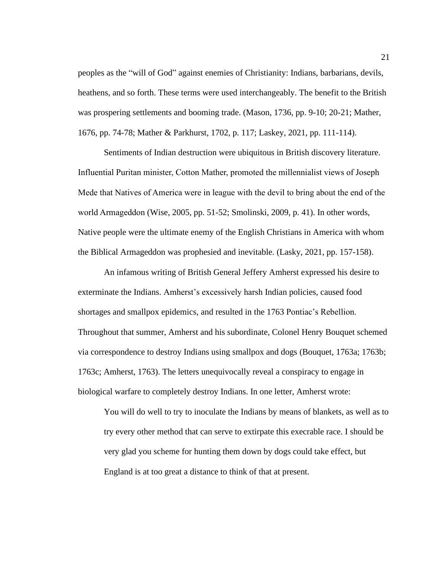peoples as the "will of God" against enemies of Christianity: Indians, barbarians, devils, heathens, and so forth. These terms were used interchangeably. The benefit to the British was prospering settlements and booming trade. (Mason, 1736, pp. 9-10; 20-21; Mather, 1676, pp. 74-78; Mather & Parkhurst, 1702, p. 117; Laskey, 2021, pp. 111-114).

Sentiments of Indian destruction were ubiquitous in British discovery literature. Influential Puritan minister, Cotton Mather, promoted the millennialist views of Joseph Mede that Natives of America were in league with the devil to bring about the end of the world Armageddon (Wise, 2005, pp. 51-52; Smolinski, 2009, p. 41). In other words, Native people were the ultimate enemy of the English Christians in America with whom the Biblical Armageddon was prophesied and inevitable. (Lasky, 2021, pp. 157-158).

An infamous writing of British General Jeffery Amherst expressed his desire to exterminate the Indians. Amherst's excessively harsh Indian policies, caused food shortages and smallpox epidemics, and resulted in the 1763 Pontiac's Rebellion. Throughout that summer, Amherst and his subordinate, Colonel Henry Bouquet schemed via correspondence to destroy Indians using smallpox and dogs (Bouquet, 1763a; 1763b; 1763c; Amherst, 1763). The letters unequivocally reveal a conspiracy to engage in biological warfare to completely destroy Indians. In one letter, Amherst wrote:

You will do well to try to inoculate the Indians by means of blankets, as well as to try every other method that can serve to extirpate this execrable race. I should be very glad you scheme for hunting them down by dogs could take effect, but England is at too great a distance to think of that at present.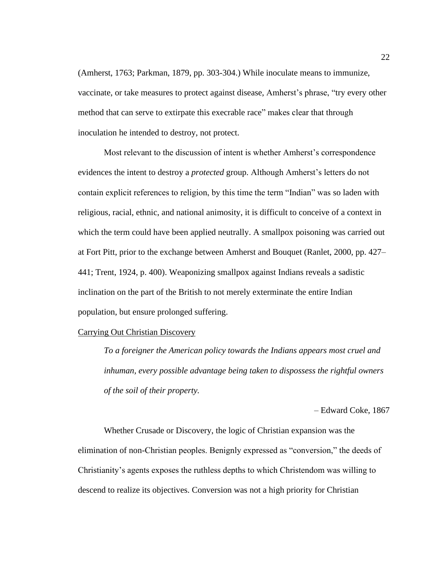(Amherst, 1763; Parkman, 1879, pp. 303-304.) While inoculate means to immunize, vaccinate, or take measures to protect against disease, Amherst's phrase, "try every other method that can serve to extirpate this execrable race" makes clear that through inoculation he intended to destroy, not protect.

Most relevant to the discussion of intent is whether Amherst's correspondence evidences the intent to destroy a *protected* group. Although Amherst's letters do not contain explicit references to religion, by this time the term "Indian" was so laden with religious, racial, ethnic, and national animosity, it is difficult to conceive of a context in which the term could have been applied neutrally. A smallpox poisoning was carried out at Fort Pitt, prior to the exchange between Amherst and Bouquet (Ranlet, 2000, pp. 427– 441; Trent, 1924, p. 400). Weaponizing smallpox against Indians reveals a sadistic inclination on the part of the British to not merely exterminate the entire Indian population, but ensure prolonged suffering.

## <span id="page-27-0"></span>Carrying Out Christian Discovery

*To a foreigner the American policy towards the Indians appears most cruel and inhuman, every possible advantage being taken to dispossess the rightful owners of the soil of their property.* 

– Edward Coke, 1867

Whether Crusade or Discovery, the logic of Christian expansion was the elimination of non-Christian peoples. Benignly expressed as "conversion," the deeds of Christianity's agents exposes the ruthless depths to which Christendom was willing to descend to realize its objectives. Conversion was not a high priority for Christian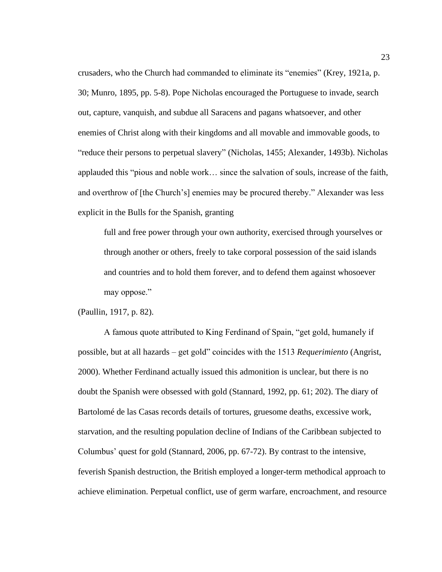crusaders, who the Church had commanded to eliminate its "enemies" (Krey, 1921a, p. 30; Munro, 1895, pp. 5-8). Pope Nicholas encouraged the Portuguese to invade, search out, capture, vanquish, and subdue all Saracens and pagans whatsoever, and other enemies of Christ along with their kingdoms and all movable and immovable goods, to "reduce their persons to perpetual slavery" (Nicholas, 1455; Alexander, 1493b). Nicholas applauded this "pious and noble work… since the salvation of souls, increase of the faith, and overthrow of [the Church's] enemies may be procured thereby." Alexander was less explicit in the Bulls for the Spanish, granting

full and free power through your own authority, exercised through yourselves or through another or others, freely to take corporal possession of the said islands and countries and to hold them forever, and to defend them against whosoever may oppose."

## (Paullin, 1917, p. 82).

A famous quote attributed to King Ferdinand of Spain, "get gold, humanely if possible, but at all hazards – get gold" coincides with the 1513 *Requerimiento* (Angrist, 2000). Whether Ferdinand actually issued this admonition is unclear, but there is no doubt the Spanish were obsessed with gold (Stannard, 1992, pp. 61; 202). The diary of Bartolomé de las Casas records details of tortures, gruesome deaths, excessive work, starvation, and the resulting population decline of Indians of the Caribbean subjected to Columbus' quest for gold (Stannard, 2006, pp. 67-72). By contrast to the intensive, feverish Spanish destruction, the British employed a longer-term methodical approach to achieve elimination. Perpetual conflict, use of germ warfare, encroachment, and resource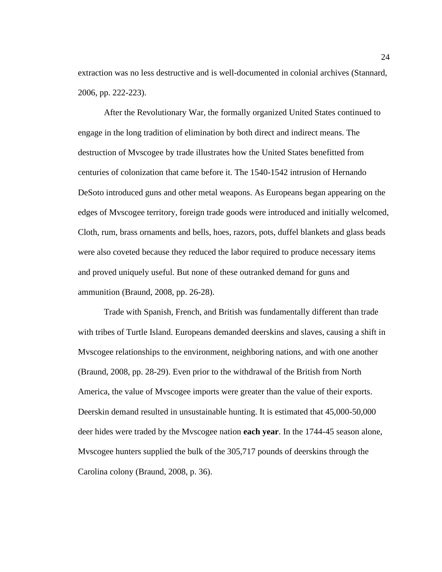extraction was no less destructive and is well-documented in colonial archives (Stannard, 2006, pp. 222-223).

After the Revolutionary War, the formally organized United States continued to engage in the long tradition of elimination by both direct and indirect means. The destruction of Mvscogee by trade illustrates how the United States benefitted from centuries of colonization that came before it. The 1540-1542 intrusion of Hernando DeSoto introduced guns and other metal weapons. As Europeans began appearing on the edges of Mvscogee territory, foreign trade goods were introduced and initially welcomed, Cloth, rum, brass ornaments and bells, hoes, razors, pots, duffel blankets and glass beads were also coveted because they reduced the labor required to produce necessary items and proved uniquely useful. But none of these outranked demand for guns and ammunition (Braund, 2008, pp. 26-28).

Trade with Spanish, French, and British was fundamentally different than trade with tribes of Turtle Island. Europeans demanded deerskins and slaves, causing a shift in Mvscogee relationships to the environment, neighboring nations, and with one another (Braund, 2008, pp. 28-29). Even prior to the withdrawal of the British from North America, the value of Mvscogee imports were greater than the value of their exports. Deerskin demand resulted in unsustainable hunting. It is estimated that 45,000-50,000 deer hides were traded by the Mvscogee nation **each year**. In the 1744-45 season alone, Mvscogee hunters supplied the bulk of the 305,717 pounds of deerskins through the Carolina colony (Braund, 2008, p. 36).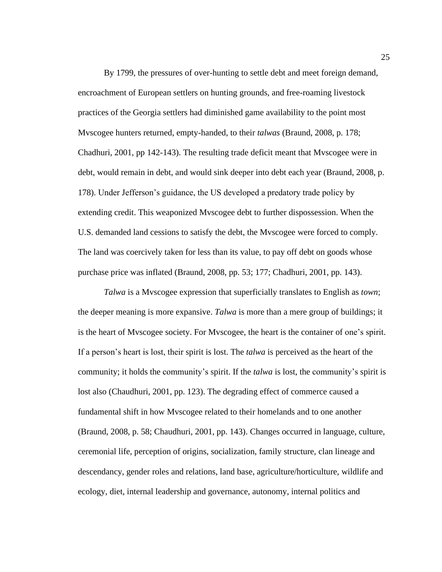By 1799, the pressures of over-hunting to settle debt and meet foreign demand, encroachment of European settlers on hunting grounds, and free-roaming livestock practices of the Georgia settlers had diminished game availability to the point most Mvscogee hunters returned, empty-handed, to their *talwas* (Braund, 2008, p. 178; Chadhuri, 2001, pp 142-143). The resulting trade deficit meant that Mvscogee were in debt, would remain in debt, and would sink deeper into debt each year (Braund, 2008, p. 178). Under Jefferson's guidance, the US developed a predatory trade policy by extending credit. This weaponized Mvscogee debt to further dispossession. When the U.S. demanded land cessions to satisfy the debt, the Mvscogee were forced to comply. The land was coercively taken for less than its value, to pay off debt on goods whose purchase price was inflated (Braund, 2008, pp. 53; 177; Chadhuri, 2001, pp. 143).

*Talwa* is a Mvscogee expression that superficially translates to English as *town*; the deeper meaning is more expansive. *Talwa* is more than a mere group of buildings; it is the heart of Mvscogee society. For Mvscogee, the heart is the container of one's spirit. If a person's heart is lost, their spirit is lost. The *talwa* is perceived as the heart of the community; it holds the community's spirit. If the *talwa* is lost, the community's spirit is lost also (Chaudhuri, 2001, pp. 123). The degrading effect of commerce caused a fundamental shift in how Mvscogee related to their homelands and to one another (Braund, 2008, p. 58; Chaudhuri, 2001, pp. 143). Changes occurred in language, culture, ceremonial life, perception of origins, socialization, family structure, clan lineage and descendancy, gender roles and relations, land base, agriculture/horticulture, wildlife and ecology, diet, internal leadership and governance, autonomy, internal politics and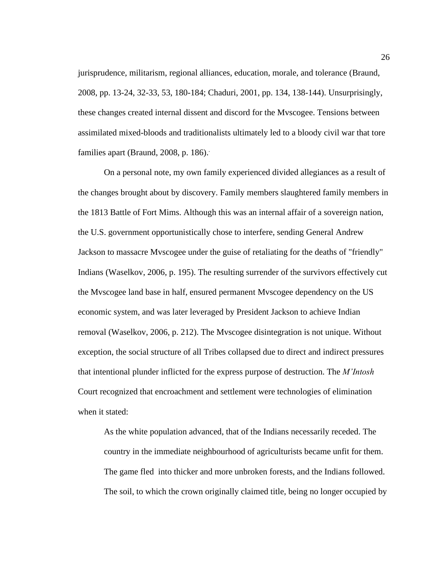jurisprudence, militarism, regional alliances, education, morale, and tolerance (Braund, 2008, pp. 13-24, 32-33, 53, 180-184; Chaduri, 2001, pp. 134, 138-144). Unsurprisingly, these changes created internal dissent and discord for the Mvscogee. Tensions between assimilated mixed-bloods and traditionalists ultimately led to a bloody civil war that tore families apart (Braund, 2008, p. 186).

On a personal note, my own family experienced divided allegiances as a result of the changes brought about by discovery. Family members slaughtered family members in the 1813 Battle of Fort Mims. Although this was an internal affair of a sovereign nation, the U.S. government opportunistically chose to interfere, sending General Andrew Jackson to massacre Mvscogee under the guise of retaliating for the deaths of "friendly" Indians (Waselkov, 2006, p. 195). The resulting surrender of the survivors effectively cut the Mvscogee land base in half, ensured permanent Mvscogee dependency on the US economic system, and was later leveraged by President Jackson to achieve Indian removal (Waselkov, 2006, p. 212). The Mvscogee disintegration is not unique. Without exception, the social structure of all Tribes collapsed due to direct and indirect pressures that intentional plunder inflicted for the express purpose of destruction. The *M'Intosh* Court recognized that encroachment and settlement were technologies of elimination when it stated:

As the white population advanced, that of the Indians necessarily receded. The country in the immediate neighbourhood of agriculturists became unfit for them. The game fled into thicker and more unbroken forests, and the Indians followed. The soil, to which the crown originally claimed title, being no longer occupied by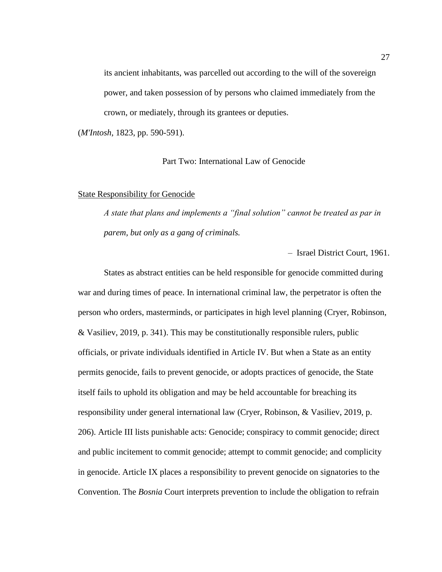its ancient inhabitants, was parcelled out according to the will of the sovereign power, and taken possession of by persons who claimed immediately from the crown, or mediately, through its grantees or deputies.

<span id="page-32-0"></span>(*M'Intosh*, 1823, pp. 590-591).

Part Two: International Law of Genocide

#### <span id="page-32-1"></span>State Responsibility for Genocide

*A state that plans and implements a "final solution" cannot be treated as par in parem, but only as a gang of criminals.* 

– Israel District Court, 1961.

States as abstract entities can be held responsible for genocide committed during war and during times of peace. In international criminal law, the perpetrator is often the person who orders, masterminds, or participates in high level planning (Cryer, Robinson, & Vasiliev, 2019, p. 341). This may be constitutionally responsible rulers, public officials, or private individuals identified in Article IV. But when a State as an entity permits genocide, fails to prevent genocide, or adopts practices of genocide, the State itself fails to uphold its obligation and may be held accountable for breaching its responsibility under general international law (Cryer, Robinson, & Vasiliev, 2019, p. 206). Article III lists punishable acts: Genocide; conspiracy to commit genocide; direct and public incitement to commit genocide; attempt to commit genocide; and complicity in genocide. Article IX places a responsibility to prevent genocide on signatories to the Convention. The *Bosnia* Court interprets prevention to include the obligation to refrain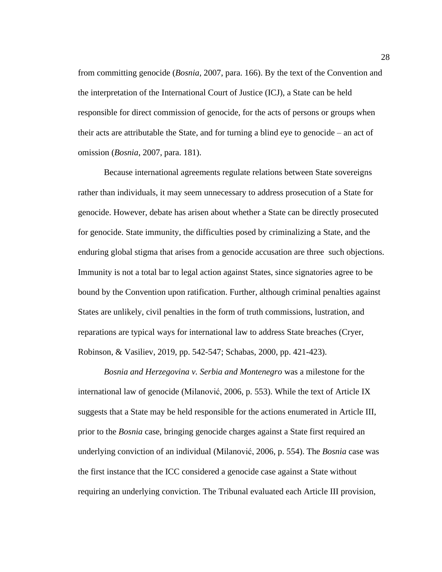from committing genocide (*Bosnia*, 2007, para. 166). By the text of the Convention and the interpretation of the International Court of Justice (ICJ), a State can be held responsible for direct commission of genocide, for the acts of persons or groups when their acts are attributable the State, and for turning a blind eye to genocide – an act of omission (*Bosnia*, 2007, para. 181).

Because international agreements regulate relations between State sovereigns rather than individuals, it may seem unnecessary to address prosecution of a State for genocide. However, debate has arisen about whether a State can be directly prosecuted for genocide. State immunity, the difficulties posed by criminalizing a State, and the enduring global stigma that arises from a genocide accusation are three such objections. Immunity is not a total bar to legal action against States, since signatories agree to be bound by the Convention upon ratification. Further, although criminal penalties against States are unlikely, civil penalties in the form of truth commissions, lustration, and reparations are typical ways for international law to address State breaches (Cryer, Robinson, & Vasiliev, 2019, pp. 542-547; Schabas, 2000, pp. 421-423).

*Bosnia and Herzegovina v. Serbia and Montenegro* was a milestone for the international law of genocide (Milanović, 2006, p. 553). While the text of Article IX suggests that a State may be held responsible for the actions enumerated in Article III, prior to the *Bosnia* case, bringing genocide charges against a State first required an underlying conviction of an individual (Milanović, 2006, p. 554). The *Bosnia* case was the first instance that the ICC considered a genocide case against a State without requiring an underlying conviction. The Tribunal evaluated each Article III provision,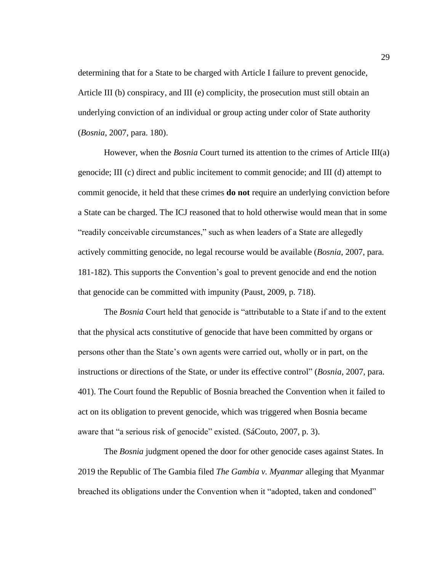determining that for a State to be charged with Article I failure to prevent genocide, Article III (b) conspiracy, and III (e) complicity, the prosecution must still obtain an underlying conviction of an individual or group acting under color of State authority (*Bosnia*, 2007, para. 180).

However, when the *Bosnia* Court turned its attention to the crimes of Article III(a) genocide; III (c) direct and public incitement to commit genocide; and III (d) attempt to commit genocide, it held that these crimes **do not** require an underlying conviction before a State can be charged. The ICJ reasoned that to hold otherwise would mean that in some "readily conceivable circumstances," such as when leaders of a State are allegedly actively committing genocide, no legal recourse would be available (*Bosnia*, 2007, para. 181-182). This supports the Convention's goal to prevent genocide and end the notion that genocide can be committed with impunity (Paust, 2009, p. 718).

The *Bosnia* Court held that genocide is "attributable to a State if and to the extent that the physical acts constitutive of genocide that have been committed by organs or persons other than the State's own agents were carried out, wholly or in part, on the instructions or directions of the State, or under its effective control" (*Bosnia*, 2007, para. 401). The Court found the Republic of Bosnia breached the Convention when it failed to act on its obligation to prevent genocide, which was triggered when Bosnia became aware that "a serious risk of genocide" existed. (SáCouto, 2007, p. 3).

The *Bosnia* judgment opened the door for other genocide cases against States. In 2019 the Republic of The Gambia filed *The Gambia v. Myanmar* alleging that Myanmar breached its obligations under the Convention when it "adopted, taken and condoned"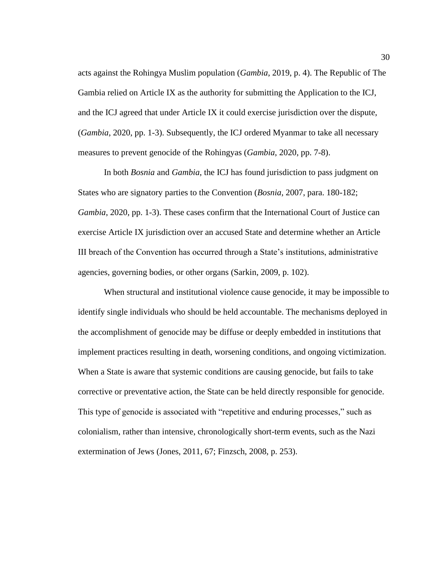acts against the Rohingya Muslim population (*Gambia*, 2019, p. 4). The Republic of The Gambia relied on Article IX as the authority for submitting the Application to the ICJ, and the ICJ agreed that under Article IX it could exercise jurisdiction over the dispute, (*Gambia*, 2020, pp. 1-3). Subsequently, the ICJ ordered Myanmar to take all necessary measures to prevent genocide of the Rohingyas (*Gambia*, 2020, pp. 7-8).

In both *Bosnia* and *Gambia*, the ICJ has found jurisdiction to pass judgment on States who are signatory parties to the Convention (*Bosnia*, 2007, para. 180-182; *Gambia*, 2020, pp. 1-3). These cases confirm that the International Court of Justice can exercise Article IX jurisdiction over an accused State and determine whether an Article III breach of the Convention has occurred through a State's institutions, administrative agencies, governing bodies, or other organs (Sarkin, 2009, p. 102).

When structural and institutional violence cause genocide, it may be impossible to identify single individuals who should be held accountable. The mechanisms deployed in the accomplishment of genocide may be diffuse or deeply embedded in institutions that implement practices resulting in death, worsening conditions, and ongoing victimization. When a State is aware that systemic conditions are causing genocide, but fails to take corrective or preventative action, the State can be held directly responsible for genocide. This type of genocide is associated with "repetitive and enduring processes," such as colonialism, rather than intensive, chronologically short-term events, such as the Nazi extermination of Jews (Jones, 2011, 67; Finzsch, 2008, p. 253).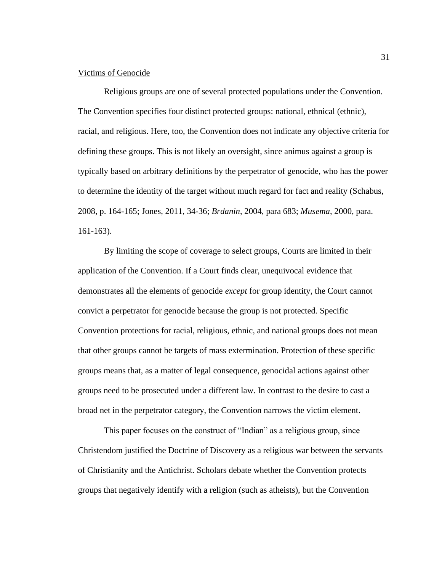### Victims of Genocide

Religious groups are one of several protected populations under the Convention. The Convention specifies four distinct protected groups: national, ethnical (ethnic), racial, and religious. Here, too, the Convention does not indicate any objective criteria for defining these groups. This is not likely an oversight, since animus against a group is typically based on arbitrary definitions by the perpetrator of genocide, who has the power to determine the identity of the target without much regard for fact and reality (Schabus, 2008, p. 164-165; Jones, 2011, 34-36; *Brdanin*, 2004, para 683; *Musema*, 2000, para. 161-163).

By limiting the scope of coverage to select groups, Courts are limited in their application of the Convention. If a Court finds clear, unequivocal evidence that demonstrates all the elements of genocide *except* for group identity, the Court cannot convict a perpetrator for genocide because the group is not protected. Specific Convention protections for racial, religious, ethnic, and national groups does not mean that other groups cannot be targets of mass extermination. Protection of these specific groups means that, as a matter of legal consequence, genocidal actions against other groups need to be prosecuted under a different law. In contrast to the desire to cast a broad net in the perpetrator category, the Convention narrows the victim element.

This paper focuses on the construct of "Indian" as a religious group, since Christendom justified the Doctrine of Discovery as a religious war between the servants of Christianity and the Antichrist. Scholars debate whether the Convention protects groups that negatively identify with a religion (such as atheists), but the Convention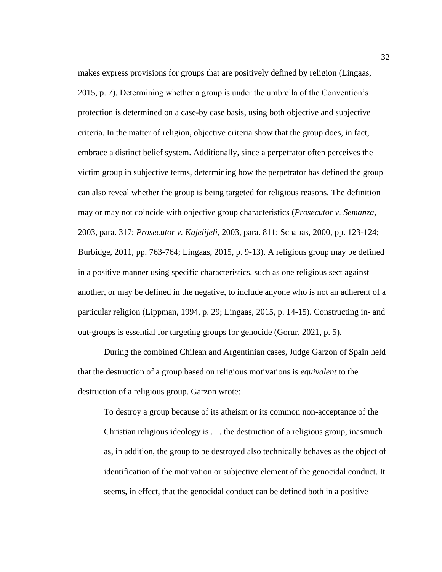makes express provisions for groups that are positively defined by religion (Lingaas, 2015, p. 7). Determining whether a group is under the umbrella of the Convention's protection is determined on a case-by case basis, using both objective and subjective criteria. In the matter of religion, objective criteria show that the group does, in fact, embrace a distinct belief system. Additionally, since a perpetrator often perceives the victim group in subjective terms, determining how the perpetrator has defined the group can also reveal whether the group is being targeted for religious reasons. The definition may or may not coincide with objective group characteristics (*Prosecutor v. Semanza*, 2003, para. 317; *Prosecutor v. Kajelijeli*, 2003, para. 811; Schabas, 2000, pp. 123-124; Burbidge, 2011, pp. 763-764; Lingaas, 2015, p. 9-13). A religious group may be defined in a positive manner using specific characteristics, such as one religious sect against another, or may be defined in the negative, to include anyone who is not an adherent of a particular religion (Lippman, 1994, p. 29; Lingaas, 2015, p. 14-15). Constructing in- and out-groups is essential for targeting groups for genocide (Gorur, 2021, p. 5).

During the combined Chilean and Argentinian cases, Judge Garzon of Spain held that the destruction of a group based on religious motivations is *equivalent* to the destruction of a religious group. Garzon wrote:

To destroy a group because of its atheism or its common non-acceptance of the Christian religious ideology is . . . the destruction of a religious group, inasmuch as, in addition, the group to be destroyed also technically behaves as the object of identification of the motivation or subjective element of the genocidal conduct. It seems, in effect, that the genocidal conduct can be defined both in a positive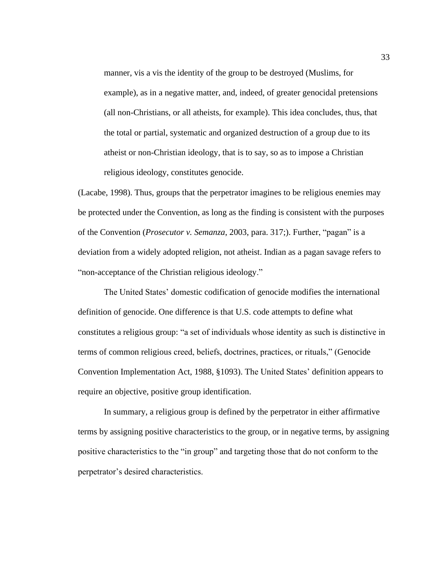manner, vis a vis the identity of the group to be destroyed (Muslims, for example), as in a negative matter, and, indeed, of greater genocidal pretensions (all non-Christians, or all atheists, for example). This idea concludes, thus, that the total or partial, systematic and organized destruction of a group due to its atheist or non-Christian ideology, that is to say, so as to impose a Christian religious ideology, constitutes genocide.

(Lacabe, 1998). Thus, groups that the perpetrator imagines to be religious enemies may be protected under the Convention, as long as the finding is consistent with the purposes of the Convention (*Prosecutor v. Semanza*, 2003, para. 317;). Further, "pagan" is a deviation from a widely adopted religion, not atheist. Indian as a pagan savage refers to "non-acceptance of the Christian religious ideology."

The United States' domestic codification of genocide modifies the international definition of genocide. One difference is that U.S. code attempts to define what constitutes a religious group: "a set of individuals whose identity as such is distinctive in terms of common religious creed, beliefs, doctrines, practices, or rituals," (Genocide Convention Implementation Act, 1988, §1093). The United States' definition appears to require an objective, positive group identification.

In summary, a religious group is defined by the perpetrator in either affirmative terms by assigning positive characteristics to the group, or in negative terms, by assigning positive characteristics to the "in group" and targeting those that do not conform to the perpetrator's desired characteristics.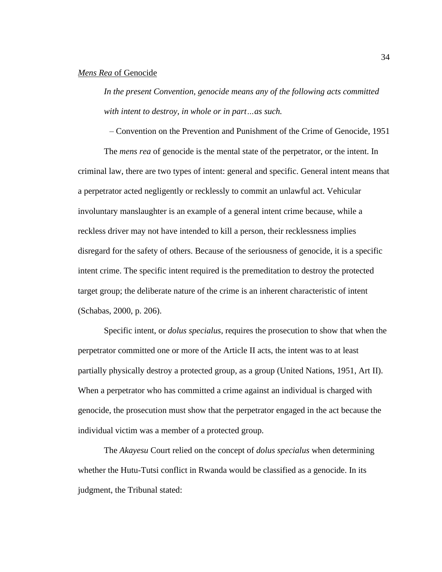# *Mens Rea* of Genocide

*In the present Convention, genocide means any of the following acts committed with intent to destroy, in whole or in part…as such.*

– Convention on the Prevention and Punishment of the Crime of Genocide, 1951

The *mens rea* of genocide is the mental state of the perpetrator, or the intent. In criminal law, there are two types of intent: general and specific. General intent means that a perpetrator acted negligently or recklessly to commit an unlawful act. Vehicular involuntary manslaughter is an example of a general intent crime because, while a reckless driver may not have intended to kill a person, their recklessness implies disregard for the safety of others. Because of the seriousness of genocide, it is a specific intent crime. The specific intent required is the premeditation to destroy the protected target group; the deliberate nature of the crime is an inherent characteristic of intent (Schabas, 2000, p. 206).

Specific intent, or *dolus specialus*, requires the prosecution to show that when the perpetrator committed one or more of the Article II acts, the intent was to at least partially physically destroy a protected group, as a group (United Nations, 1951, Art II). When a perpetrator who has committed a crime against an individual is charged with genocide, the prosecution must show that the perpetrator engaged in the act because the individual victim was a member of a protected group.

The *Akayesu* Court relied on the concept of *dolus specialus* when determining whether the Hutu-Tutsi conflict in Rwanda would be classified as a genocide. In its judgment, the Tribunal stated: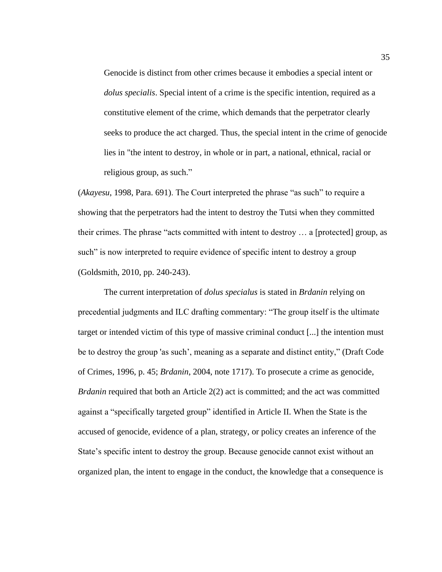Genocide is distinct from other crimes because it embodies a special intent or *dolus specialis*. Special intent of a crime is the specific intention, required as a constitutive element of the crime, which demands that the perpetrator clearly seeks to produce the act charged. Thus, the special intent in the crime of genocide lies in "the intent to destroy, in whole or in part, a national, ethnical, racial or religious group, as such."

(*Akayesu*, 1998, Para. 691). The Court interpreted the phrase "as such" to require a showing that the perpetrators had the intent to destroy the Tutsi when they committed their crimes. The phrase "acts committed with intent to destroy … a [protected] group, as such" is now interpreted to require evidence of specific intent to destroy a group (Goldsmith, 2010, pp. 240-243).

The current interpretation of *dolus specialus* is stated in *Brdanin* relying on precedential judgments and ILC drafting commentary: "The group itself is the ultimate target or intended victim of this type of massive criminal conduct [...] the intention must be to destroy the group 'as such', meaning as a separate and distinct entity," (Draft Code of Crimes, 1996, p. 45; *Brdanin*, 2004, note 1717). To prosecute a crime as genocide, *Brdanin* required that both an Article 2(2) act is committed; and the act was committed against a "specifically targeted group" identified in Article II. When the State is the accused of genocide, evidence of a plan, strategy, or policy creates an inference of the State's specific intent to destroy the group. Because genocide cannot exist without an organized plan, the intent to engage in the conduct, the knowledge that a consequence is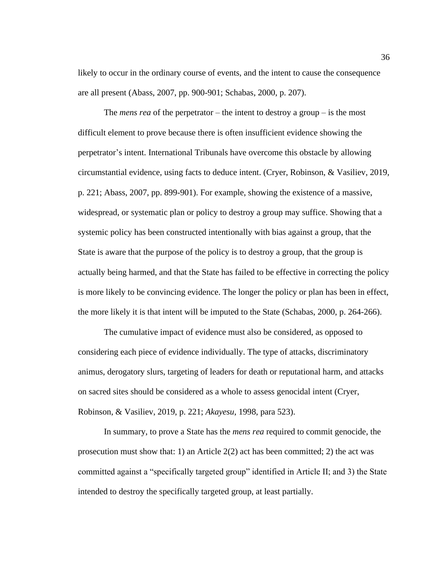likely to occur in the ordinary course of events, and the intent to cause the consequence are all present (Abass, 2007, pp. 900-901; Schabas, 2000, p. 207).

The *mens rea* of the perpetrator – the intent to destroy a group – is the most difficult element to prove because there is often insufficient evidence showing the perpetrator's intent. International Tribunals have overcome this obstacle by allowing circumstantial evidence, using facts to deduce intent. (Cryer, Robinson, & Vasiliev, 2019, p. 221; Abass, 2007, pp. 899-901). For example, showing the existence of a massive, widespread, or systematic plan or policy to destroy a group may suffice. Showing that a systemic policy has been constructed intentionally with bias against a group, that the State is aware that the purpose of the policy is to destroy a group, that the group is actually being harmed, and that the State has failed to be effective in correcting the policy is more likely to be convincing evidence. The longer the policy or plan has been in effect, the more likely it is that intent will be imputed to the State (Schabas, 2000, p. 264-266).

The cumulative impact of evidence must also be considered, as opposed to considering each piece of evidence individually. The type of attacks, discriminatory animus, derogatory slurs, targeting of leaders for death or reputational harm, and attacks on sacred sites should be considered as a whole to assess genocidal intent (Cryer, Robinson, & Vasiliev, 2019, p. 221; *Akayesu*, 1998, para 523).

In summary, to prove a State has the *mens rea* required to commit genocide, the prosecution must show that: 1) an Article 2(2) act has been committed; 2) the act was committed against a "specifically targeted group" identified in Article II; and 3) the State intended to destroy the specifically targeted group, at least partially.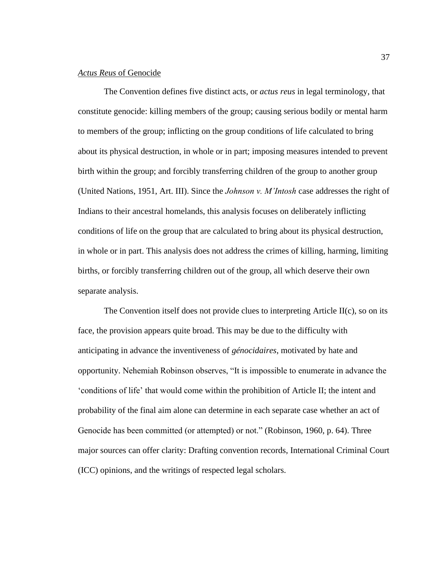# *Actus Reus* of Genocide

The Convention defines five distinct acts, or *actus reus* in legal terminology, that constitute genocide: killing members of the group; causing serious bodily or mental harm to members of the group; inflicting on the group conditions of life calculated to bring about its physical destruction, in whole or in part; imposing measures intended to prevent birth within the group; and forcibly transferring children of the group to another group (United Nations, 1951, Art. III). Since the *Johnson v. M'Intosh* case addresses the right of Indians to their ancestral homelands, this analysis focuses on deliberately inflicting conditions of life on the group that are calculated to bring about its physical destruction, in whole or in part. This analysis does not address the crimes of killing, harming, limiting births, or forcibly transferring children out of the group, all which deserve their own separate analysis.

The Convention itself does not provide clues to interpreting Article II(c), so on its face, the provision appears quite broad. This may be due to the difficulty with anticipating in advance the inventiveness of *génocidaires*, motivated by hate and opportunity. Nehemiah Robinson observes, "It is impossible to enumerate in advance the 'conditions of life' that would come within the prohibition of Article II; the intent and probability of the final aim alone can determine in each separate case whether an act of Genocide has been committed (or attempted) or not." (Robinson, 1960, p. 64). Three major sources can offer clarity: Drafting convention records, International Criminal Court (ICC) opinions, and the writings of respected legal scholars.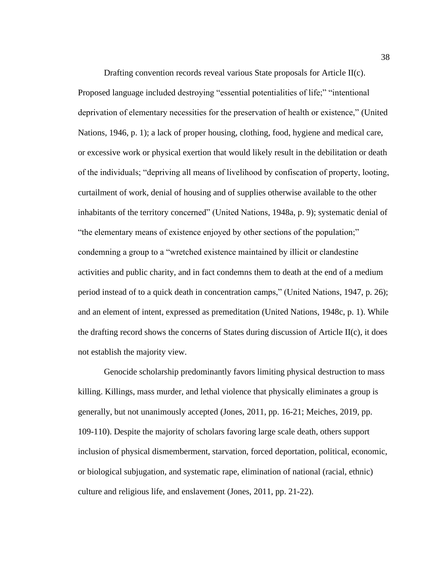Drafting convention records reveal various State proposals for Article II(c). Proposed language included destroying "essential potentialities of life;" "intentional deprivation of elementary necessities for the preservation of health or existence," (United Nations, 1946, p. 1); a lack of proper housing, clothing, food, hygiene and medical care, or excessive work or physical exertion that would likely result in the debilitation or death of the individuals; "depriving all means of livelihood by confiscation of property, looting, curtailment of work, denial of housing and of supplies otherwise available to the other inhabitants of the territory concerned" (United Nations, 1948a, p. 9); systematic denial of "the elementary means of existence enjoyed by other sections of the population;" condemning a group to a "wretched existence maintained by illicit or clandestine activities and public charity, and in fact condemns them to death at the end of a medium period instead of to a quick death in concentration camps," (United Nations, 1947, p. 26); and an element of intent, expressed as premeditation (United Nations, 1948c, p. 1). While the drafting record shows the concerns of States during discussion of Article II(c), it does not establish the majority view.

Genocide scholarship predominantly favors limiting physical destruction to mass killing. Killings, mass murder, and lethal violence that physically eliminates a group is generally, but not unanimously accepted (Jones, 2011, pp. 16-21; Meiches, 2019, pp. 109-110). Despite the majority of scholars favoring large scale death, others support inclusion of physical dismemberment, starvation, forced deportation, political, economic, or biological subjugation, and systematic rape, elimination of national (racial, ethnic) culture and religious life, and enslavement (Jones, 2011, pp. 21-22).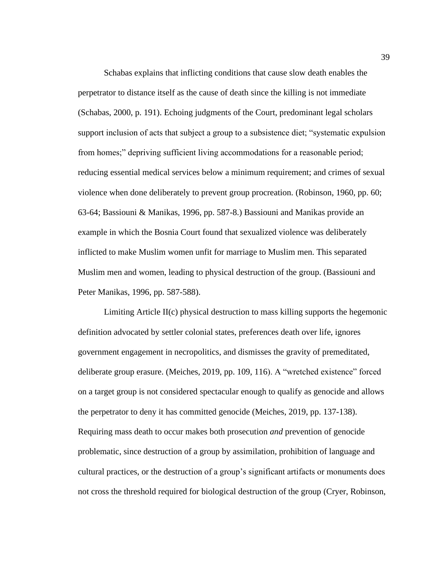Schabas explains that inflicting conditions that cause slow death enables the perpetrator to distance itself as the cause of death since the killing is not immediate (Schabas, 2000, p. 191). Echoing judgments of the Court, predominant legal scholars support inclusion of acts that subject a group to a subsistence diet; "systematic expulsion from homes;" depriving sufficient living accommodations for a reasonable period; reducing essential medical services below a minimum requirement; and crimes of sexual violence when done deliberately to prevent group procreation. (Robinson, 1960, pp. 60; 63-64; Bassiouni & Manikas, 1996, pp. 587-8.) Bassiouni and Manikas provide an example in which the Bosnia Court found that sexualized violence was deliberately inflicted to make Muslim women unfit for marriage to Muslim men. This separated Muslim men and women, leading to physical destruction of the group. (Bassiouni and Peter Manikas, 1996, pp. 587-588).

Limiting Article II(c) physical destruction to mass killing supports the hegemonic definition advocated by settler colonial states, preferences death over life, ignores government engagement in necropolitics, and dismisses the gravity of premeditated, deliberate group erasure. (Meiches, 2019, pp. 109, 116). A "wretched existence" forced on a target group is not considered spectacular enough to qualify as genocide and allows the perpetrator to deny it has committed genocide (Meiches, 2019, pp. 137-138). Requiring mass death to occur makes both prosecution *and* prevention of genocide problematic, since destruction of a group by assimilation, prohibition of language and cultural practices, or the destruction of a group's significant artifacts or monuments does not cross the threshold required for biological destruction of the group (Cryer, Robinson,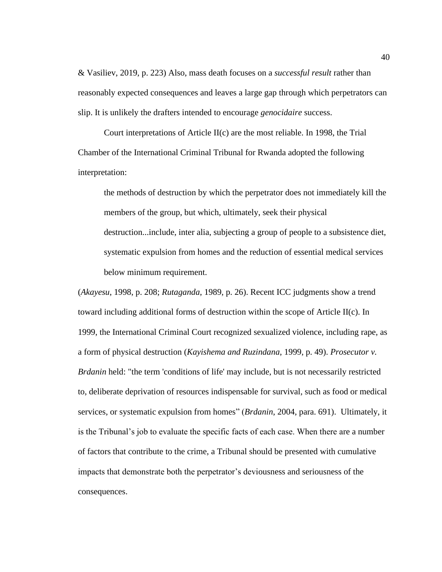& Vasiliev, 2019, p. 223) Also, mass death focuses on a *successful result* rather than reasonably expected consequences and leaves a large gap through which perpetrators can slip. It is unlikely the drafters intended to encourage *genocidaire* success.

Court interpretations of Article II(c) are the most reliable. In 1998, the Trial Chamber of the International Criminal Tribunal for Rwanda adopted the following interpretation:

the methods of destruction by which the perpetrator does not immediately kill the members of the group, but which, ultimately, seek their physical destruction...include, inter alia, subjecting a group of people to a subsistence diet, systematic expulsion from homes and the reduction of essential medical services below minimum requirement.

(*Akayesu*, 1998, p. 208; *Rutaganda*, 1989, p. 26). Recent ICC judgments show a trend toward including additional forms of destruction within the scope of Article II(c). In 1999, the International Criminal Court recognized sexualized violence, including rape, as a form of physical destruction (*Kayishema and Ruzindana*, 1999, p. 49). *Prosecutor v. Brdanin* held: "the term 'conditions of life' may include, but is not necessarily restricted to, deliberate deprivation of resources indispensable for survival, such as food or medical services, or systematic expulsion from homes" (*Brdanin*, 2004, para. 691). Ultimately, it is the Tribunal's job to evaluate the specific facts of each case. When there are a number of factors that contribute to the crime, a Tribunal should be presented with cumulative impacts that demonstrate both the perpetrator's deviousness and seriousness of the consequences.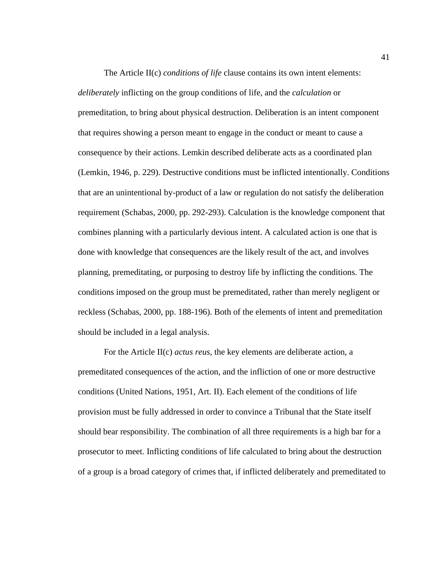The Article II(c) *conditions of life* clause contains its own intent elements: *deliberately* inflicting on the group conditions of life, and the *calculation* or premeditation, to bring about physical destruction. Deliberation is an intent component that requires showing a person meant to engage in the conduct or meant to cause a consequence by their actions. Lemkin described deliberate acts as a coordinated plan (Lemkin, 1946, p. 229). Destructive conditions must be inflicted intentionally. Conditions that are an unintentional by-product of a law or regulation do not satisfy the deliberation requirement (Schabas, 2000, pp. 292-293). Calculation is the knowledge component that combines planning with a particularly devious intent. A calculated action is one that is done with knowledge that consequences are the likely result of the act, and involves planning, premeditating, or purposing to destroy life by inflicting the conditions. The conditions imposed on the group must be premeditated, rather than merely negligent or reckless (Schabas, 2000, pp. 188-196). Both of the elements of intent and premeditation should be included in a legal analysis.

For the Article II(c) *actus reus*, the key elements are deliberate action, a premeditated consequences of the action, and the infliction of one or more destructive conditions (United Nations, 1951, Art. II). Each element of the conditions of life provision must be fully addressed in order to convince a Tribunal that the State itself should bear responsibility. The combination of all three requirements is a high bar for a prosecutor to meet. Inflicting conditions of life calculated to bring about the destruction of a group is a broad category of crimes that, if inflicted deliberately and premeditated to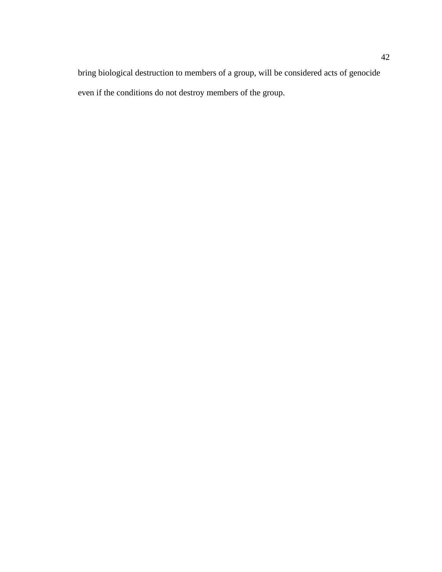bring biological destruction to members of a group, will be considered acts of genocide even if the conditions do not destroy members of the group.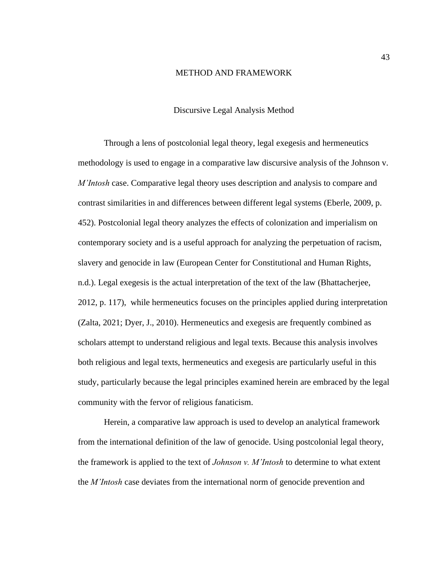### METHOD AND FRAMEWORK

#### Discursive Legal Analysis Method

Through a lens of postcolonial legal theory, legal exegesis and hermeneutics methodology is used to engage in a comparative law discursive analysis of the Johnson v. *M'Intosh* case. Comparative legal theory uses description and analysis to compare and contrast similarities in and differences between different legal systems (Eberle, 2009, p. 452). Postcolonial legal theory analyzes the effects of colonization and imperialism on contemporary society and is a useful approach for analyzing the perpetuation of racism, slavery and genocide in law (European Center for Constitutional and Human Rights, n.d.). Legal exegesis is the actual interpretation of the text of the law (Bhattacherjee, 2012, p. 117), while hermeneutics focuses on the principles applied during interpretation (Zalta, 2021; Dyer, J., 2010). Hermeneutics and exegesis are frequently combined as scholars attempt to understand religious and legal texts. Because this analysis involves both religious and legal texts, hermeneutics and exegesis are particularly useful in this study, particularly because the legal principles examined herein are embraced by the legal community with the fervor of religious fanaticism.

Herein, a comparative law approach is used to develop an analytical framework from the international definition of the law of genocide. Using postcolonial legal theory, the framework is applied to the text of *Johnson v. M'Intosh* to determine to what extent the *M'Intosh* case deviates from the international norm of genocide prevention and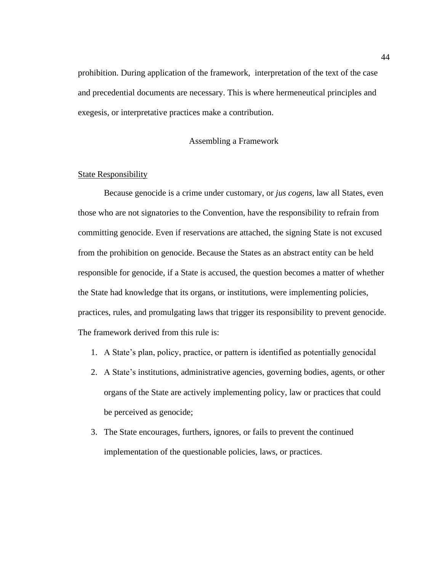prohibition. During application of the framework, interpretation of the text of the case and precedential documents are necessary. This is where hermeneutical principles and exegesis, or interpretative practices make a contribution.

# Assembling a Framework

# State Responsibility

Because genocide is a crime under customary, or *jus cogens*, law all States, even those who are not signatories to the Convention, have the responsibility to refrain from committing genocide. Even if reservations are attached, the signing State is not excused from the prohibition on genocide. Because the States as an abstract entity can be held responsible for genocide, if a State is accused, the question becomes a matter of whether the State had knowledge that its organs, or institutions, were implementing policies, practices, rules, and promulgating laws that trigger its responsibility to prevent genocide. The framework derived from this rule is:

- 1. A State's plan, policy, practice, or pattern is identified as potentially genocidal
- 2. A State's institutions, administrative agencies, governing bodies, agents, or other organs of the State are actively implementing policy, law or practices that could be perceived as genocide;
- 3. The State encourages, furthers, ignores, or fails to prevent the continued implementation of the questionable policies, laws, or practices.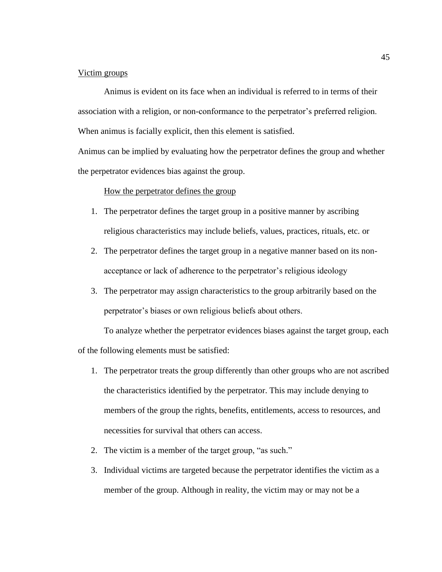# Victim groups

Animus is evident on its face when an individual is referred to in terms of their association with a religion, or non-conformance to the perpetrator's preferred religion. When animus is facially explicit, then this element is satisfied.

Animus can be implied by evaluating how the perpetrator defines the group and whether the perpetrator evidences bias against the group.

# How the perpetrator defines the group

- 1. The perpetrator defines the target group in a positive manner by ascribing religious characteristics may include beliefs, values, practices, rituals, etc. or
- 2. The perpetrator defines the target group in a negative manner based on its nonacceptance or lack of adherence to the perpetrator's religious ideology
- 3. The perpetrator may assign characteristics to the group arbitrarily based on the perpetrator's biases or own religious beliefs about others.

To analyze whether the perpetrator evidences biases against the target group, each of the following elements must be satisfied:

- 1. The perpetrator treats the group differently than other groups who are not ascribed the characteristics identified by the perpetrator. This may include denying to members of the group the rights, benefits, entitlements, access to resources, and necessities for survival that others can access.
- 2. The victim is a member of the target group, "as such."
- 3. Individual victims are targeted because the perpetrator identifies the victim as a member of the group. Although in reality, the victim may or may not be a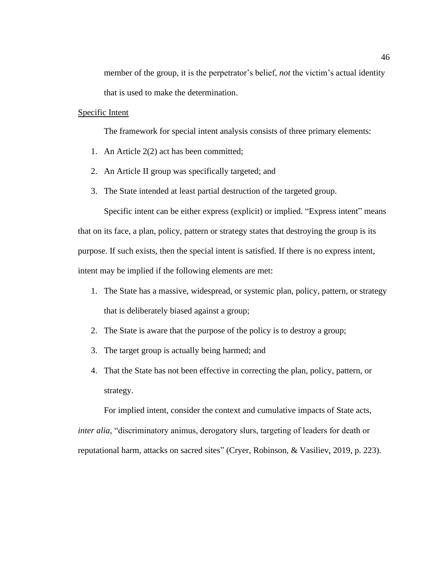member of the group, it is the perpetrator's belief, *not* the victim's actual identity that is used to make the determination.

# Specific Intent

The framework for special intent analysis consists of three primary elements:

- 1. An Article 2(2) act has been committed;
- 2. An Article II group was specifically targeted; and
- 3. The State intended at least partial destruction of the targeted group.

Specific intent can be either express (explicit) or implied. "Express intent" means that on its face, a plan, policy, pattern or strategy states that destroying the group is its purpose. If such exists, then the special intent is satisfied. If there is no express intent, intent may be implied if the following elements are met:

- 1. The State has a massive, widespread, or systemic plan, policy, pattern, or strategy that is deliberately biased against a group;
- 2. The State is aware that the purpose of the policy is to destroy a group;
- 3. The target group is actually being harmed; and
- 4. That the State has not been effective in correcting the plan, policy, pattern, or strategy.

For implied intent, consider the context and cumulative impacts of State acts, *inter alia*, "discriminatory animus, derogatory slurs, targeting of leaders for death or reputational harm, attacks on sacred sites" (Cryer, Robinson, & Vasiliev, 2019, p. 223).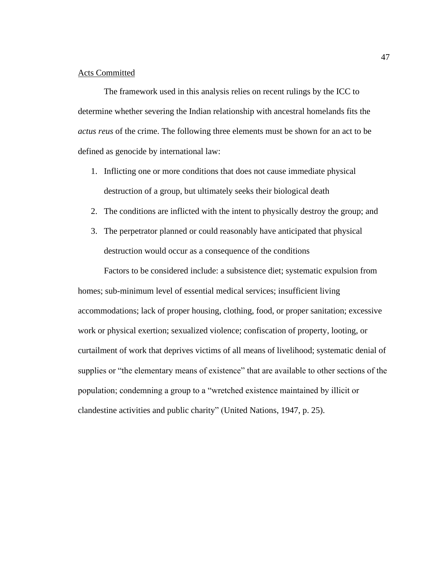## Acts Committed

The framework used in this analysis relies on recent rulings by the ICC to determine whether severing the Indian relationship with ancestral homelands fits the *actus reus* of the crime. The following three elements must be shown for an act to be defined as genocide by international law:

- 1. Inflicting one or more conditions that does not cause immediate physical destruction of a group, but ultimately seeks their biological death
- 2. The conditions are inflicted with the intent to physically destroy the group; and
- 3. The perpetrator planned or could reasonably have anticipated that physical destruction would occur as a consequence of the conditions

Factors to be considered include: a subsistence diet; systematic expulsion from homes; sub-minimum level of essential medical services; insufficient living accommodations; lack of proper housing, clothing, food, or proper sanitation; excessive work or physical exertion; sexualized violence; confiscation of property, looting, or curtailment of work that deprives victims of all means of livelihood; systematic denial of supplies or "the elementary means of existence" that are available to other sections of the population; condemning a group to a "wretched existence maintained by illicit or clandestine activities and public charity" (United Nations, 1947, p. 25).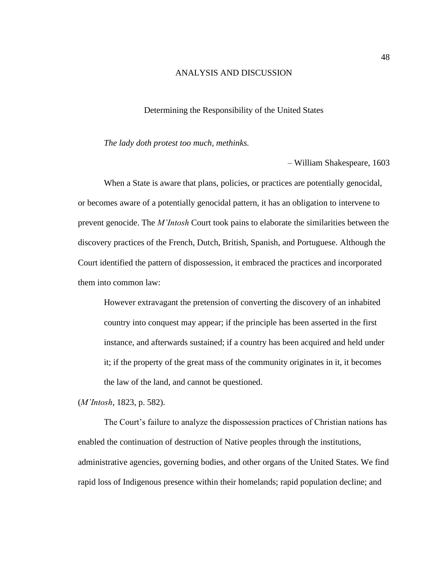### ANALYSIS AND DISCUSSION

#### Determining the Responsibility of the United States

*The lady doth protest too much, methinks.*

– William Shakespeare, 1603

When a State is aware that plans, policies, or practices are potentially genocidal, or becomes aware of a potentially genocidal pattern, it has an obligation to intervene to prevent genocide. The *M'Intosh* Court took pains to elaborate the similarities between the discovery practices of the French, Dutch, British, Spanish, and Portuguese. Although the Court identified the pattern of dispossession, it embraced the practices and incorporated them into common law:

However extravagant the pretension of converting the discovery of an inhabited country into conquest may appear; if the principle has been asserted in the first instance, and afterwards sustained; if a country has been acquired and held under it; if the property of the great mass of the community originates in it, it becomes the law of the land, and cannot be questioned.

(*M'Intosh*, 1823, p. 582).

The Court's failure to analyze the dispossession practices of Christian nations has enabled the continuation of destruction of Native peoples through the institutions, administrative agencies, governing bodies, and other organs of the United States. We find rapid loss of Indigenous presence within their homelands; rapid population decline; and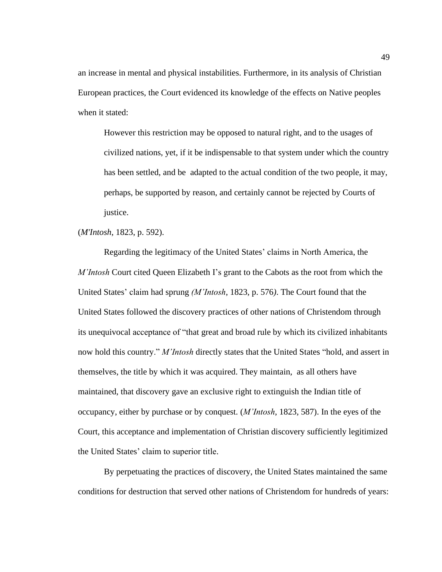an increase in mental and physical instabilities. Furthermore, in its analysis of Christian European practices, the Court evidenced its knowledge of the effects on Native peoples when it stated:

However this restriction may be opposed to natural right, and to the usages of civilized nations, yet, if it be indispensable to that system under which the country has been settled, and be adapted to the actual condition of the two people, it may, perhaps, be supported by reason, and certainly cannot be rejected by Courts of justice.

#### (*M'Intosh*, 1823, p. 592).

Regarding the legitimacy of the United States' claims in North America, the *M'Intosh* Court cited Queen Elizabeth I's grant to the Cabots as the root from which the United States' claim had sprung *(M'Intosh*, 1823, p. 576*)*. The Court found that the United States followed the discovery practices of other nations of Christendom through its unequivocal acceptance of "that great and broad rule by which its civilized inhabitants now hold this country." *M'Intosh* directly states that the United States "hold, and assert in themselves, the title by which it was acquired. They maintain, as all others have maintained, that discovery gave an exclusive right to extinguish the Indian title of occupancy, either by purchase or by conquest. (*M'Intosh*, 1823, 587). In the eyes of the Court, this acceptance and implementation of Christian discovery sufficiently legitimized the United States' claim to superior title.

By perpetuating the practices of discovery, the United States maintained the same conditions for destruction that served other nations of Christendom for hundreds of years: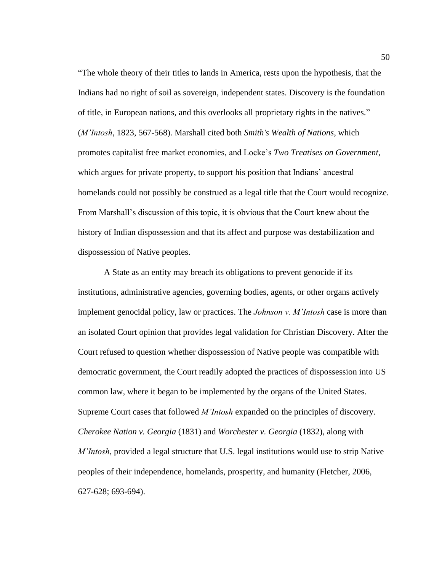"The whole theory of their titles to lands in America, rests upon the hypothesis, that the Indians had no right of soil as sovereign, independent states. Discovery is the foundation of title, in European nations, and this overlooks all proprietary rights in the natives." (*M'Intosh*, 1823, 567-568). Marshall cited both *Smith's Wealth of Nations*, which promotes capitalist free market economies, and Locke's *Two Treatises on Government*, which argues for private property, to support his position that Indians' ancestral homelands could not possibly be construed as a legal title that the Court would recognize. From Marshall's discussion of this topic, it is obvious that the Court knew about the history of Indian dispossession and that its affect and purpose was destabilization and dispossession of Native peoples.

A State as an entity may breach its obligations to prevent genocide if its institutions, administrative agencies, governing bodies, agents, or other organs actively implement genocidal policy, law or practices. The *Johnson v. M'Intosh* case is more than an isolated Court opinion that provides legal validation for Christian Discovery. After the Court refused to question whether dispossession of Native people was compatible with democratic government, the Court readily adopted the practices of dispossession into US common law, where it began to be implemented by the organs of the United States. Supreme Court cases that followed *M'Intosh* expanded on the principles of discovery. *Cherokee Nation v. Georgia* (1831) and *Worchester v. Georgia* (1832), along with *M'Intosh*, provided a legal structure that U.S. legal institutions would use to strip Native peoples of their independence, homelands, prosperity, and humanity (Fletcher, 2006, 627-628; 693-694).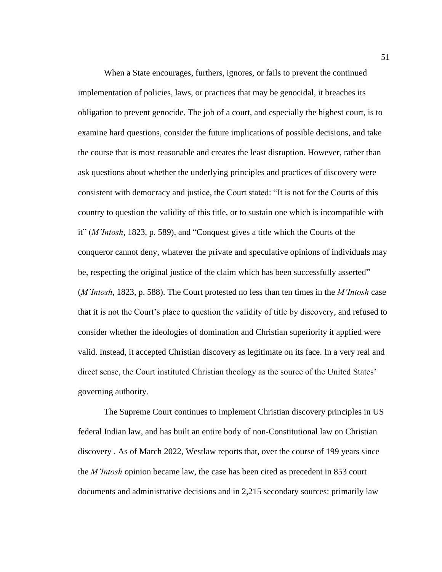When a State encourages, furthers, ignores, or fails to prevent the continued implementation of policies, laws, or practices that may be genocidal, it breaches its obligation to prevent genocide. The job of a court, and especially the highest court, is to examine hard questions, consider the future implications of possible decisions, and take the course that is most reasonable and creates the least disruption. However, rather than ask questions about whether the underlying principles and practices of discovery were consistent with democracy and justice, the Court stated: "It is not for the Courts of this country to question the validity of this title, or to sustain one which is incompatible with it" (*M'Intosh*, 1823, p. 589), and "Conquest gives a title which the Courts of the conqueror cannot deny, whatever the private and speculative opinions of individuals may be, respecting the original justice of the claim which has been successfully asserted" (*M'Intosh*, 1823, p. 588). The Court protested no less than ten times in the *M'Intosh* case that it is not the Court's place to question the validity of title by discovery, and refused to consider whether the ideologies of domination and Christian superiority it applied were valid. Instead, it accepted Christian discovery as legitimate on its face. In a very real and direct sense, the Court instituted Christian theology as the source of the United States' governing authority.

The Supreme Court continues to implement Christian discovery principles in US federal Indian law, and has built an entire body of non-Constitutional law on Christian discovery . As of March 2022, Westlaw reports that, over the course of 199 years since the *M'Intosh* opinion became law, the case has been cited as precedent in 853 court documents and administrative decisions and in 2,215 secondary sources: primarily law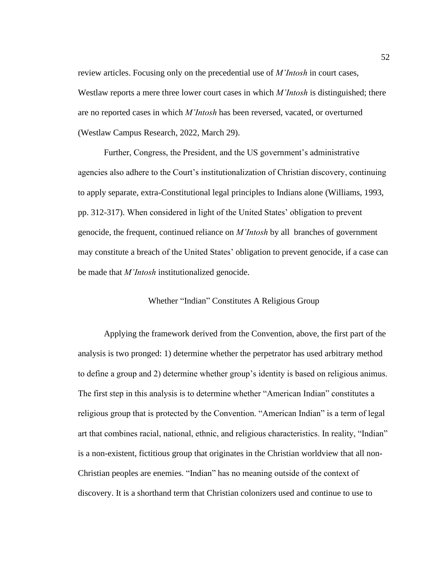review articles. Focusing only on the precedential use of *M'Intosh* in court cases, Westlaw reports a mere three lower court cases in which *M'Intosh* is distinguished; there are no reported cases in which *M'Intosh* has been reversed, vacated, or overturned (Westlaw Campus Research, 2022, March 29).

Further, Congress, the President, and the US government's administrative agencies also adhere to the Court's institutionalization of Christian discovery, continuing to apply separate, extra-Constitutional legal principles to Indians alone (Williams, 1993, pp. 312-317). When considered in light of the United States' obligation to prevent genocide, the frequent, continued reliance on *M'Intosh* by all branches of government may constitute a breach of the United States' obligation to prevent genocide, if a case can be made that *M'Intosh* institutionalized genocide.

#### Whether "Indian" Constitutes A Religious Group

Applying the framework derived from the Convention, above, the first part of the analysis is two pronged: 1) determine whether the perpetrator has used arbitrary method to define a group and 2) determine whether group's identity is based on religious animus. The first step in this analysis is to determine whether "American Indian" constitutes a religious group that is protected by the Convention. "American Indian" is a term of legal art that combines racial, national, ethnic, and religious characteristics. In reality, "Indian" is a non-existent, fictitious group that originates in the Christian worldview that all non-Christian peoples are enemies. "Indian" has no meaning outside of the context of discovery. It is a shorthand term that Christian colonizers used and continue to use to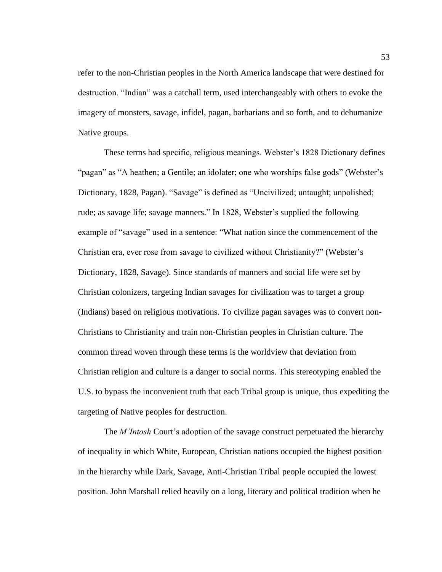refer to the non-Christian peoples in the North America landscape that were destined for destruction. "Indian" was a catchall term, used interchangeably with others to evoke the imagery of monsters, savage, infidel, pagan, barbarians and so forth, and to dehumanize Native groups.

These terms had specific, religious meanings. Webster's 1828 Dictionary defines "pagan" as "A heathen; a Gentile; an idolater; one who worships false gods" (Webster's Dictionary, 1828, Pagan). "Savage" is defined as "Uncivilized; untaught; unpolished; rude; as savage life; savage manners." In 1828, Webster's supplied the following example of "savage" used in a sentence: "What nation since the commencement of the Christian era, ever rose from savage to civilized without Christianity?" (Webster's Dictionary, 1828, Savage). Since standards of manners and social life were set by Christian colonizers, targeting Indian savages for civilization was to target a group (Indians) based on religious motivations. To civilize pagan savages was to convert non-Christians to Christianity and train non-Christian peoples in Christian culture. The common thread woven through these terms is the worldview that deviation from Christian religion and culture is a danger to social norms. This stereotyping enabled the U.S. to bypass the inconvenient truth that each Tribal group is unique, thus expediting the targeting of Native peoples for destruction.

The *M'Intosh* Court's adoption of the savage construct perpetuated the hierarchy of inequality in which White, European, Christian nations occupied the highest position in the hierarchy while Dark, Savage, Anti-Christian Tribal people occupied the lowest position. John Marshall relied heavily on a long, literary and political tradition when he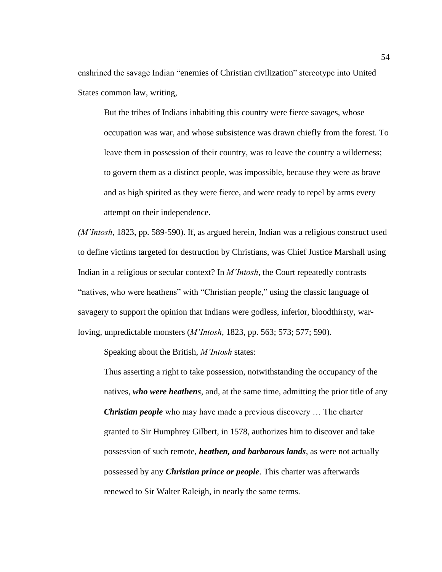enshrined the savage Indian "enemies of Christian civilization" stereotype into United States common law, writing,

But the tribes of Indians inhabiting this country were fierce savages, whose occupation was war, and whose subsistence was drawn chiefly from the forest. To leave them in possession of their country, was to leave the country a wilderness; to govern them as a distinct people, was impossible, because they were as brave and as high spirited as they were fierce, and were ready to repel by arms every attempt on their independence.

*(M'Intosh*, 1823, pp. 589-590). If, as argued herein, Indian was a religious construct used to define victims targeted for destruction by Christians, was Chief Justice Marshall using Indian in a religious or secular context? In *M'Intosh*, the Court repeatedly contrasts "natives, who were heathens" with "Christian people," using the classic language of savagery to support the opinion that Indians were godless, inferior, bloodthirsty, warloving, unpredictable monsters (*M'Intosh*, 1823, pp. 563; 573; 577; 590).

Speaking about the British, *M'Intosh* states:

Thus asserting a right to take possession, notwithstanding the occupancy of the natives, *who were heathens*, and, at the same time, admitting the prior title of any *Christian people* who may have made a previous discovery … The charter granted to Sir Humphrey Gilbert, in 1578, authorizes him to discover and take possession of such remote, *heathen, and barbarous lands*, as were not actually possessed by any *Christian prince or people*. This charter was afterwards renewed to Sir Walter Raleigh, in nearly the same terms.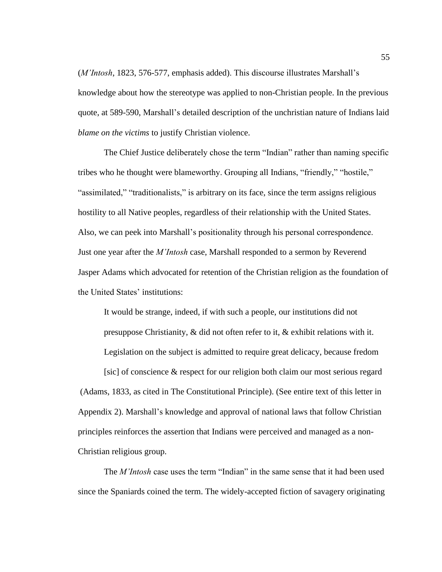(*M'Intosh*, 1823, 576-577, emphasis added). This discourse illustrates Marshall's knowledge about how the stereotype was applied to non-Christian people. In the previous quote, at 589-590, Marshall's detailed description of the unchristian nature of Indians laid *blame on the victims* to justify Christian violence.

The Chief Justice deliberately chose the term "Indian" rather than naming specific tribes who he thought were blameworthy. Grouping all Indians, "friendly," "hostile," "assimilated," "traditionalists," is arbitrary on its face, since the term assigns religious hostility to all Native peoples, regardless of their relationship with the United States. Also, we can peek into Marshall's positionality through his personal correspondence. Just one year after the *M'Intosh* case, Marshall responded to a sermon by Reverend Jasper Adams which advocated for retention of the Christian religion as the foundation of the United States' institutions:

It would be strange, indeed, if with such a people, our institutions did not presuppose Christianity, & did not often refer to it, & exhibit relations with it. Legislation on the subject is admitted to require great delicacy, because fredom

[sic] of conscience & respect for our religion both claim our most serious regard (Adams, 1833, as cited in The Constitutional Principle). (See entire text of this letter in Appendix 2). Marshall's knowledge and approval of national laws that follow Christian principles reinforces the assertion that Indians were perceived and managed as a non-Christian religious group.

The *M'Intosh* case uses the term "Indian" in the same sense that it had been used since the Spaniards coined the term. The widely-accepted fiction of savagery originating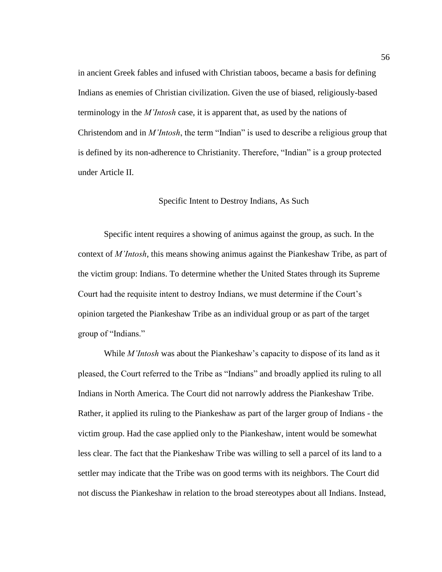in ancient Greek fables and infused with Christian taboos, became a basis for defining Indians as enemies of Christian civilization. Given the use of biased, religiously-based terminology in the *M'Intosh* case, it is apparent that, as used by the nations of Christendom and in *M'Intosh*, the term "Indian" is used to describe a religious group that is defined by its non-adherence to Christianity. Therefore, "Indian" is a group protected under Article II.

#### Specific Intent to Destroy Indians, As Such

Specific intent requires a showing of animus against the group, as such. In the context of *M'Intosh*, this means showing animus against the Piankeshaw Tribe, as part of the victim group: Indians. To determine whether the United States through its Supreme Court had the requisite intent to destroy Indians, we must determine if the Court's opinion targeted the Piankeshaw Tribe as an individual group or as part of the target group of "Indians."

While *M'Intosh* was about the Piankeshaw's capacity to dispose of its land as it pleased, the Court referred to the Tribe as "Indians" and broadly applied its ruling to all Indians in North America. The Court did not narrowly address the Piankeshaw Tribe. Rather, it applied its ruling to the Piankeshaw as part of the larger group of Indians - the victim group. Had the case applied only to the Piankeshaw, intent would be somewhat less clear. The fact that the Piankeshaw Tribe was willing to sell a parcel of its land to a settler may indicate that the Tribe was on good terms with its neighbors. The Court did not discuss the Piankeshaw in relation to the broad stereotypes about all Indians. Instead,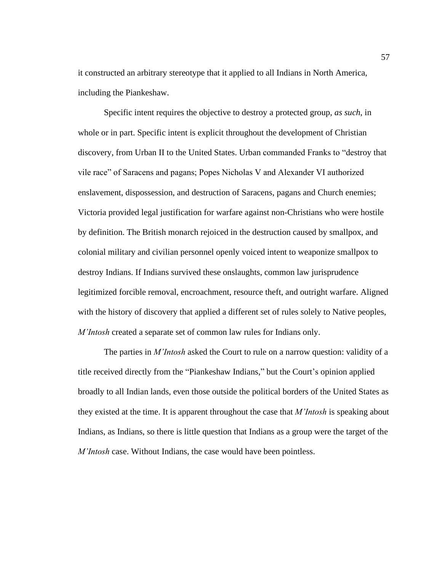it constructed an arbitrary stereotype that it applied to all Indians in North America, including the Piankeshaw.

Specific intent requires the objective to destroy a protected group, *as such*, in whole or in part. Specific intent is explicit throughout the development of Christian discovery, from Urban II to the United States. Urban commanded Franks to "destroy that vile race" of Saracens and pagans; Popes Nicholas V and Alexander VI authorized enslavement, dispossession, and destruction of Saracens, pagans and Church enemies; Victoria provided legal justification for warfare against non-Christians who were hostile by definition. The British monarch rejoiced in the destruction caused by smallpox, and colonial military and civilian personnel openly voiced intent to weaponize smallpox to destroy Indians. If Indians survived these onslaughts, common law jurisprudence legitimized forcible removal, encroachment, resource theft, and outright warfare. Aligned with the history of discovery that applied a different set of rules solely to Native peoples, *M'Intosh* created a separate set of common law rules for Indians only.

The parties in *M'Intosh* asked the Court to rule on a narrow question: validity of a title received directly from the "Piankeshaw Indians," but the Court's opinion applied broadly to all Indian lands, even those outside the political borders of the United States as they existed at the time. It is apparent throughout the case that *M'Intosh* is speaking about Indians, as Indians, so there is little question that Indians as a group were the target of the *M'Intosh* case. Without Indians, the case would have been pointless.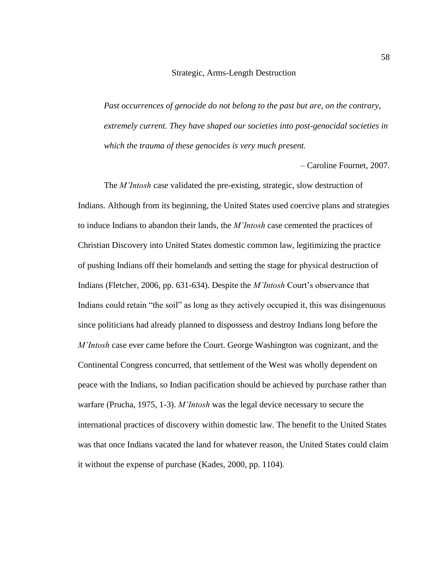### Strategic, Arms-Length Destruction

*Past occurrences of genocide do not belong to the past but are, on the contrary, extremely current. They have shaped our societies into post-genocidal societies in which the trauma of these genocides is very much present.* 

– Caroline Fournet, 2007.

The *M'Intosh* case validated the pre-existing, strategic, slow destruction of Indians. Although from its beginning, the United States used coercive plans and strategies to induce Indians to abandon their lands, the *M'Intosh* case cemented the practices of Christian Discovery into United States domestic common law, legitimizing the practice of pushing Indians off their homelands and setting the stage for physical destruction of Indians (Fletcher, 2006, pp. 631-634). Despite the *M'Intosh* Court's observance that Indians could retain "the soil" as long as they actively occupied it, this was disingenuous since politicians had already planned to dispossess and destroy Indians long before the *M'Intosh* case ever came before the Court. George Washington was cognizant, and the Continental Congress concurred, that settlement of the West was wholly dependent on peace with the Indians, so Indian pacification should be achieved by purchase rather than warfare (Prucha, 1975, 1-3). *M'Intosh* was the legal device necessary to secure the international practices of discovery within domestic law. The benefit to the United States was that once Indians vacated the land for whatever reason, the United States could claim it without the expense of purchase (Kades, 2000, pp. 1104).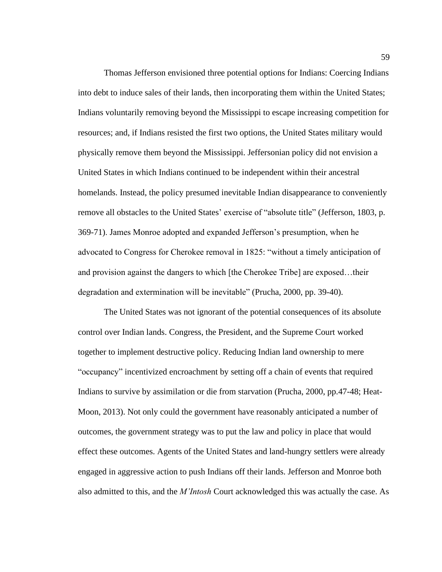Thomas Jefferson envisioned three potential options for Indians: Coercing Indians into debt to induce sales of their lands, then incorporating them within the United States; Indians voluntarily removing beyond the Mississippi to escape increasing competition for resources; and, if Indians resisted the first two options, the United States military would physically remove them beyond the Mississippi. Jeffersonian policy did not envision a United States in which Indians continued to be independent within their ancestral homelands. Instead, the policy presumed inevitable Indian disappearance to conveniently remove all obstacles to the United States' exercise of "absolute title" (Jefferson, 1803, p. 369-71). James Monroe adopted and expanded Jefferson's presumption, when he advocated to Congress for Cherokee removal in 1825: "without a timely anticipation of and provision against the dangers to which [the Cherokee Tribe] are exposed…their degradation and extermination will be inevitable" (Prucha, 2000, pp. 39-40).

The United States was not ignorant of the potential consequences of its absolute control over Indian lands. Congress, the President, and the Supreme Court worked together to implement destructive policy. Reducing Indian land ownership to mere "occupancy" incentivized encroachment by setting off a chain of events that required Indians to survive by assimilation or die from starvation (Prucha, 2000, pp.47-48; Heat-Moon, 2013). Not only could the government have reasonably anticipated a number of outcomes, the government strategy was to put the law and policy in place that would effect these outcomes. Agents of the United States and land-hungry settlers were already engaged in aggressive action to push Indians off their lands. Jefferson and Monroe both also admitted to this, and the *M'Intosh* Court acknowledged this was actually the case. As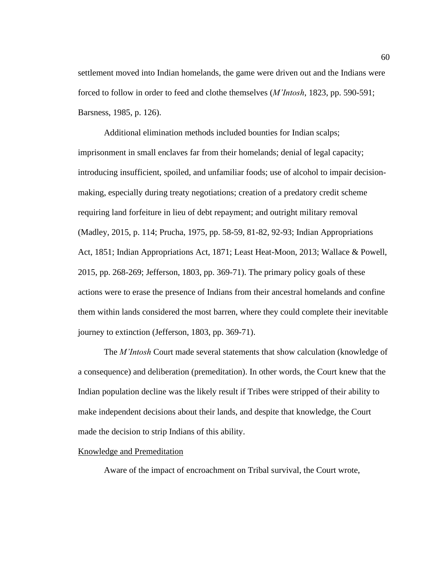settlement moved into Indian homelands, the game were driven out and the Indians were forced to follow in order to feed and clothe themselves (*M'Intosh*, 1823, pp. 590-591; Barsness, 1985, p. 126).

Additional elimination methods included bounties for Indian scalps; imprisonment in small enclaves far from their homelands; denial of legal capacity; introducing insufficient, spoiled, and unfamiliar foods; use of alcohol to impair decisionmaking, especially during treaty negotiations; creation of a predatory credit scheme requiring land forfeiture in lieu of debt repayment; and outright military removal (Madley, 2015, p. 114; Prucha, 1975, pp. 58-59, 81-82, 92-93; Indian Appropriations Act, 1851; Indian Appropriations Act, 1871; Least Heat-Moon, 2013; Wallace & Powell, 2015, pp. 268-269; Jefferson, 1803, pp. 369-71). The primary policy goals of these actions were to erase the presence of Indians from their ancestral homelands and confine them within lands considered the most barren, where they could complete their inevitable journey to extinction (Jefferson, 1803, pp. 369-71).

The *M'Intosh* Court made several statements that show calculation (knowledge of a consequence) and deliberation (premeditation). In other words, the Court knew that the Indian population decline was the likely result if Tribes were stripped of their ability to make independent decisions about their lands, and despite that knowledge, the Court made the decision to strip Indians of this ability.

#### Knowledge and Premeditation

Aware of the impact of encroachment on Tribal survival, the Court wrote,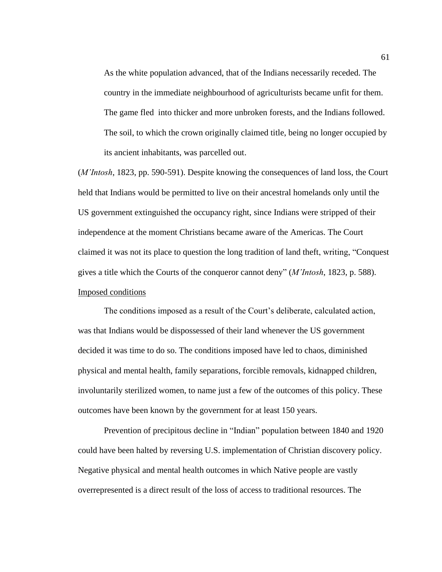As the white population advanced, that of the Indians necessarily receded. The country in the immediate neighbourhood of agriculturists became unfit for them. The game fled into thicker and more unbroken forests, and the Indians followed. The soil, to which the crown originally claimed title, being no longer occupied by its ancient inhabitants, was parcelled out.

(*M'Intosh*, 1823, pp. 590-591). Despite knowing the consequences of land loss, the Court held that Indians would be permitted to live on their ancestral homelands only until the US government extinguished the occupancy right, since Indians were stripped of their independence at the moment Christians became aware of the Americas. The Court claimed it was not its place to question the long tradition of land theft, writing, "Conquest gives a title which the Courts of the conqueror cannot deny" (*M'Intosh*, 1823, p. 588). Imposed conditions

The conditions imposed as a result of the Court's deliberate, calculated action, was that Indians would be dispossessed of their land whenever the US government decided it was time to do so. The conditions imposed have led to chaos, diminished physical and mental health, family separations, forcible removals, kidnapped children, involuntarily sterilized women, to name just a few of the outcomes of this policy. These outcomes have been known by the government for at least 150 years.

Prevention of precipitous decline in "Indian" population between 1840 and 1920 could have been halted by reversing U.S. implementation of Christian discovery policy. Negative physical and mental health outcomes in which Native people are vastly overrepresented is a direct result of the loss of access to traditional resources. The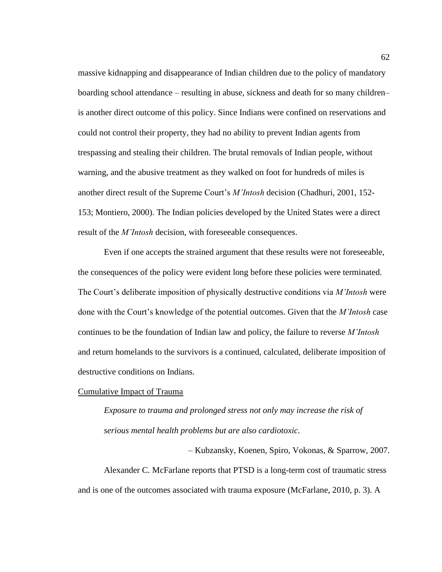massive kidnapping and disappearance of Indian children due to the policy of mandatory boarding school attendance – resulting in abuse, sickness and death for so many children– is another direct outcome of this policy. Since Indians were confined on reservations and could not control their property, they had no ability to prevent Indian agents from trespassing and stealing their children. The brutal removals of Indian people, without warning, and the abusive treatment as they walked on foot for hundreds of miles is another direct result of the Supreme Court's *M'Intosh* decision (Chadhuri, 2001, 152- 153; Montiero, 2000). The Indian policies developed by the United States were a direct result of the *M'Intosh* decision, with foreseeable consequences.

Even if one accepts the strained argument that these results were not foreseeable, the consequences of the policy were evident long before these policies were terminated. The Court's deliberate imposition of physically destructive conditions via *M'Intosh* were done with the Court's knowledge of the potential outcomes. Given that the *M'Intosh* case continues to be the foundation of Indian law and policy, the failure to reverse *M'Intosh* and return homelands to the survivors is a continued, calculated, deliberate imposition of destructive conditions on Indians.

### Cumulative Impact of Trauma

*Exposure to trauma and prolonged stress not only may increase the risk of serious mental health problems but are also cardiotoxic.*

– Kubzansky, Koenen, Spiro, Vokonas, & Sparrow, 2007. Alexander C. McFarlane reports that PTSD is a long-term cost of traumatic stress and is one of the outcomes associated with trauma exposure (McFarlane, 2010, p. 3). A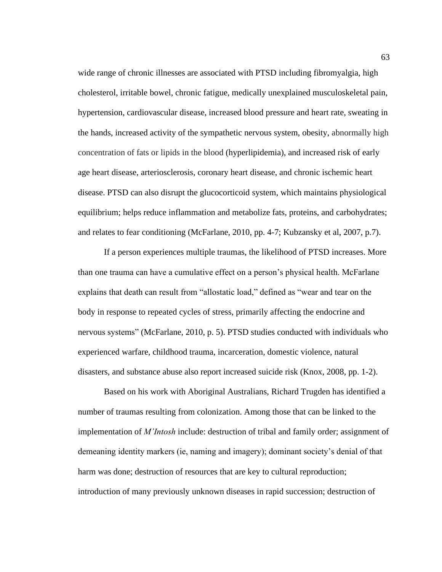wide range of chronic illnesses are associated with PTSD including fibromyalgia, high cholesterol, irritable bowel, chronic fatigue, medically unexplained musculoskeletal pain, hypertension, cardiovascular disease, increased blood pressure and heart rate, sweating in the hands, increased activity of the sympathetic nervous system, obesity, abnormally high concentration of fats or lipids in the blood (hyperlipidemia), and increased risk of early age heart disease, arteriosclerosis, coronary heart disease, and chronic ischemic heart disease. PTSD can also disrupt the glucocorticoid system, which maintains physiological equilibrium; helps reduce inflammation and metabolize fats, proteins, and carbohydrates; and relates to fear conditioning (McFarlane, 2010, pp. 4-7; Kubzansky et al, 2007, p.7).

If a person experiences multiple traumas, the likelihood of PTSD increases. More than one trauma can have a cumulative effect on a person's physical health. McFarlane explains that death can result from "allostatic load," defined as "wear and tear on the body in response to repeated cycles of stress, primarily affecting the endocrine and nervous systems" (McFarlane, 2010, p. 5). PTSD studies conducted with individuals who experienced warfare, childhood trauma, incarceration, domestic violence, natural disasters, and substance abuse also report increased suicide risk (Knox, 2008, pp. 1-2).

Based on his work with Aboriginal Australians, Richard Trugden has identified a number of traumas resulting from colonization. Among those that can be linked to the implementation of *M'Intosh* include: destruction of tribal and family order; assignment of demeaning identity markers (ie, naming and imagery); dominant society's denial of that harm was done; destruction of resources that are key to cultural reproduction; introduction of many previously unknown diseases in rapid succession; destruction of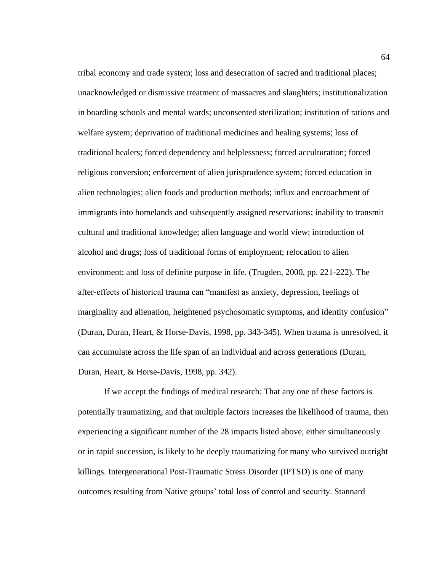tribal economy and trade system; loss and desecration of sacred and traditional places; unacknowledged or dismissive treatment of massacres and slaughters; institutionalization in boarding schools and mental wards; unconsented sterilization; institution of rations and welfare system; deprivation of traditional medicines and healing systems; loss of traditional healers; forced dependency and helplessness; forced acculturation; forced religious conversion; enforcement of alien jurisprudence system; forced education in alien technologies; alien foods and production methods; influx and encroachment of immigrants into homelands and subsequently assigned reservations; inability to transmit cultural and traditional knowledge; alien language and world view; introduction of alcohol and drugs; loss of traditional forms of employment; relocation to alien environment; and loss of definite purpose in life. (Trugden, 2000, pp. 221-222). The after-effects of historical trauma can "manifest as anxiety, depression, feelings of marginality and alienation, heightened psychosomatic symptoms, and identity confusion" (Duran, Duran, Heart, & Horse-Davis, 1998, pp. 343-345). When trauma is unresolved, it can accumulate across the life span of an individual and across generations (Duran, Duran, Heart, & Horse-Davis, 1998, pp. 342).

If we accept the findings of medical research: That any one of these factors is potentially traumatizing, and that multiple factors increases the likelihood of trauma, then experiencing a significant number of the 28 impacts listed above, either simultaneously or in rapid succession, is likely to be deeply traumatizing for many who survived outright killings. Intergenerational Post-Traumatic Stress Disorder (IPTSD) is one of many outcomes resulting from Native groups' total loss of control and security. Stannard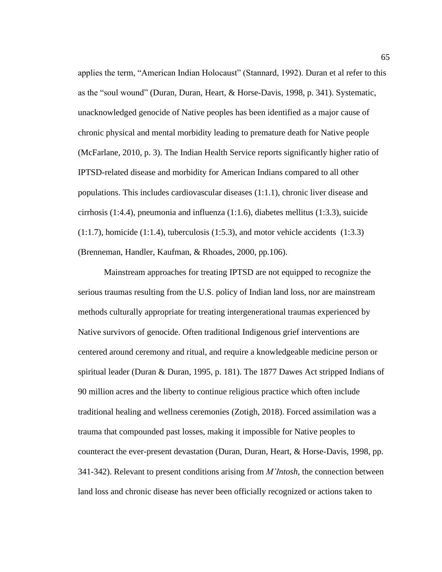applies the term, "American Indian Holocaust" (Stannard, 1992). Duran et al refer to this as the "soul wound" (Duran, Duran, Heart, & Horse-Davis, 1998, p. 341). Systematic, unacknowledged genocide of Native peoples has been identified as a major cause of chronic physical and mental morbidity leading to premature death for Native people (McFarlane, 2010, p. 3). The Indian Health Service reports significantly higher ratio of IPTSD-related disease and morbidity for American Indians compared to all other populations. This includes cardiovascular diseases (1:1.1), chronic liver disease and cirrhosis (1:4.4), pneumonia and influenza (1:1.6), diabetes mellitus (1:3.3), suicide  $(1:1.7)$ , homicide  $(1:1.4)$ , tuberculosis  $(1:5.3)$ , and motor vehicle accidents  $(1:3.3)$ (Brenneman, Handler, Kaufman, & Rhoades, 2000, pp.106).

Mainstream approaches for treating IPTSD are not equipped to recognize the serious traumas resulting from the U.S. policy of Indian land loss, nor are mainstream methods culturally appropriate for treating intergenerational traumas experienced by Native survivors of genocide. Often traditional Indigenous grief interventions are centered around ceremony and ritual, and require a knowledgeable medicine person or spiritual leader (Duran & Duran, 1995, p. 181). The 1877 Dawes Act stripped Indians of 90 million acres and the liberty to continue religious practice which often include traditional healing and wellness ceremonies (Zotigh, 2018). Forced assimilation was a trauma that compounded past losses, making it impossible for Native peoples to counteract the ever-present devastation (Duran, Duran, Heart, & Horse-Davis, 1998, pp. 341-342). Relevant to present conditions arising from *M'Intosh*, the connection between land loss and chronic disease has never been officially recognized or actions taken to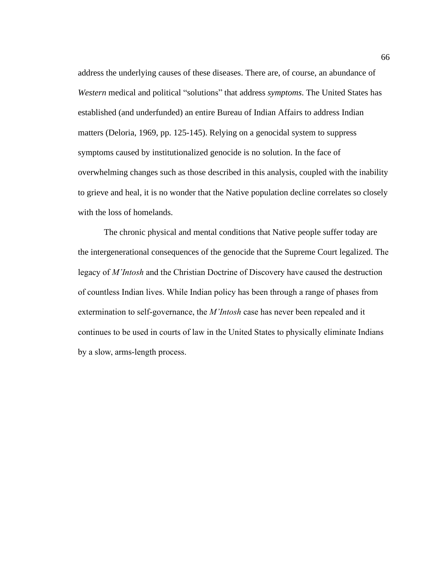address the underlying causes of these diseases. There are, of course, an abundance of *Western* medical and political "solutions" that address *symptoms*. The United States has established (and underfunded) an entire Bureau of Indian Affairs to address Indian matters (Deloria, 1969, pp. 125-145). Relying on a genocidal system to suppress symptoms caused by institutionalized genocide is no solution. In the face of overwhelming changes such as those described in this analysis, coupled with the inability to grieve and heal, it is no wonder that the Native population decline correlates so closely with the loss of homelands.

The chronic physical and mental conditions that Native people suffer today are the intergenerational consequences of the genocide that the Supreme Court legalized. The legacy of *M'Intosh* and the Christian Doctrine of Discovery have caused the destruction of countless Indian lives. While Indian policy has been through a range of phases from extermination to self-governance, the *M'Intosh* case has never been repealed and it continues to be used in courts of law in the United States to physically eliminate Indians by a slow, arms-length process.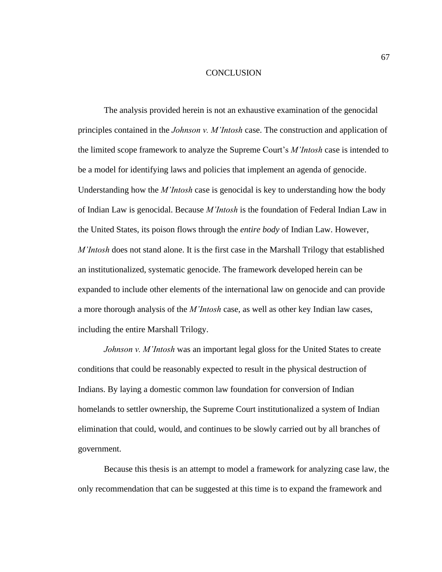#### **CONCLUSION**

The analysis provided herein is not an exhaustive examination of the genocidal principles contained in the *Johnson v. M'Intosh* case. The construction and application of the limited scope framework to analyze the Supreme Court's *M'Intosh* case is intended to be a model for identifying laws and policies that implement an agenda of genocide. Understanding how the *M'Intosh* case is genocidal is key to understanding how the body of Indian Law is genocidal. Because *M'Intosh* is the foundation of Federal Indian Law in the United States, its poison flows through the *entire body* of Indian Law. However, *M'Intosh* does not stand alone. It is the first case in the Marshall Trilogy that established an institutionalized, systematic genocide. The framework developed herein can be expanded to include other elements of the international law on genocide and can provide a more thorough analysis of the *M'Intosh* case, as well as other key Indian law cases, including the entire Marshall Trilogy.

*Johnson v. M'Intosh* was an important legal gloss for the United States to create conditions that could be reasonably expected to result in the physical destruction of Indians. By laying a domestic common law foundation for conversion of Indian homelands to settler ownership, the Supreme Court institutionalized a system of Indian elimination that could, would, and continues to be slowly carried out by all branches of government.

Because this thesis is an attempt to model a framework for analyzing case law, the only recommendation that can be suggested at this time is to expand the framework and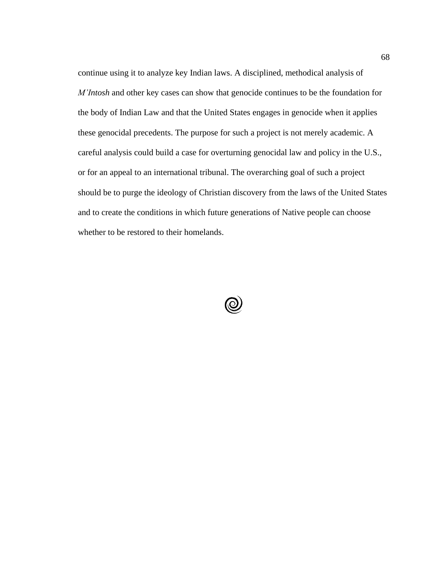continue using it to analyze key Indian laws. A disciplined, methodical analysis of *M'Intosh* and other key cases can show that genocide continues to be the foundation for the body of Indian Law and that the United States engages in genocide when it applies these genocidal precedents. The purpose for such a project is not merely academic. A careful analysis could build a case for overturning genocidal law and policy in the U.S., or for an appeal to an international tribunal. The overarching goal of such a project should be to purge the ideology of Christian discovery from the laws of the United States and to create the conditions in which future generations of Native people can choose whether to be restored to their homelands.

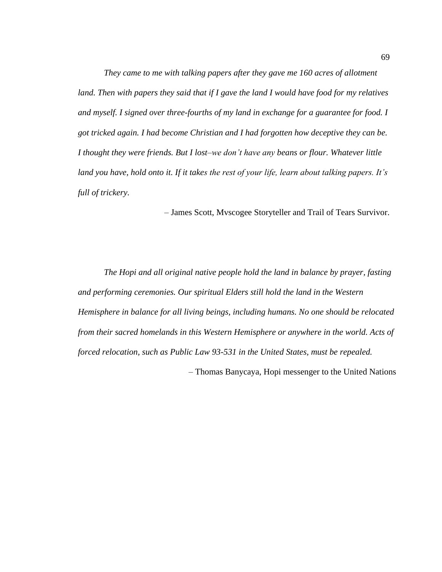*They came to me with talking papers after they gave me 160 acres of allotment*  land. Then with papers they said that if I gave the land I would have food for my relatives *and myself. I signed over three-fourths of my land in exchange for a guarantee for food. I got tricked again. I had become Christian and I had forgotten how deceptive they can be. I thought they were friends. But I lost–we don't have any beans or flour. Whatever little land you have, hold onto it. If it takes the rest of your life, learn about talking papers. It's full of trickery.* 

– James Scott, Mvscogee Storyteller and Trail of Tears Survivor.

*The Hopi and all original native people hold the land in balance by prayer, fasting and performing ceremonies. Our spiritual Elders still hold the land in the Western Hemisphere in balance for all living beings, including humans. No one should be relocated from their sacred homelands in this Western Hemisphere or anywhere in the world. Acts of forced relocation, such as Public Law 93-531 in the United States, must be repealed.* – Thomas Banycaya, Hopi messenger to the United Nations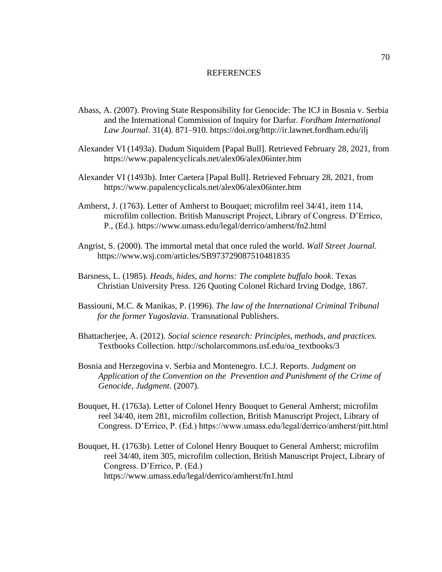#### **REFERENCES**

- Abass, A. (2007). Proving State Responsibility for Genocide: The ICJ in Bosnia v. Serbia and the International Commission of Inquiry for Darfur. *Fordham International Law Journal*. 31(4). 871–910. https://doi.org/http://ir.lawnet.fordham.edu/ilj
- Alexander VI (1493a). Dudum Siquidem [Papal Bull]. Retrieved February 28, 2021, from https://www.papalencyclicals.net/alex06/alex06inter.htm
- Alexander VI (1493b). Inter Caetera [Papal Bull]. Retrieved February 28, 2021, from https://www.papalencyclicals.net/alex06/alex06inter.htm
- Amherst, J. (1763). Letter of Amherst to Bouquet; microfilm reel 34/41, item 114, microfilm collection. British Manuscript Project, Library of Congress. D'Errico, P., (Ed.). https://www.umass.edu/legal/derrico/amherst/fn2.html
- Angrist, S. (2000). The immortal metal that once ruled the world. *Wall Street Journal*. https://www.wsj.com/articles/SB973729087510481835
- Barsness, L. (1985). *Heads, hides, and horns: The complete buffalo book*. Texas Christian University Press. 126 Quoting Colonel Richard Irving Dodge, 1867.
- Bassiouni, M.C. & Manikas, P. (1996). *The law of the International Criminal Tribunal for the former Yugoslavia*. Transnational Publishers.
- Bhattacherjee, A. (2012). *Social science research: Principles, methods, and practices.* Textbooks Collection. http://scholarcommons.usf.edu/oa\_textbooks/3
- Bosnia and Herzegovina v. Serbia and Montenegro. I.C.J. Reports. *Judgment on Application of the Convention on the Prevention and Punishment of the Crime of Genocide, Judgment*. (2007).
- Bouquet, H. (1763a). Letter of Colonel Henry Bouquet to General Amherst; microfilm reel 34/40, item 281, microfilm collection, British Manuscript Project, Library of Congress. D'Errico, P. (Ed.) https://www.umass.edu/legal/derrico/amherst/pitt.html
- Bouquet, H. (1763b). Letter of Colonel Henry Bouquet to General Amherst; microfilm reel 34/40, item 305, microfilm collection, British Manuscript Project, Library of Congress. D'Errico, P. (Ed.) https://www.umass.edu/legal/derrico/amherst/fn1.html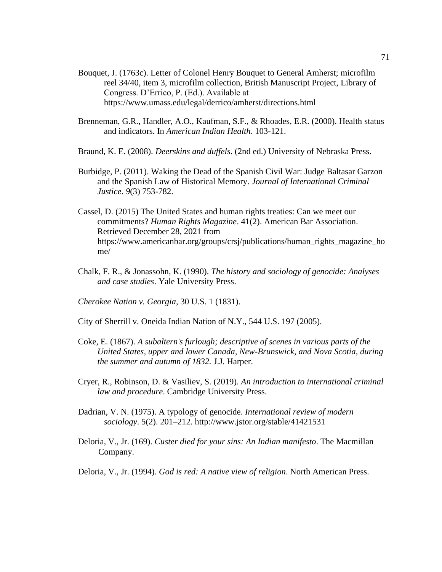- Bouquet, J. (1763c). Letter of Colonel Henry Bouquet to General Amherst; microfilm reel 34/40, item 3, microfilm collection, British Manuscript Project, Library of Congress. D'Errico, P. (Ed.). Available at https://www.umass.edu/legal/derrico/amherst/directions.html
- Brenneman, G.R., Handler, A.O., Kaufman, S.F., & Rhoades, E.R. (2000). Health status and indicators. In *American Indian Health*. 103-121.
- Braund, K. E. (2008). *Deerskins and duffels*. (2nd ed.) University of Nebraska Press.
- Burbidge, P. (2011). Waking the Dead of the Spanish Civil War: Judge Baltasar Garzon and the Spanish Law of Historical Memory. *Journal of International Criminal Justice*. *9*(3) 753-782.
- Cassel, D. (2015) The United States and human rights treaties: Can we meet our commitments? *Human Rights Magazine*. 41(2). American Bar Association. Retrieved December 28, 2021 from https://www.americanbar.org/groups/crsj/publications/human\_rights\_magazine\_ho me/
- Chalk, F. R., & Jonassohn, K. (1990). *The history and sociology of genocide: Analyses and case studies*. Yale University Press.
- *Cherokee Nation v. Georgia*, 30 U.S. 1 (1831).
- City of Sherrill v. Oneida Indian Nation of N.Y., 544 U.S. 197 (2005).
- Coke, E. (1867). *A subaltern's furlough; descriptive of scenes in various parts of the United States, upper and lower Canada, New-Brunswick, and Nova Scotia, during the summer and autumn of 1832.* J.J. Harper.
- Cryer, R., Robinson, D. & Vasiliev, S. (2019). *An introduction to international criminal law and procedure*. Cambridge University Press.
- Dadrian, V. N. (1975). A typology of genocide. *International review of modern sociology*. 5(2). 201–212. http://www.jstor.org/stable/41421531
- Deloria, V., Jr. (169). *Custer died for your sins: An Indian manifesto*. The Macmillan Company.
- Deloria, V., Jr. (1994). *God is red: A native view of religion*. North American Press.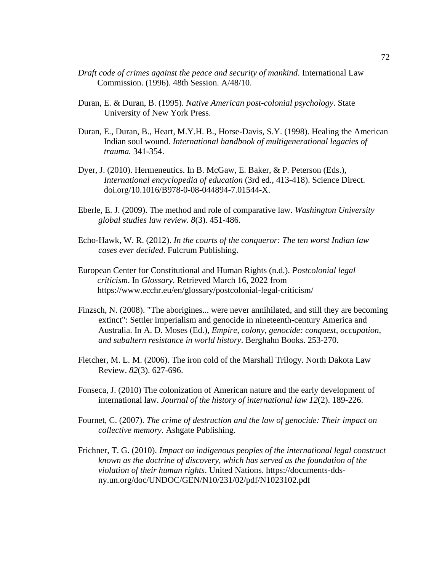- *Draft code of crimes against the peace and security of mankind*. International Law Commission. (1996). 48th Session. A/48/10.
- Duran, E. & Duran, B. (1995). *Native American post-colonial psychology*. State University of New York Press.
- Duran, E., Duran, B., Heart, M.Y.H. B., Horse-Davis, S.Y. (1998). Healing the American Indian soul wound. *International handbook of multigenerational legacies of trauma.* 341-354.
- Dyer, J. (2010). Hermeneutics. In B. McGaw, E. Baker, & P. Peterson (Eds.), *International encyclopedia of education* (3rd ed., 413-418). Science Direct. doi.org/10.1016/B978-0-08-044894-7.01544-X.
- Eberle, E. J. (2009). The method and role of comparative law. *Washington University global studies law review*. *8*(3). 451-486.
- Echo-Hawk, W. R. (2012). *In the courts of the conqueror: The ten worst Indian law cases ever decided*. Fulcrum Publishing.
- European Center for Constitutional and Human Rights (n.d.). *Postcolonial legal criticism*. In *Glossary*. Retrieved March 16, 2022 from https://www.ecchr.eu/en/glossary/postcolonial-legal-criticism/
- Finzsch, N. (2008). "The aborigines... were never annihilated, and still they are becoming extinct": Settler imperialism and genocide in nineteenth-century America and Australia. In A. D. Moses (Ed.), *Empire, colony, genocide: conquest, occupation, and subaltern resistance in world history*. Berghahn Books. 253-270.
- Fletcher, M. L. M. (2006). The iron cold of the Marshall Trilogy. North Dakota Law Review. *82*(3). 627-696.
- Fonseca, J. (2010) The colonization of American nature and the early development of international law. *Journal of the history of international law 12*(2). 189-226.
- Fournet, C. (2007). *The crime of destruction and the law of genocide: Their impact on collective memory*. Ashgate Publishing.
- Frichner, T. G. (2010). *Impact on indigenous peoples of the international legal construct known as the doctrine of discovery, which has served as the foundation of the violation of their human rights*. United Nations. https://documents-ddsny.un.org/doc/UNDOC/GEN/N10/231/02/pdf/N1023102.pdf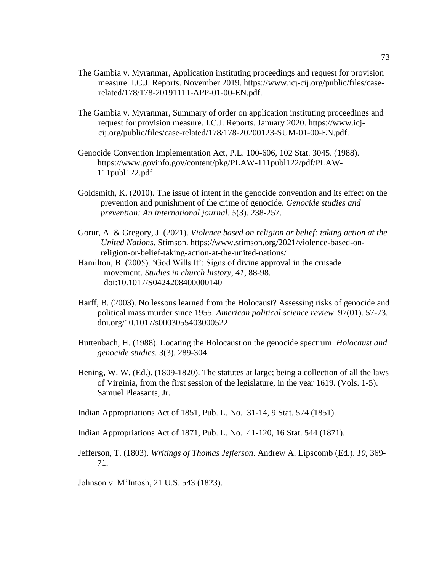- The Gambia v. Myranmar, Application instituting proceedings and request for provision measure. I.C.J. Reports. November 2019. https://www.icj-cij.org/public/files/caserelated/178/178-20191111-APP-01-00-EN.pdf.
- The Gambia v. Myranmar, Summary of order on application instituting proceedings and request for provision measure. I.C.J. Reports. January 2020. https://www.icjcij.org/public/files/case-related/178/178-20200123-SUM-01-00-EN.pdf.
- Genocide Convention Implementation Act, P.L. 100-606, 102 Stat. 3045. (1988). https://www.govinfo.gov/content/pkg/PLAW-111publ122/pdf/PLAW-111publ122.pdf
- Goldsmith, K. (2010). The issue of intent in the genocide convention and its effect on the prevention and punishment of the crime of genocide. *Genocide studies and prevention: An international journal*. *5*(3). 238-257.
- Gorur, A. & Gregory, J. (2021). *Violence based on religion or belief: taking action at the United Nations*. Stimson. https://www.stimson.org/2021/violence-based-onreligion-or-belief-taking-action-at-the-united-nations/
- Hamilton, B. (2005). 'God Wills It': Signs of divine approval in the crusade movement. *Studies in church history*, *41*, 88-98. doi:10.1017/S0424208400000140
- Harff, B. (2003). No lessons learned from the Holocaust? Assessing risks of genocide and political mass murder since 1955. *American political science review*. 97(01). 57-73. doi.org/10.1017/s0003055403000522
- Huttenbach, H. (1988). Locating the Holocaust on the genocide spectrum. *Holocaust and genocide studies*. 3(3). 289-304.
- Hening, W. W. (Ed.). (1809-1820). The statutes at large; being a collection of all the laws of Virginia, from the first session of the legislature, in the year 1619. (Vols. 1-5). Samuel Pleasants, Jr.
- Indian Appropriations Act of 1851, Pub. L. No. 31-14, 9 Stat. 574 (1851).
- Indian Appropriations Act of 1871, Pub. L. No. 41-120, 16 Stat. 544 (1871).
- Jefferson, T. (1803). *Writings of Thomas Jefferson*. Andrew A. Lipscomb (Ed.). *10*, 369- 71.
- Johnson v. M'Intosh, 21 U.S. 543 (1823).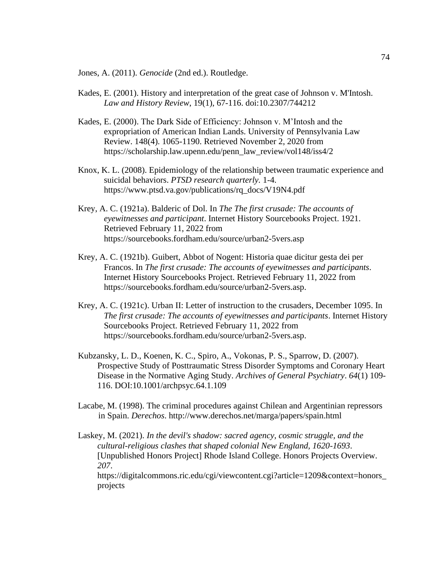Jones, A. (2011). *Genocide* (2nd ed.). Routledge.

- Kades, E. (2001). History and interpretation of the great case of Johnson v. M'Intosh. *Law and History Review*, 19(1), 67-116. doi:10.2307/744212
- Kades, E. (2000). The Dark Side of Efficiency: Johnson v. M'Intosh and the expropriation of American Indian Lands. University of Pennsylvania Law Review. 148(4). 1065-1190. Retrieved November 2, 2020 from https://scholarship.law.upenn.edu/penn\_law\_review/vol148/iss4/2
- Knox, K. L. (2008). Epidemiology of the relationship between traumatic experience and suicidal behaviors. *PTSD research quarterly.* 1-4. https://www.ptsd.va.gov/publications/rq\_docs/V19N4.pdf
- Krey, A. C. (1921a). Balderic of Dol. In *The The first crusade: The accounts of eyewitnesses and participant*. Internet History Sourcebooks Project. 1921. Retrieved February 11, 2022 from https://sourcebooks.fordham.edu/source/urban2-5vers.asp
- Krey, A. C. (1921b). Guibert, Abbot of Nogent: Historia quae dicitur gesta dei per Francos. In *The first crusade: The accounts of eyewitnesses and participants*. Internet History Sourcebooks Project. Retrieved February 11, 2022 from https://sourcebooks.fordham.edu/source/urban2-5vers.asp.
- Krey, A. C. (1921c). Urban II: Letter of instruction to the crusaders, December 1095. In *The first crusade: The accounts of eyewitnesses and participants*. Internet History Sourcebooks Project. Retrieved February 11, 2022 from https://sourcebooks.fordham.edu/source/urban2-5vers.asp.
- Kubzansky, L. D., Koenen, K. C., Spiro, A., Vokonas, P. S., Sparrow, D. (2007). Prospective Study of Posttraumatic Stress Disorder Symptoms and Coronary Heart Disease in the Normative Aging Study. *Archives of General Psychiatry*. *64*(1) 109- 116. DOI:10.1001/archpsyc.64.1.109
- Lacabe, M. (1998). The criminal procedures against Chilean and Argentinian repressors in Spain. *Derechos*. http://www.derechos.net/marga/papers/spain.html
- Laskey, M. (2021). *In the devil's shadow: sacred agency, cosmic struggle, and the cultural-religious clashes that shaped colonial New England, 1620-1693*. [Unpublished Honors Project] Rhode Island College. Honors Projects Overview. *207*. https://digitalcommons.ric.edu/cgi/viewcontent.cgi?article=1209&context=honors\_ projects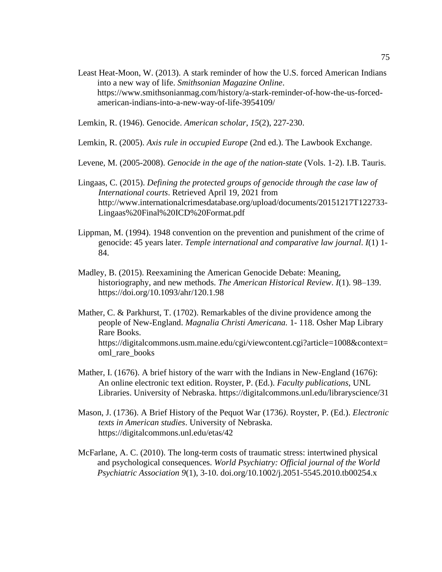- Least Heat-Moon, W. (2013). A stark reminder of how the U.S. forced American Indians into a new way of life. *Smithsonian Magazine Online*. https://www.smithsonianmag.com/history/a-stark-reminder-of-how-the-us-forcedamerican-indians-into-a-new-way-of-life-3954109/
- Lemkin, R. (1946). Genocide. *American scholar*, *15*(2), 227-230.

Lemkin, R. (2005). *Axis rule in occupied Europe* (2nd ed.). The Lawbook Exchange.

Levene, M. (2005-2008). *Genocide in the age of the nation-state* (Vols. 1-2). I.B. Tauris.

- Lingaas, C. (2015). *Defining the protected groups of genocide through the case law of International courts*. Retrieved April 19, 2021 from http://www.internationalcrimesdatabase.org/upload/documents/20151217T122733- Lingaas%20Final%20ICD%20Format.pdf
- Lippman, M. (1994). 1948 convention on the prevention and punishment of the crime of genocide: 45 years later. *Temple international and comparative law journal*. *I*(1) 1- 84.
- Madley, B. (2015). Reexamining the American Genocide Debate: Meaning, historiography, and new methods. *The American Historical Review*. *I*(1). 98–139. https://doi.org/10.1093/ahr/120.1.98
- Mather, C. & Parkhurst, T. (1702). Remarkables of the divine providence among the people of New-England. *Magnalia Christi Americana.* 1- 118. Osher Map Library Rare Books. https://digitalcommons.usm.maine.edu/cgi/viewcontent.cgi?article=1008&context= oml\_rare\_books
- Mather, I. (1676). A brief history of the warr with the Indians in New-England (1676): An online electronic text edition. Royster, P. (Ed.). *Faculty publications*, UNL Libraries. University of Nebraska. https://digitalcommons.unl.edu/libraryscience/31
- Mason, J. (1736). A Brief History of the Pequot War (1736*)*. Royster, P. (Ed.). *Electronic texts in American studies*. University of Nebraska. https://digitalcommons.unl.edu/etas/42
- McFarlane, A. C. (2010). The long-term costs of traumatic stress: intertwined physical and psychological consequences. *World Psychiatry: Official journal of the World Psychiatric Association 9*(1), 3-10. doi.org/10.1002/j.2051-5545.2010.tb00254.x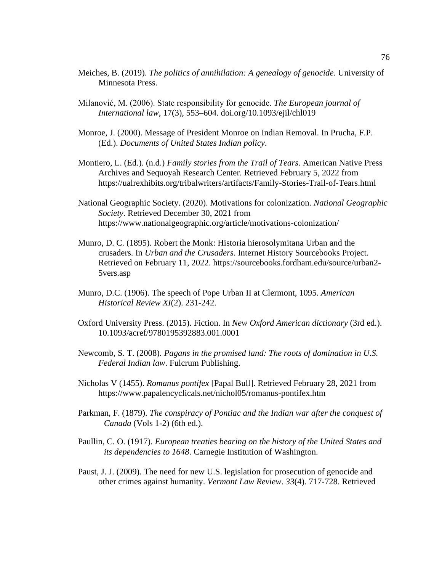- Meiches, B. (2019). *The politics of annihilation: A genealogy of genocide*. University of Minnesota Press.
- Milanović, M. (2006). State responsibility for genocide. *The European journal of International law*, 17(3), 553–604. doi.org/10.1093/ejil/chl019
- Monroe, J. (2000). Message of President Monroe on Indian Removal. In Prucha, F.P. (Ed.). *Documents of United States Indian policy*.
- Montiero, L. (Ed.). (n.d.) *Family stories from the Trail of Tears*. American Native Press Archives and Sequoyah Research Center. Retrieved February 5, 2022 from https://ualrexhibits.org/tribalwriters/artifacts/Family-Stories-Trail-of-Tears.html
- National Geographic Society. (2020). Motivations for colonization. *National Geographic Society*. Retrieved December 30, 2021 from https://www.nationalgeographic.org/article/motivations-colonization/
- Munro, D. C. (1895). Robert the Monk: Historia hierosolymitana Urban and the crusaders. In *Urban and the Crusaders*. Internet History Sourcebooks Project. Retrieved on February 11, 2022. https://sourcebooks.fordham.edu/source/urban2- 5vers.asp
- Munro, D.C. (1906). The speech of Pope Urban II at Clermont, 1095. *American Historical Review XI*(2). 231-242.
- Oxford University Press. (2015). Fiction. In *New Oxford American dictionary* (3rd ed.). 10.1093/acref/9780195392883.001.0001
- Newcomb, S. T. (2008). *Pagans in the promised land: The roots of domination in U.S. Federal Indian law*. Fulcrum Publishing.
- Nicholas V (1455). *Romanus pontifex* [Papal Bull]. Retrieved February 28, 2021 from https://www.papalencyclicals.net/nichol05/romanus-pontifex.htm
- Parkman, F. (1879). *The conspiracy of Pontiac and the Indian war after the conquest of Canada* (Vols 1-2) (6th ed.).
- Paullin, C. O. (1917). *European treaties bearing on the history of the United States and its dependencies to 1648*. Carnegie Institution of Washington.
- Paust, J. J. (2009). The need for new U.S. legislation for prosecution of genocide and other crimes against humanity. *Vermont Law Review*. *33*(4). 717-728. Retrieved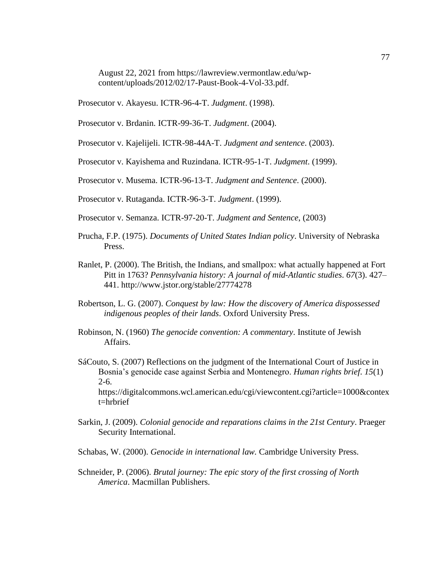August 22, 2021 from https://lawreview.vermontlaw.edu/wpcontent/uploads/2012/02/17-Paust-Book-4-Vol-33.pdf.

Prosecutor v. Akayesu. ICTR-96-4-T. *Judgment*. (1998).

Prosecutor v. Brdanin. ICTR-99-36-T. *Judgment*. (2004).

- Prosecutor v. Kajelijeli. ICTR-98-44A-T. *Judgment and sentence*. (2003).
- Prosecutor v. Kayishema and Ruzindana. ICTR-95-1-T. *Judgment*. (1999).
- Prosecutor v. Musema. ICTR-96-13-T. *Judgment and Sentence*. (2000).
- Prosecutor v. Rutaganda. ICTR-96-3-T. *Judgment*. (1999).
- Prosecutor v. Semanza. ICTR-97-20-T. *Judgment and Sentence*, (2003)
- Prucha, F.P. (1975). *Documents of United States Indian policy*. University of Nebraska Press.
- Ranlet, P. (2000). The British, the Indians, and smallpox: what actually happened at Fort Pitt in 1763? *Pennsylvania history: A journal of mid-Atlantic studies*. *67*(3). 427– 441. http://www.jstor.org/stable/27774278
- Robertson, L. G. (2007). *Conquest by law: How the discovery of America dispossessed indigenous peoples of their lands*. Oxford University Press.
- Robinson, N. (1960) *The genocide convention: A commentary*. Institute of Jewish Affairs.
- SáCouto, S. (2007) Reflections on the judgment of the International Court of Justice in Bosnia's genocide case against Serbia and Montenegro. *Human rights brief*. *15*(1)  $2-6.$

https://digitalcommons.wcl.american.edu/cgi/viewcontent.cgi?article=1000&contex t=hrbrief

- Sarkin, J. (2009). *Colonial genocide and reparations claims in the 21st Century*. Praeger Security International.
- Schabas, W. (2000). *Genocide in international law.* Cambridge University Press.
- Schneider, P. (2006). *Brutal journey: The epic story of the first crossing of North America*. Macmillan Publishers.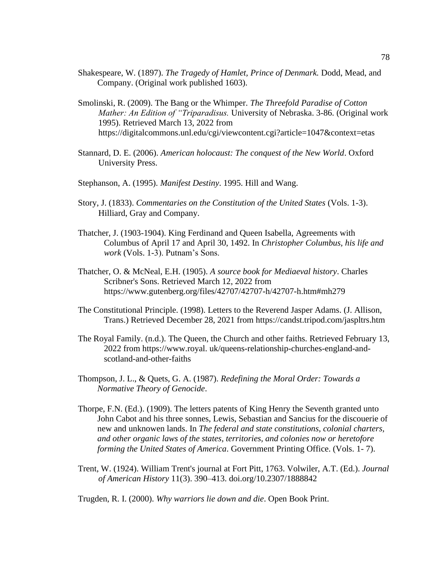- Shakespeare, W. (1897). *The Tragedy of Hamlet, Prince of Denmark.* Dodd, Mead, and Company. (Original work published 1603).
- Smolinski, R. (2009). The Bang or the Whimper. *The Threefold Paradise of Cotton Mather: An Edition of "Triparadisus.* University of Nebraska. 3-86. (Original work 1995). Retrieved March 13, 2022 from https://digitalcommons.unl.edu/cgi/viewcontent.cgi?article=1047&context=etas
- Stannard, D. E. (2006). *American holocaust: The conquest of the New World*. Oxford University Press.
- Stephanson, A. (1995). *Manifest Destiny*. 1995. Hill and Wang.
- Story, J. (1833). *Commentaries on the Constitution of the United States* (Vols. 1-3). Hilliard, Gray and Company.
- Thatcher, J. (1903-1904). King Ferdinand and Queen Isabella, Agreements with Columbus of April 17 and April 30, 1492. In *Christopher Columbus, his life and work* (Vols. 1-3). Putnam's Sons.
- Thatcher, O. & McNeal, E.H. (1905). *A source book for Mediaeval history*. Charles Scribner's Sons. Retrieved March 12, 2022 from https://www.gutenberg.org/files/42707/42707-h/42707-h.htm#mh279
- The Constitutional Principle. (1998). Letters to the Reverend Jasper Adams. (J. Allison, Trans.) Retrieved December 28, 2021 from https://candst.tripod.com/jaspltrs.htm
- The Royal Family. (n.d.). The Queen, the Church and other faiths. Retrieved February 13, 2022 from https://www.royal. uk/queens-relationship-churches-england-andscotland-and-other-faiths
- Thompson, J. L., & Quets, G. A. (1987). *Redefining the Moral Order: Towards a Normative Theory of Genocide*.
- Thorpe, F.N. (Ed.). (1909). The letters patents of King Henry the Seventh granted unto John Cabot and his three sonnes, Lewis, Sebastian and Sancius for the discouerie of new and unknowen lands. In *The federal and state constitutions, colonial charters, and other organic laws of the states, territories, and colonies now or heretofore forming the United States of America*. Government Printing Office. (Vols. 1- 7).
- Trent, W. (1924). William Trent's journal at Fort Pitt, 1763. Volwiler, A.T. (Ed.). *Journal of American History* 11(3). 390–413. doi.org/10.2307/1888842

Trugden, R. I. (2000). *Why warriors lie down and die*. Open Book Print.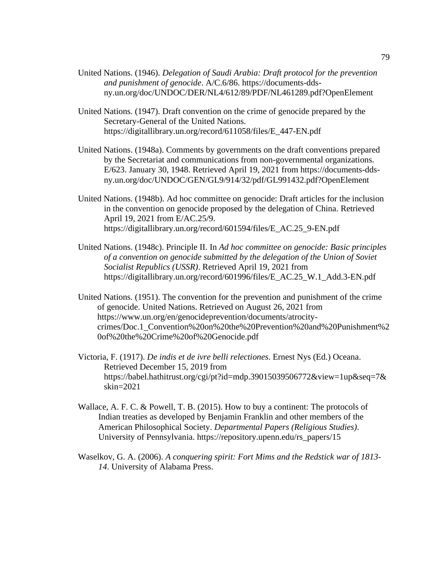- United Nations. (1946). *Delegation of Saudi Arabia: Draft protocol for the prevention and punishment of genocide*. A/C.6/86. https://documents-ddsny.un.org/doc/UNDOC/DER/NL4/612/89/PDF/NL461289.pdf?OpenElement
- United Nations. (1947). Draft convention on the crime of genocide prepared by the Secretary-General of the United Nations. https://digitallibrary.un.org/record/611058/files/E\_447-EN.pdf
- United Nations. (1948a). Comments by governments on the draft conventions prepared by the Secretariat and communications from non-governmental organizations. E/623. January 30, 1948. Retrieved April 19, 2021 from https://documents-ddsny.un.org/doc/UNDOC/GEN/GL9/914/32/pdf/GL991432.pdf?OpenElement
- United Nations. (1948b). Ad hoc committee on genocide: Draft articles for the inclusion in the convention on genocide proposed by the delegation of China. Retrieved April 19, 2021 from E/AC.25/9. https://digitallibrary.un.org/record/601594/files/E\_AC.25\_9-EN.pdf
- United Nations. (1948c). Principle II. In *Ad hoc committee on genocide: Basic principles of a convention on genocide submitted by the delegation of the Union of Soviet Socialist Republics (USSR)*. Retrieved April 19, 2021 from https://digitallibrary.un.org/record/601996/files/E\_AC.25\_W.1\_Add.3-EN.pdf
- United Nations. (1951). The convention for the prevention and punishment of the crime of genocide. United Nations. Retrieved on August 26, 2021 from https://www.un.org/en/genocideprevention/documents/atrocitycrimes/Doc.1\_Convention%20on%20the%20Prevention%20and%20Punishment%2 0of%20the%20Crime%20of%20Genocide.pdf
- Victoria, F. (1917). *De indis et de ivre belli relectiones*. Ernest Nys (Ed.) Oceana. Retrieved December 15, 2019 from https://babel.hathitrust.org/cgi/pt?id=mdp.39015039506772&view=1up&seq=7&  $\sin=2021$
- Wallace, A. F. C. & Powell, T. B. (2015). How to buy a continent: The protocols of Indian treaties as developed by Benjamin Franklin and other members of the American Philosophical Society. *Departmental Papers (Religious Studies)*. University of Pennsylvania. https://repository.upenn.edu/rs\_papers/15
- Waselkov, G. A. (2006). *A conquering spirit: Fort Mims and the Redstick war of 1813- 14*. University of Alabama Press.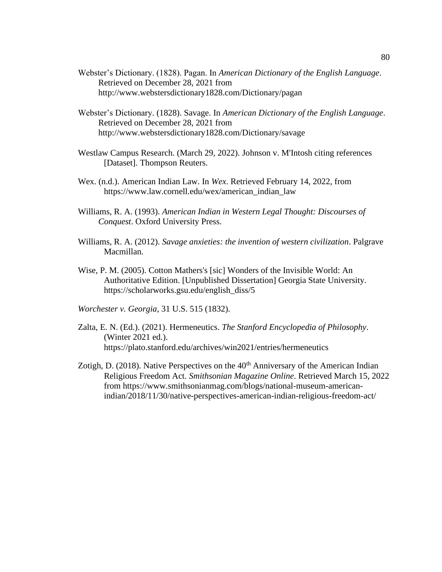- Webster's Dictionary. (1828). Pagan. In *American Dictionary of the English Language*. Retrieved on December 28, 2021 from http://www.webstersdictionary1828.com/Dictionary/pagan
- Webster's Dictionary. (1828). Savage. In *American Dictionary of the English Language*. Retrieved on December 28, 2021 from http://www.webstersdictionary1828.com/Dictionary/savage
- Westlaw Campus Research. (March 29, 2022). Johnson v. M'Intosh citing references [Dataset]. Thompson Reuters.
- Wex. (n.d.). American Indian Law. In *Wex*. Retrieved February 14, 2022, from https://www.law.cornell.edu/wex/american\_indian\_law
- Williams, R. A. (1993). *American Indian in Western Legal Thought: Discourses of Conquest*. Oxford University Press.
- Williams, R. A. (2012). *Savage anxieties: the invention of western civilization*. Palgrave Macmillan.
- Wise, P. M. (2005). Cotton Mathers's [sic] Wonders of the Invisible World: An Authoritative Edition. [Unpublished Dissertation] Georgia State University. https://scholarworks.gsu.edu/english\_diss/5
- *Worchester v. Georgia*, 31 U.S. 515 (1832).
- Zalta, E. N. (Ed.). (2021). Hermeneutics. *The Stanford Encyclopedia of Philosophy*. (Winter 2021 ed.). https://plato.stanford.edu/archives/win2021/entries/hermeneutics
- Zotigh, D. (2018). Native Perspectives on the 40<sup>th</sup> Anniversary of the American Indian Religious Freedom Act. *Smithsonian Magazine Online*. Retrieved March 15, 2022 from https://www.smithsonianmag.com/blogs/national-museum-americanindian/2018/11/30/native-perspectives-american-indian-religious-freedom-act/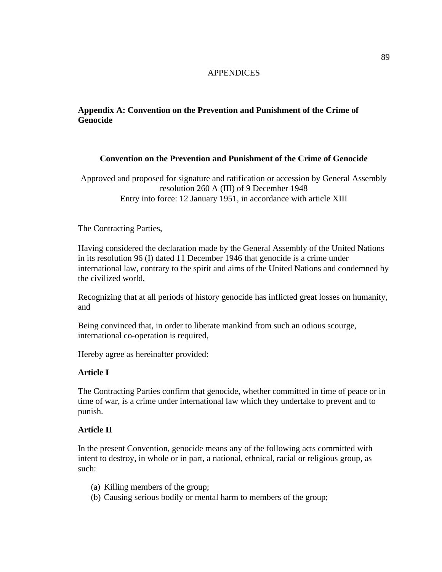### APPENDICES

### **Appendix A: Convention on the Prevention and Punishment of the Crime of Genocide**

### **Convention on the Prevention and Punishment of the Crime of Genocide**

Approved and proposed for signature and ratification or accession by General Assembly resolution 260 A (III) of 9 December 1948 Entry into force: 12 January 1951, in accordance with article XIII

The Contracting Parties,

Having considered the declaration made by the General Assembly of the United Nations in its resolution 96 (I) dated 11 December 1946 that genocide is a crime under international law, contrary to the spirit and aims of the United Nations and condemned by the civilized world,

Recognizing that at all periods of history genocide has inflicted great losses on humanity, and

Being convinced that, in order to liberate mankind from such an odious scourge, international co-operation is required,

Hereby agree as hereinafter provided:

#### **Article I**

The Contracting Parties confirm that genocide, whether committed in time of peace or in time of war, is a crime under international law which they undertake to prevent and to punish.

#### **Article II**

In the present Convention, genocide means any of the following acts committed with intent to destroy, in whole or in part, a national, ethnical, racial or religious group, as such:

- (a) Killing members of the group;
- (b) Causing serious bodily or mental harm to members of the group;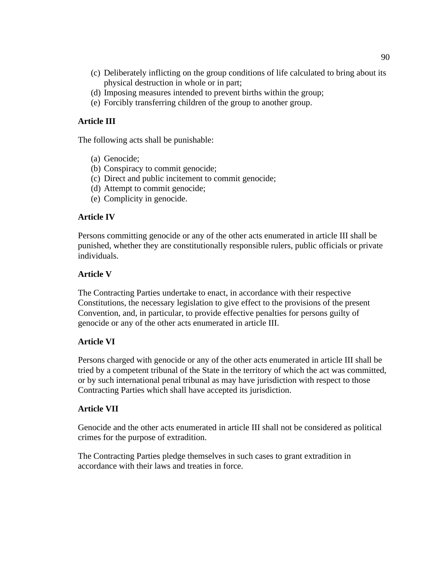- (c) Deliberately inflicting on the group conditions of life calculated to bring about its physical destruction in whole or in part;
- (d) Imposing measures intended to prevent births within the group;
- (e) Forcibly transferring children of the group to another group.

### **Article III**

The following acts shall be punishable:

- (a) Genocide;
- (b) Conspiracy to commit genocide;
- (c) Direct and public incitement to commit genocide;
- (d) Attempt to commit genocide;
- (e) Complicity in genocide.

### **Article IV**

Persons committing genocide or any of the other acts enumerated in article III shall be punished, whether they are constitutionally responsible rulers, public officials or private individuals.

### **Article V**

The Contracting Parties undertake to enact, in accordance with their respective Constitutions, the necessary legislation to give effect to the provisions of the present Convention, and, in particular, to provide effective penalties for persons guilty of genocide or any of the other acts enumerated in article III.

### **Article VI**

Persons charged with genocide or any of the other acts enumerated in article III shall be tried by a competent tribunal of the State in the territory of which the act was committed, or by such international penal tribunal as may have jurisdiction with respect to those Contracting Parties which shall have accepted its jurisdiction.

### **Article VII**

Genocide and the other acts enumerated in article III shall not be considered as political crimes for the purpose of extradition.

The Contracting Parties pledge themselves in such cases to grant extradition in accordance with their laws and treaties in force.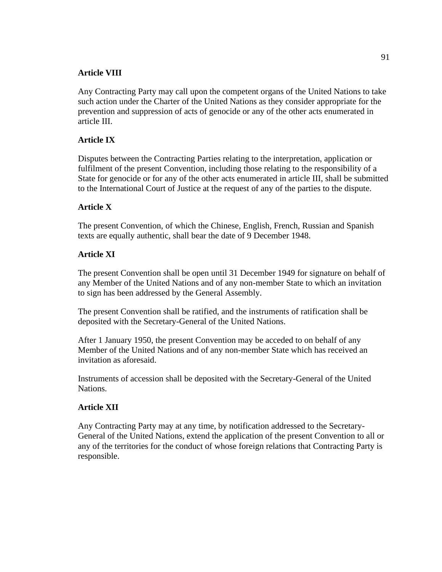## **Article VIII**

Any Contracting Party may call upon the competent organs of the United Nations to take such action under the Charter of the United Nations as they consider appropriate for the prevention and suppression of acts of genocide or any of the other acts enumerated in article III.

### **Article IX**

Disputes between the Contracting Parties relating to the interpretation, application or fulfilment of the present Convention, including those relating to the responsibility of a State for genocide or for any of the other acts enumerated in article III, shall be submitted to the International Court of Justice at the request of any of the parties to the dispute.

### **Article X**

The present Convention, of which the Chinese, English, French, Russian and Spanish texts are equally authentic, shall bear the date of 9 December 1948.

### **Article XI**

The present Convention shall be open until 31 December 1949 for signature on behalf of any Member of the United Nations and of any non-member State to which an invitation to sign has been addressed by the General Assembly.

The present Convention shall be ratified, and the instruments of ratification shall be deposited with the Secretary-General of the United Nations.

After 1 January 1950, the present Convention may be acceded to on behalf of any Member of the United Nations and of any non-member State which has received an invitation as aforesaid.

Instruments of accession shall be deposited with the Secretary-General of the United Nations.

### **Article XII**

Any Contracting Party may at any time, by notification addressed to the Secretary-General of the United Nations, extend the application of the present Convention to all or any of the territories for the conduct of whose foreign relations that Contracting Party is responsible.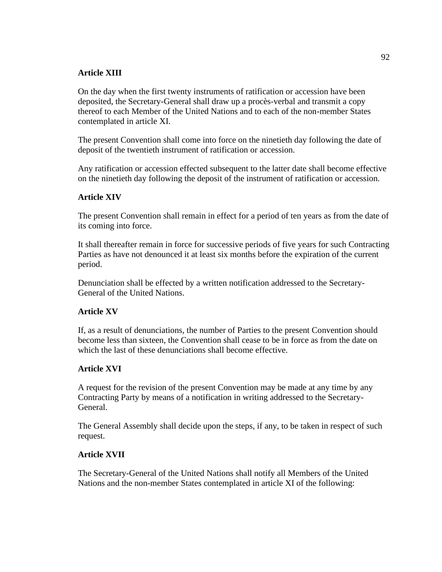## **Article XIII**

On the day when the first twenty instruments of ratification or accession have been deposited, the Secretary-General shall draw up a procès-verbal and transmit a copy thereof to each Member of the United Nations and to each of the non-member States contemplated in article XI.

The present Convention shall come into force on the ninetieth day following the date of deposit of the twentieth instrument of ratification or accession.

Any ratification or accession effected subsequent to the latter date shall become effective on the ninetieth day following the deposit of the instrument of ratification or accession.

### **Article XIV**

The present Convention shall remain in effect for a period of ten years as from the date of its coming into force.

It shall thereafter remain in force for successive periods of five years for such Contracting Parties as have not denounced it at least six months before the expiration of the current period.

Denunciation shall be effected by a written notification addressed to the Secretary-General of the United Nations.

#### **Article XV**

If, as a result of denunciations, the number of Parties to the present Convention should become less than sixteen, the Convention shall cease to be in force as from the date on which the last of these denunciations shall become effective.

#### **Article XVI**

A request for the revision of the present Convention may be made at any time by any Contracting Party by means of a notification in writing addressed to the Secretary-General.

The General Assembly shall decide upon the steps, if any, to be taken in respect of such request.

#### **Article XVII**

The Secretary-General of the United Nations shall notify all Members of the United Nations and the non-member States contemplated in article XI of the following: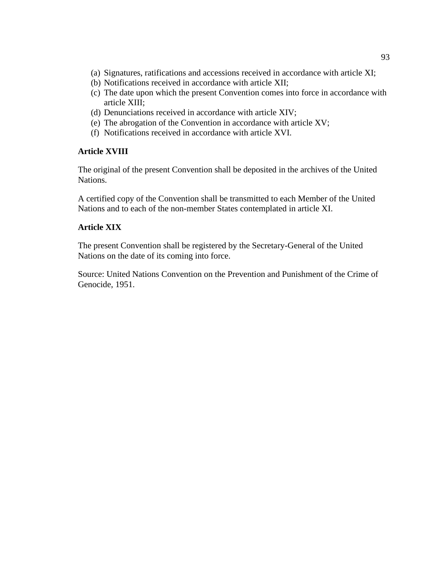- (a) Signatures, ratifications and accessions received in accordance with article XI;
- (b) Notifications received in accordance with article XII;
- (c) The date upon which the present Convention comes into force in accordance with article XIII;
- (d) Denunciations received in accordance with article XIV;
- (e) The abrogation of the Convention in accordance with article XV;
- (f) Notifications received in accordance with article XVI.

### **Article XVIII**

The original of the present Convention shall be deposited in the archives of the United Nations.

A certified copy of the Convention shall be transmitted to each Member of the United Nations and to each of the non-member States contemplated in article XI.

### **Article XIX**

The present Convention shall be registered by the Secretary-General of the United Nations on the date of its coming into force.

Source: United Nations Convention on the Prevention and Punishment of the Crime of Genocide, 1951.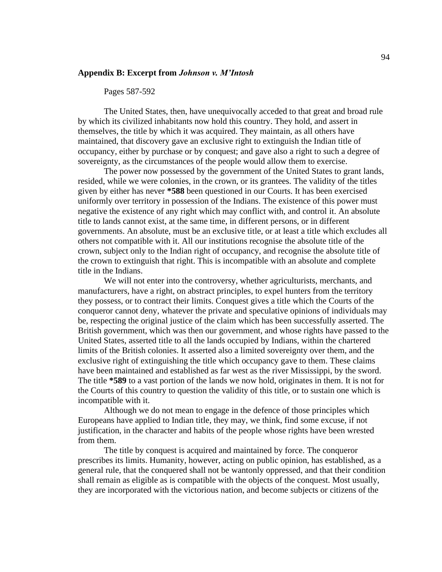#### **Appendix B: Excerpt from** *Johnson v. M'Intosh*

#### Pages 587-592

The United States, then, have unequivocally acceded to that great and broad rule by which its civilized inhabitants now hold this country. They hold, and assert in themselves, the title by which it was acquired. They maintain, as all others have maintained, that discovery gave an exclusive right to extinguish the Indian title of occupancy, either by purchase or by conquest; and gave also a right to such a degree of sovereignty, as the circumstances of the people would allow them to exercise.

The power now possessed by the government of the United States to grant lands, resided, while we were colonies, in the crown, or its grantees. The validity of the titles given by either has never **\*588** been questioned in our Courts. It has been exercised uniformly over territory in possession of the Indians. The existence of this power must negative the existence of any right which may conflict with, and control it. An absolute title to lands cannot exist, at the same time, in different persons, or in different governments. An absolute, must be an exclusive title, or at least a title which excludes all others not compatible with it. All our institutions recognise the absolute title of the crown, subject only to the Indian right of occupancy, and recognise the absolute title of the crown to extinguish that right. This is incompatible with an absolute and complete title in the Indians.

We will not enter into the controversy, whether agriculturists, merchants, and manufacturers, have a right, on abstract principles, to expel hunters from the territory they possess, or to contract their limits. Conquest gives a title which the Courts of the conqueror cannot deny, whatever the private and speculative opinions of individuals may be, respecting the original justice of the claim which has been successfully asserted. The British government, which was then our government, and whose rights have passed to the United States, asserted title to all the lands occupied by Indians, within the chartered limits of the British colonies. It asserted also a limited sovereignty over them, and the exclusive right of extinguishing the title which occupancy gave to them. These claims have been maintained and established as far west as the river Mississippi, by the sword. The title **\*589** to a vast portion of the lands we now hold, originates in them. It is not for the Courts of this country to question the validity of this title, or to sustain one which is incompatible with it.

 Although we do not mean to engage in the defence of those principles which Europeans have applied to Indian title, they may, we think, find some excuse, if not justification, in the character and habits of the people whose rights have been wrested from them.

 The title by conquest is acquired and maintained by force. The conqueror prescribes its limits. Humanity, however, acting on public opinion, has established, as a general rule, that the conquered shall not be wantonly oppressed, and that their condition shall remain as eligible as is compatible with the objects of the conquest. Most usually, they are incorporated with the victorious nation, and become subjects or citizens of the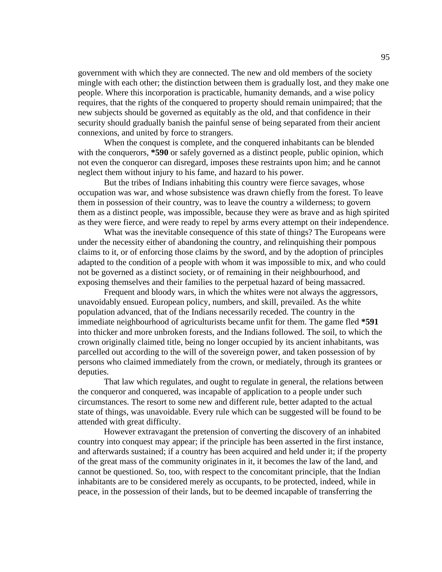government with which they are connected. The new and old members of the society mingle with each other; the distinction between them is gradually lost, and they make one people. Where this incorporation is practicable, humanity demands, and a wise policy requires, that the rights of the conquered to property should remain unimpaired; that the new subjects should be governed as equitably as the old, and that confidence in their security should gradually banish the painful sense of being separated from their ancient connexions, and united by force to strangers.

 When the conquest is complete, and the conquered inhabitants can be blended with the conquerors,  $*590$  or safely governed as a distinct people, public opinion, which not even the conqueror can disregard, imposes these restraints upon him; and he cannot neglect them without injury to his fame, and hazard to his power.

 But the tribes of Indians inhabiting this country were fierce savages, whose occupation was war, and whose subsistence was drawn chiefly from the forest. To leave them in possession of their country, was to leave the country a wilderness; to govern them as a distinct people, was impossible, because they were as brave and as high spirited as they were fierce, and were ready to repel by arms every attempt on their independence.

 What was the inevitable consequence of this state of things? The Europeans were under the necessity either of abandoning the country, and relinquishing their pompous claims to it, or of enforcing those claims by the sword, and by the adoption of principles adapted to the condition of a people with whom it was impossible to mix, and who could not be governed as a distinct society, or of remaining in their neighbourhood, and exposing themselves and their families to the perpetual hazard of being massacred.

 Frequent and bloody wars, in which the whites were not always the aggressors, unavoidably ensued. European policy, numbers, and skill, prevailed. As the white population advanced, that of the Indians necessarily receded. The country in the immediate neighbourhood of agriculturists became unfit for them. The game fled **\*591** into thicker and more unbroken forests, and the Indians followed. The soil, to which the crown originally claimed title, being no longer occupied by its ancient inhabitants, was parcelled out according to the will of the sovereign power, and taken possession of by persons who claimed immediately from the crown, or mediately, through its grantees or deputies.

 That law which regulates, and ought to regulate in general, the relations between the conqueror and conquered, was incapable of application to a people under such circumstances. The resort to some new and different rule, better adapted to the actual state of things, was unavoidable. Every rule which can be suggested will be found to be attended with great difficulty.

 However extravagant the pretension of converting the discovery of an inhabited country into conquest may appear; if the principle has been asserted in the first instance, and afterwards sustained; if a country has been acquired and held under it; if the property of the great mass of the community originates in it, it becomes the law of the land, and cannot be questioned. So, too, with respect to the concomitant principle, that the Indian inhabitants are to be considered merely as occupants, to be protected, indeed, while in peace, in the possession of their lands, but to be deemed incapable of transferring the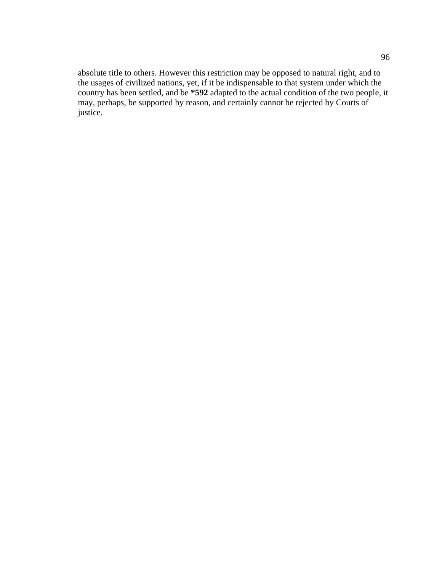absolute title to others. However this restriction may be opposed to natural right, and to the usages of civilized nations, yet, if it be indispensable to that system under which the country has been settled, and be **\*592** adapted to the actual condition of the two people, it may, perhaps, be supported by reason, and certainly cannot be rejected by Courts of justice.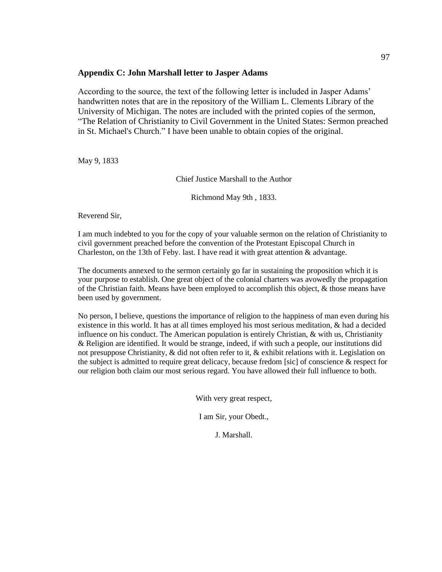#### **Appendix C: John Marshall letter to Jasper Adams**

According to the source, the text of the following letter is included in Jasper Adams' handwritten notes that are in the repository of the William L. Clements Library of the University of Michigan. The notes are included with the printed copies of the sermon, "The Relation of Christianity to Civil Government in the United States: Sermon preached in St. Michael's Church." I have been unable to obtain copies of the original.

May 9, 1833

Chief Justice Marshall to the Author

Richmond May 9th , 1833.

Reverend Sir,

I am much indebted to you for the copy of your valuable sermon on the relation of Christianity to civil government preached before the convention of the Protestant Episcopal Church in Charleston, on the 13th of Feby. last. I have read it with great attention & advantage.

The documents annexed to the sermon certainly go far in sustaining the proposition which it is your purpose to establish. One great object of the colonial charters was avowedly the propagation of the Christian faith. Means have been employed to accomplish this object, & those means have been used by government.

No person, I believe, questions the importance of religion to the happiness of man even during his existence in this world. It has at all times employed his most serious meditation, & had a decided influence on his conduct. The American population is entirely Christian,  $\&$  with us, Christianity & Religion are identified. It would be strange, indeed, if with such a people, our institutions did not presuppose Christianity, & did not often refer to it, & exhibit relations with it. Legislation on the subject is admitted to require great delicacy, because fredom [sic] of conscience & respect for our religion both claim our most serious regard. You have allowed their full influence to both.

With very great respect,

I am Sir, your Obedt.,

J. Marshall.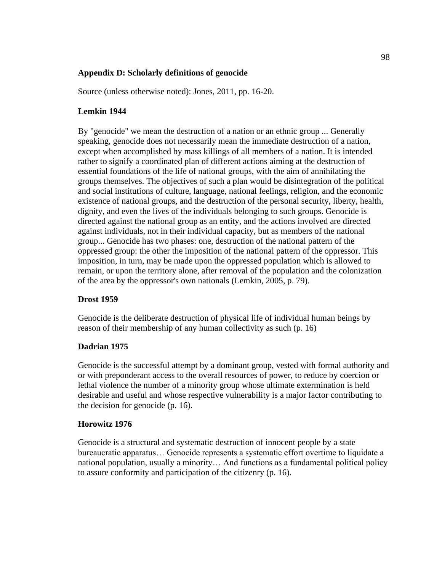### **Appendix D: Scholarly definitions of genocide**

Source (unless otherwise noted): Jones, 2011, pp. 16-20.

### **Lemkin 1944**

By "genocide" we mean the destruction of a nation or an ethnic group ... Generally speaking, genocide does not necessarily mean the immediate destruction of a nation, except when accomplished by mass killings of all members of a nation. It is intended rather to signify a coordinated plan of different actions aiming at the destruction of essential foundations of the life of national groups, with the aim of annihilating the groups themselves. The objectives of such a plan would be disintegration of the political and social institutions of culture, language, national feelings, religion, and the economic existence of national groups, and the destruction of the personal security, liberty, health, dignity, and even the lives of the individuals belonging to such groups. Genocide is directed against the national group as an entity, and the actions involved are directed against individuals, not in their individual capacity, but as members of the national group... Genocide has two phases: one, destruction of the national pattern of the oppressed group: the other the imposition of the national pattern of the oppressor. This imposition, in turn, may be made upon the oppressed population which is allowed to remain, or upon the territory alone, after removal of the population and the colonization of the area by the oppressor's own nationals (Lemkin, 2005, p. 79).

### **Drost 1959**

Genocide is the deliberate destruction of physical life of individual human beings by reason of their membership of any human collectivity as such (p. 16)

#### **Dadrian 1975**

Genocide is the successful attempt by a dominant group, vested with formal authority and or with preponderant access to the overall resources of power, to reduce by coercion or lethal violence the number of a minority group whose ultimate extermination is held desirable and useful and whose respective vulnerability is a major factor contributing to the decision for genocide (p. 16).

#### **Horowitz 1976**

Genocide is a structural and systematic destruction of innocent people by a state bureaucratic apparatus… Genocide represents a systematic effort overtime to liquidate a national population, usually a minority… And functions as a fundamental political policy to assure conformity and participation of the citizenry (p. 16).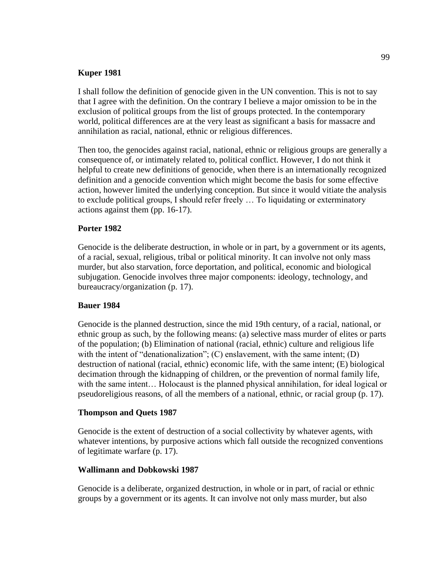### **Kuper 1981**

I shall follow the definition of genocide given in the UN convention. This is not to say that I agree with the definition. On the contrary I believe a major omission to be in the exclusion of political groups from the list of groups protected. In the contemporary world, political differences are at the very least as significant a basis for massacre and annihilation as racial, national, ethnic or religious differences.

Then too, the genocides against racial, national, ethnic or religious groups are generally a consequence of, or intimately related to, political conflict. However, I do not think it helpful to create new definitions of genocide, when there is an internationally recognized definition and a genocide convention which might become the basis for some effective action, however limited the underlying conception. But since it would vitiate the analysis to exclude political groups, I should refer freely … To liquidating or exterminatory actions against them (pp. 16-17).

#### **Porter 1982**

Genocide is the deliberate destruction, in whole or in part, by a government or its agents, of a racial, sexual, religious, tribal or political minority. It can involve not only mass murder, but also starvation, force deportation, and political, economic and biological subjugation. Genocide involves three major components: ideology, technology, and bureaucracy/organization (p. 17).

#### **Bauer 1984**

Genocide is the planned destruction, since the mid 19th century, of a racial, national, or ethnic group as such, by the following means: (a) selective mass murder of elites or parts of the population; (b) Elimination of national (racial, ethnic) culture and religious life with the intent of "denationalization"; (C) enslavement, with the same intent; (D) destruction of national (racial, ethnic) economic life, with the same intent; (E) biological decimation through the kidnapping of children, or the prevention of normal family life, with the same intent... Holocaust is the planned physical annihilation, for ideal logical or pseudoreligious reasons, of all the members of a national, ethnic, or racial group (p. 17).

#### **Thompson and Quets 1987**

Genocide is the extent of destruction of a social collectivity by whatever agents, with whatever intentions, by purposive actions which fall outside the recognized conventions of legitimate warfare (p. 17).

### **Wallimann and Dobkowski 1987**

Genocide is a deliberate, organized destruction, in whole or in part, of racial or ethnic groups by a government or its agents. It can involve not only mass murder, but also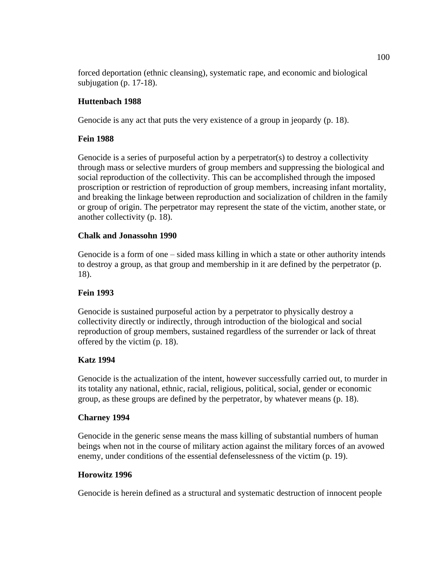forced deportation (ethnic cleansing), systematic rape, and economic and biological subjugation (p. 17-18).

## **Huttenbach 1988**

Genocide is any act that puts the very existence of a group in jeopardy (p. 18).

### **Fein 1988**

Genocide is a series of purposeful action by a perpetrator(s) to destroy a collectivity through mass or selective murders of group members and suppressing the biological and social reproduction of the collectivity. This can be accomplished through the imposed proscription or restriction of reproduction of group members, increasing infant mortality, and breaking the linkage between reproduction and socialization of children in the family or group of origin. The perpetrator may represent the state of the victim, another state, or another collectivity (p. 18).

### **Chalk and Jonassohn 1990**

Genocide is a form of one – sided mass killing in which a state or other authority intends to destroy a group, as that group and membership in it are defined by the perpetrator (p. 18).

### **Fein 1993**

Genocide is sustained purposeful action by a perpetrator to physically destroy a collectivity directly or indirectly, through introduction of the biological and social reproduction of group members, sustained regardless of the surrender or lack of threat offered by the victim (p. 18).

### **Katz 1994**

Genocide is the actualization of the intent, however successfully carried out, to murder in its totality any national, ethnic, racial, religious, political, social, gender or economic group, as these groups are defined by the perpetrator, by whatever means (p. 18).

### **Charney 1994**

Genocide in the generic sense means the mass killing of substantial numbers of human beings when not in the course of military action against the military forces of an avowed enemy, under conditions of the essential defenselessness of the victim (p. 19).

### **Horowitz 1996**

Genocide is herein defined as a structural and systematic destruction of innocent people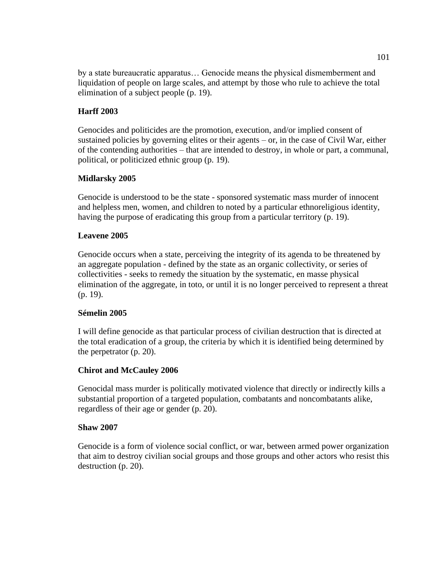by a state bureaucratic apparatus… Genocide means the physical dismemberment and liquidation of people on large scales, and attempt by those who rule to achieve the total elimination of a subject people (p. 19).

## **Harff 2003**

Genocides and politicides are the promotion, execution, and/or implied consent of sustained policies by governing elites or their agents – or, in the case of Civil War, either of the contending authorities – that are intended to destroy, in whole or part, a communal, political, or politicized ethnic group (p. 19).

### **Midlarsky 2005**

Genocide is understood to be the state - sponsored systematic mass murder of innocent and helpless men, women, and children to noted by a particular ethnoreligious identity, having the purpose of eradicating this group from a particular territory (p. 19).

### **Leavene 2005**

Genocide occurs when a state, perceiving the integrity of its agenda to be threatened by an aggregate population - defined by the state as an organic collectivity, or series of collectivities - seeks to remedy the situation by the systematic, en masse physical elimination of the aggregate, in toto, or until it is no longer perceived to represent a threat (p. 19).

### **Sémelin 2005**

I will define genocide as that particular process of civilian destruction that is directed at the total eradication of a group, the criteria by which it is identified being determined by the perpetrator (p. 20).

## **Chirot and McCauley 2006**

Genocidal mass murder is politically motivated violence that directly or indirectly kills a substantial proportion of a targeted population, combatants and noncombatants alike, regardless of their age or gender (p. 20).

### **Shaw 2007**

Genocide is a form of violence social conflict, or war, between armed power organization that aim to destroy civilian social groups and those groups and other actors who resist this destruction (p. 20).